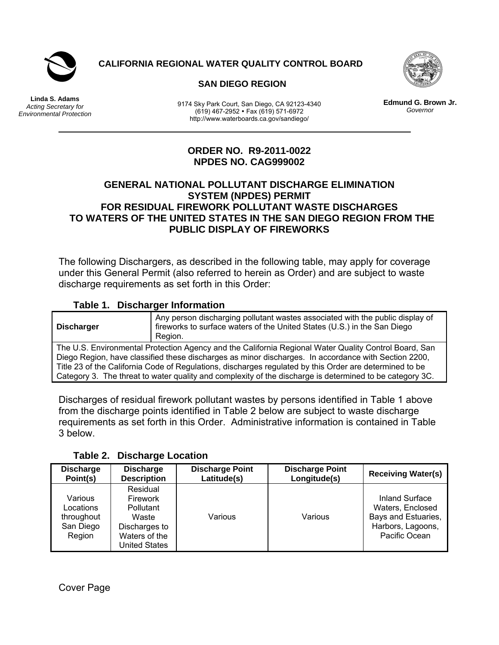

 **CALIFORNIA REGIONAL WATER QUALITY CONTROL BOARD** 



 **SAN DIEGO REGION** 

**Linda S. Adams**  *Acting Secretary for Environmental Protection* 

9174 Sky Park Court, San Diego, CA 92123-4340 (619) 467-2952 Fax (619) 571-6972 http://www.waterboards.ca.gov/sandiego/

**Edmund G. Brown Jr.** *Governor* 

# **ORDER NO. R9-2011-0022 NPDES NO. CAG999002**

#### **GENERAL NATIONAL POLLUTANT DISCHARGE ELIMINATION SYSTEM (NPDES) PERMIT FOR RESIDUAL FIREWORK POLLUTANT WASTE DISCHARGES TO WATERS OF THE UNITED STATES IN THE SAN DIEGO REGION FROM THE PUBLIC DISPLAY OF FIREWORKS**

The following Dischargers, as described in the following table, may apply for coverage under this General Permit (also referred to herein as Order) and are subject to waste discharge requirements as set forth in this Order:

# **Table 1. Discharger Information**

**Discharger**  Any person discharging pollutant wastes associated with the public display of fireworks to surface waters of the United States (U.S.) in the San Diego Region. The U.S. Environmental Protection Agency and the California Regional Water Quality Control Board, San Diego Region, have classified these discharges as minor discharges. In accordance with Section 2200, Title 23 of the California Code of Regulations, discharges regulated by this Order are determined to be Category 3. The threat to water quality and complexity of the discharge is determined to be category 3C.

Discharges of residual firework pollutant wastes by persons identified in Table 1 above from the discharge points identified in Table 2 below are subject to waste discharge requirements as set forth in this Order. Administrative information is contained in Table 3 below.

| <b>Discharge</b><br>Point(s)                              | <b>Discharge</b><br><b>Description</b>                                                                      | <b>Discharge Point</b><br>Latitude(s) | <b>Discharge Point</b><br>Longitude(s) | <b>Receiving Water(s)</b>                                                                       |
|-----------------------------------------------------------|-------------------------------------------------------------------------------------------------------------|---------------------------------------|----------------------------------------|-------------------------------------------------------------------------------------------------|
| Various<br>Locations<br>throughout<br>San Diego<br>Region | Residual<br>Firework<br><b>Pollutant</b><br>Waste<br>Discharges to<br>Waters of the<br><b>United States</b> | Various                               | Various                                | Inland Surface<br>Waters, Enclosed<br>Bays and Estuaries,<br>Harbors, Lagoons,<br>Pacific Ocean |

**Table 2. Discharge Location** 

Cover Page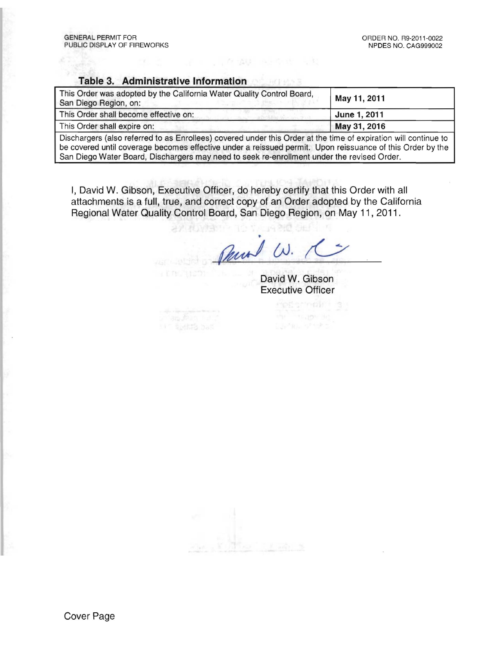#### Table 3. Administrative Information

| This Order was adopted by the California Water Quality Control Board,<br>San Diego Region, on: | May 11, 2011 |  |
|------------------------------------------------------------------------------------------------|--------------|--|
| This Order shall become effective on:                                                          | June 1, 2011 |  |
| This Order shall expire on:                                                                    | May 31, 2016 |  |

WINDOWS AND IN THE REAL PROPERTY.

Dischargers (also referred to as Enrollees) covered under this Order at the time of expiration will continue to be covered until coverage becomes effective under a reissued permit. Upon reissuance of this Order by the San Diego Water Board, Dischargers may need to seek re-enrollment under the revised Order.

I, David W. Gibson, Executive Officer, do hereby certify that this Order with all attachments is a full, true, and correct copy of an Order adopted by the California Regional Water Quality Control Board, San Diego Region, on May 11, 2011.

オアフロングラ

Paral W.

David W. Gibson Executive Officer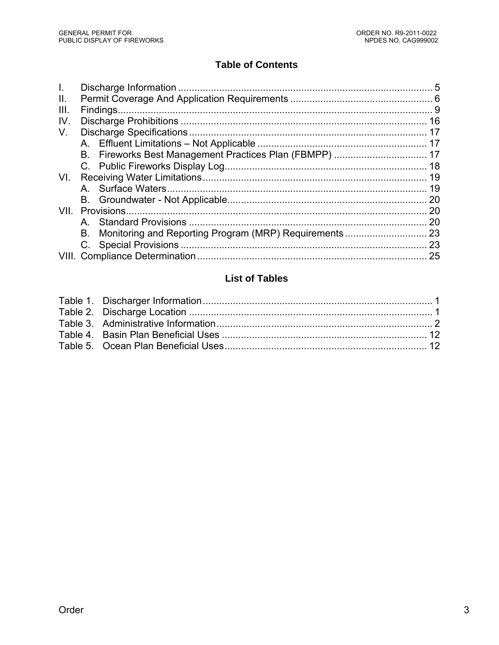# **Table of Contents**

| VII. | -20 |
|------|-----|
| A    | 20  |
| В.   |     |
|      |     |
|      | 25  |
|      |     |

# **List of Tables**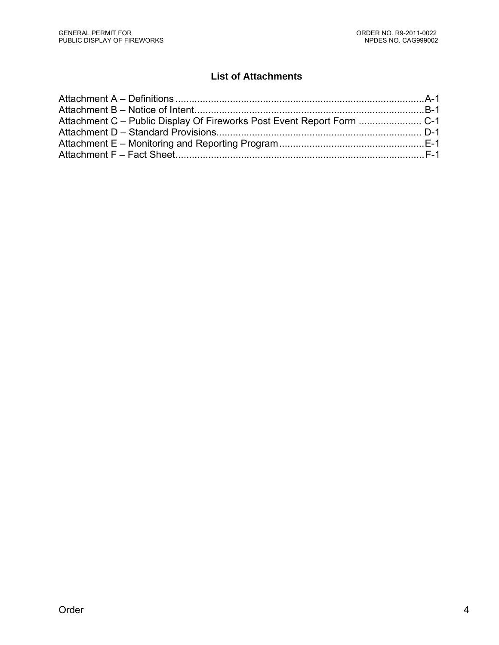# **List of Attachments**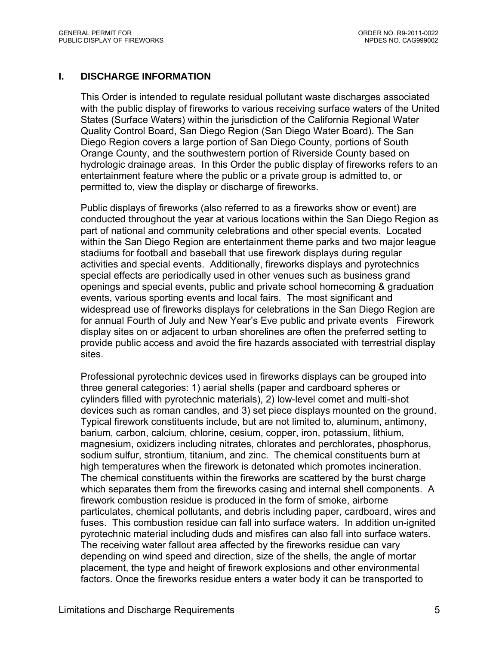#### **I. DISCHARGE INFORMATION**

This Order is intended to regulate residual pollutant waste discharges associated with the public display of fireworks to various receiving surface waters of the United States (Surface Waters) within the jurisdiction of the California Regional Water Quality Control Board, San Diego Region (San Diego Water Board). The San Diego Region covers a large portion of San Diego County, portions of South Orange County, and the southwestern portion of Riverside County based on hydrologic drainage areas. In this Order the public display of fireworks refers to an entertainment feature where the public or a private group is admitted to, or permitted to, view the display or discharge of fireworks.

Public displays of fireworks (also referred to as a fireworks show or event) are conducted throughout the year at various locations within the San Diego Region as part of national and community celebrations and other special events. Located within the San Diego Region are entertainment theme parks and two major league stadiums for football and baseball that use firework displays during regular activities and special events. Additionally, fireworks displays and pyrotechnics special effects are periodically used in other venues such as business grand openings and special events, public and private school homecoming & graduation events, various sporting events and local fairs. The most significant and widespread use of fireworks displays for celebrations in the San Diego Region are for annual Fourth of July and New Year's Eve public and private events Firework display sites on or adjacent to urban shorelines are often the preferred setting to provide public access and avoid the fire hazards associated with terrestrial display sites.

Professional pyrotechnic devices used in fireworks displays can be grouped into three general categories: 1) aerial shells (paper and cardboard spheres or cylinders filled with pyrotechnic materials), 2) low-level comet and multi-shot devices such as roman candles, and 3) set piece displays mounted on the ground. Typical firework constituents include, but are not limited to, aluminum, antimony, barium, carbon, calcium, chlorine, cesium, copper, iron, potassium, lithium, magnesium, oxidizers including nitrates, chlorates and perchlorates, phosphorus, sodium sulfur, strontium, titanium, and zinc. The chemical constituents burn at high temperatures when the firework is detonated which promotes incineration. The chemical constituents within the fireworks are scattered by the burst charge which separates them from the fireworks casing and internal shell components. A firework combustion residue is produced in the form of smoke, airborne particulates, chemical pollutants, and debris including paper, cardboard, wires and fuses. This combustion residue can fall into surface waters. In addition un-ignited pyrotechnic material including duds and misfires can also fall into surface waters. The receiving water fallout area affected by the fireworks residue can vary depending on wind speed and direction, size of the shells, the angle of mortar placement, the type and height of firework explosions and other environmental factors. Once the fireworks residue enters a water body it can be transported to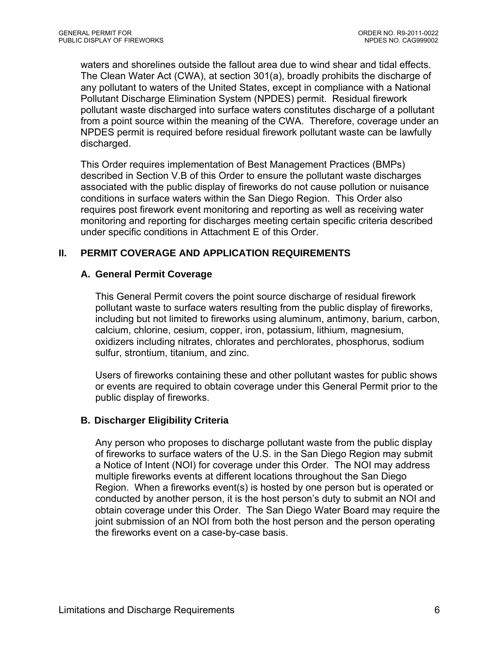waters and shorelines outside the fallout area due to wind shear and tidal effects. The Clean Water Act (CWA), at section 301(a), broadly prohibits the discharge of any pollutant to waters of the United States, except in compliance with a National Pollutant Discharge Elimination System (NPDES) permit. Residual firework pollutant waste discharged into surface waters constitutes discharge of a pollutant from a point source within the meaning of the CWA. Therefore, coverage under an NPDES permit is required before residual firework pollutant waste can be lawfully discharged.

This Order requires implementation of Best Management Practices (BMPs) described in Section V.B of this Order to ensure the pollutant waste discharges associated with the public display of fireworks do not cause pollution or nuisance conditions in surface waters within the San Diego Region. This Order also requires post firework event monitoring and reporting as well as receiving water monitoring and reporting for discharges meeting certain specific criteria described under specific conditions in Attachment E of this Order.

# **II. PERMIT COVERAGE AND APPLICATION REQUIREMENTS**

# **A. General Permit Coverage**

This General Permit covers the point source discharge of residual firework pollutant waste to surface waters resulting from the public display of fireworks, including but not limited to fireworks using aluminum, antimony, barium, carbon, calcium, chlorine, cesium, copper, iron, potassium, lithium, magnesium, oxidizers including nitrates, chlorates and perchlorates, phosphorus, sodium sulfur, strontium, titanium, and zinc.

Users of fireworks containing these and other pollutant wastes for public shows or events are required to obtain coverage under this General Permit prior to the public display of fireworks.

# **B. Discharger Eligibility Criteria**

Any person who proposes to discharge pollutant waste from the public display of fireworks to surface waters of the U.S. in the San Diego Region may submit a Notice of Intent (NOI) for coverage under this Order. The NOI may address multiple fireworks events at different locations throughout the San Diego Region. When a fireworks event(s) is hosted by one person but is operated or conducted by another person, it is the host person's duty to submit an NOI and obtain coverage under this Order. The San Diego Water Board may require the joint submission of an NOI from both the host person and the person operating the fireworks event on a case-by-case basis.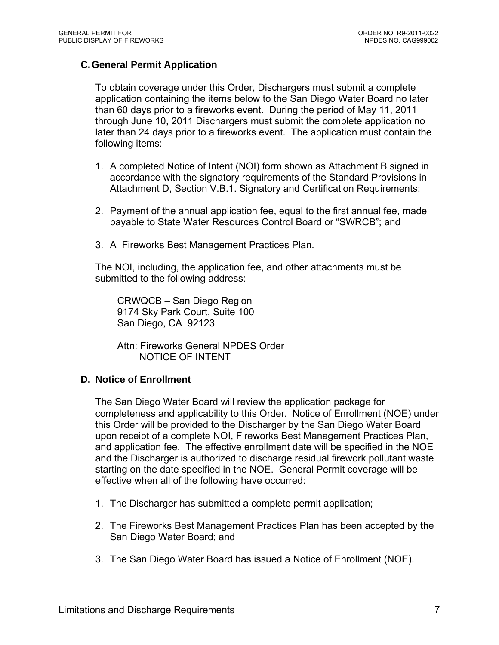# **C. General Permit Application**

To obtain coverage under this Order, Dischargers must submit a complete application containing the items below to the San Diego Water Board no later than 60 days prior to a fireworks event. During the period of May 11, 2011 through June 10, 2011 Dischargers must submit the complete application no later than 24 days prior to a fireworks event. The application must contain the following items:

- 1. A completed Notice of Intent (NOI) form shown as Attachment B signed in accordance with the signatory requirements of the Standard Provisions in Attachment D, Section V.B.1. Signatory and Certification Requirements;
- 2. Payment of the annual application fee, equal to the first annual fee, made payable to State Water Resources Control Board or "SWRCB"; and
- 3. A Fireworks Best Management Practices Plan.

The NOI, including, the application fee, and other attachments must be submitted to the following address:

CRWQCB – San Diego Region 9174 Sky Park Court, Suite 100 San Diego, CA 92123

Attn: Fireworks General NPDES Order NOTICE OF INTENT

#### **D. Notice of Enrollment**

The San Diego Water Board will review the application package for completeness and applicability to this Order. Notice of Enrollment (NOE) under this Order will be provided to the Discharger by the San Diego Water Board upon receipt of a complete NOI, Fireworks Best Management Practices Plan, and application fee. The effective enrollment date will be specified in the NOE and the Discharger is authorized to discharge residual firework pollutant waste starting on the date specified in the NOE. General Permit coverage will be effective when all of the following have occurred:

- 1. The Discharger has submitted a complete permit application;
- 2. The Fireworks Best Management Practices Plan has been accepted by the San Diego Water Board; and
- 3. The San Diego Water Board has issued a Notice of Enrollment (NOE).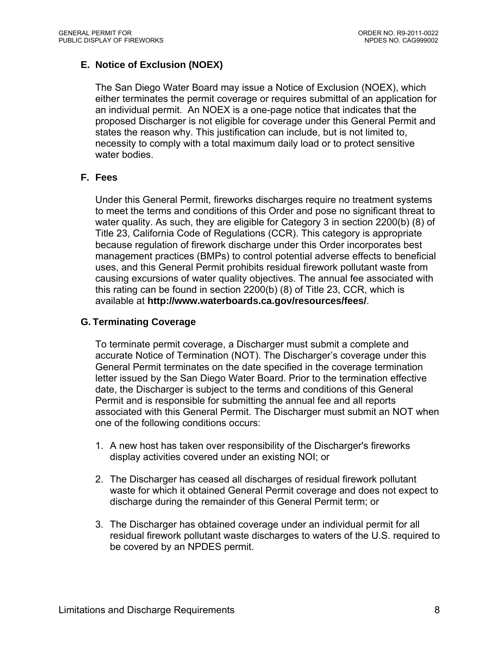# **E. Notice of Exclusion (NOEX)**

The San Diego Water Board may issue a Notice of Exclusion (NOEX), which either terminates the permit coverage or requires submittal of an application for an individual permit. An NOEX is a one-page notice that indicates that the proposed Discharger is not eligible for coverage under this General Permit and states the reason why. This justification can include, but is not limited to, necessity to comply with a total maximum daily load or to protect sensitive water bodies.

# **F. Fees**

Under this General Permit, fireworks discharges require no treatment systems to meet the terms and conditions of this Order and pose no significant threat to water quality. As such, they are eligible for Category 3 in section 2200(b) (8) of Title 23, California Code of Regulations (CCR). This category is appropriate because regulation of firework discharge under this Order incorporates best management practices (BMPs) to control potential adverse effects to beneficial uses, and this General Permit prohibits residual firework pollutant waste from causing excursions of water quality objectives. The annual fee associated with this rating can be found in section 2200(b) (8) of Title 23, CCR, which is available at **http://www.waterboards.ca.gov/resources/fees/**.

# **G. Terminating Coverage**

To terminate permit coverage, a Discharger must submit a complete and accurate Notice of Termination (NOT). The Discharger's coverage under this General Permit terminates on the date specified in the coverage termination letter issued by the San Diego Water Board. Prior to the termination effective date, the Discharger is subject to the terms and conditions of this General Permit and is responsible for submitting the annual fee and all reports associated with this General Permit. The Discharger must submit an NOT when one of the following conditions occurs:

- 1. A new host has taken over responsibility of the Discharger's fireworks display activities covered under an existing NOI; or
- 2. The Discharger has ceased all discharges of residual firework pollutant waste for which it obtained General Permit coverage and does not expect to discharge during the remainder of this General Permit term; or
- 3. The Discharger has obtained coverage under an individual permit for all residual firework pollutant waste discharges to waters of the U.S. required to be covered by an NPDES permit.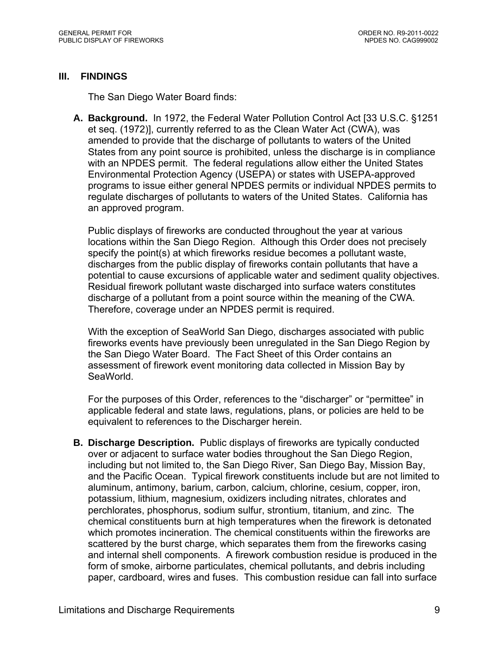# **III. FINDINGS**

The San Diego Water Board finds:

**A. Background.** In 1972, the Federal Water Pollution Control Act [33 U.S.C. §1251 et seq. (1972)], currently referred to as the Clean Water Act (CWA), was amended to provide that the discharge of pollutants to waters of the United States from any point source is prohibited, unless the discharge is in compliance with an NPDES permit. The federal regulations allow either the United States Environmental Protection Agency (USEPA) or states with USEPA-approved programs to issue either general NPDES permits or individual NPDES permits to regulate discharges of pollutants to waters of the United States. California has an approved program.

Public displays of fireworks are conducted throughout the year at various locations within the San Diego Region. Although this Order does not precisely specify the point(s) at which fireworks residue becomes a pollutant waste, discharges from the public display of fireworks contain pollutants that have a potential to cause excursions of applicable water and sediment quality objectives. Residual firework pollutant waste discharged into surface waters constitutes discharge of a pollutant from a point source within the meaning of the CWA. Therefore, coverage under an NPDES permit is required.

With the exception of SeaWorld San Diego, discharges associated with public fireworks events have previously been unregulated in the San Diego Region by the San Diego Water Board. The Fact Sheet of this Order contains an assessment of firework event monitoring data collected in Mission Bay by SeaWorld.

For the purposes of this Order, references to the "discharger" or "permittee" in applicable federal and state laws, regulations, plans, or policies are held to be equivalent to references to the Discharger herein.

**B. Discharge Description.** Public displays of fireworks are typically conducted over or adjacent to surface water bodies throughout the San Diego Region, including but not limited to, the San Diego River, San Diego Bay, Mission Bay, and the Pacific Ocean. Typical firework constituents include but are not limited to aluminum, antimony, barium, carbon, calcium, chlorine, cesium, copper, iron, potassium, lithium, magnesium, oxidizers including nitrates, chlorates and perchlorates, phosphorus, sodium sulfur, strontium, titanium, and zinc. The chemical constituents burn at high temperatures when the firework is detonated which promotes incineration. The chemical constituents within the fireworks are scattered by the burst charge, which separates them from the fireworks casing and internal shell components. A firework combustion residue is produced in the form of smoke, airborne particulates, chemical pollutants, and debris including paper, cardboard, wires and fuses. This combustion residue can fall into surface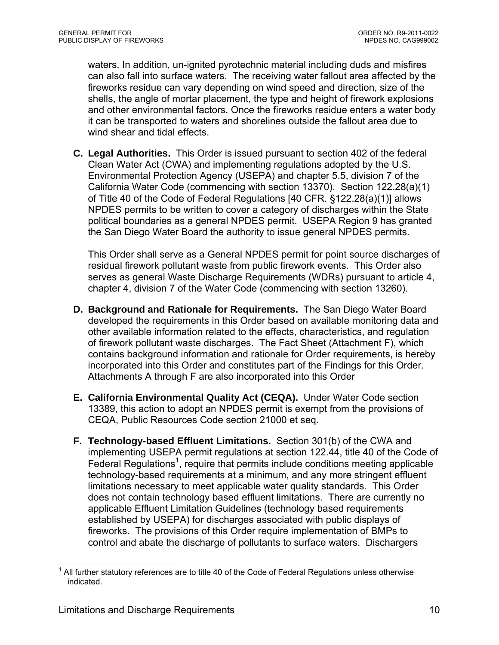waters. In addition, un-ignited pyrotechnic material including duds and misfires can also fall into surface waters. The receiving water fallout area affected by the fireworks residue can vary depending on wind speed and direction, size of the shells, the angle of mortar placement, the type and height of firework explosions and other environmental factors. Once the fireworks residue enters a water body it can be transported to waters and shorelines outside the fallout area due to wind shear and tidal effects.

**C. Legal Authorities.** This Order is issued pursuant to section 402 of the federal Clean Water Act (CWA) and implementing regulations adopted by the U.S. Environmental Protection Agency (USEPA) and chapter 5.5, division 7 of the California Water Code (commencing with section 13370). Section 122.28(a)(1) of Title 40 of the Code of Federal Regulations [40 CFR. §122.28(a)(1)] allows NPDES permits to be written to cover a category of discharges within the State political boundaries as a general NPDES permit. USEPA Region 9 has granted the San Diego Water Board the authority to issue general NPDES permits.

This Order shall serve as a General NPDES permit for point source discharges of residual firework pollutant waste from public firework events. This Order also serves as general Waste Discharge Requirements (WDRs) pursuant to article 4, chapter 4, division 7 of the Water Code (commencing with section 13260).

- **D. Background and Rationale for Requirements.** The San Diego Water Board developed the requirements in this Order based on available monitoring data and other available information related to the effects, characteristics, and regulation of firework pollutant waste discharges. The Fact Sheet (Attachment F), which contains background information and rationale for Order requirements, is hereby incorporated into this Order and constitutes part of the Findings for this Order. Attachments A through F are also incorporated into this Order
- **E. California Environmental Quality Act (CEQA).** Under Water Code section 13389, this action to adopt an NPDES permit is exempt from the provisions of CEQA, Public Resources Code section 21000 et seq.
- **F. Technology-based Effluent Limitations.** Section 301(b) of the CWA and implementing USEPA permit regulations at section 122.44, title 40 of the Code of Federal Regulations<sup>1</sup>, require that permits include conditions meeting applicable technology-based requirements at a minimum, and any more stringent effluent limitations necessary to meet applicable water quality standards. This Order does not contain technology based effluent limitations. There are currently no applicable Effluent Limitation Guidelines (technology based requirements established by USEPA) for discharges associated with public displays of fireworks. The provisions of this Order require implementation of BMPs to control and abate the discharge of pollutants to surface waters. Dischargers

 $\overline{a}$ 

 $1$  All further statutory references are to title 40 of the Code of Federal Regulations unless otherwise indicated.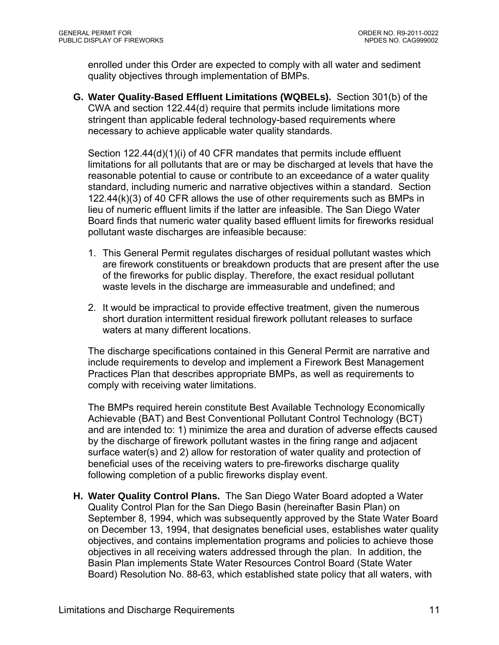enrolled under this Order are expected to comply with all water and sediment quality objectives through implementation of BMPs.

**G. Water Quality-Based Effluent Limitations (WQBELs).** Section 301(b) of the CWA and section 122.44(d) require that permits include limitations more stringent than applicable federal technology-based requirements where necessary to achieve applicable water quality standards.

Section 122.44(d)(1)(i) of 40 CFR mandates that permits include effluent limitations for all pollutants that are or may be discharged at levels that have the reasonable potential to cause or contribute to an exceedance of a water quality standard, including numeric and narrative objectives within a standard. Section 122.44(k)(3) of 40 CFR allows the use of other requirements such as BMPs in lieu of numeric effluent limits if the latter are infeasible. The San Diego Water Board finds that numeric water quality based effluent limits for fireworks residual pollutant waste discharges are infeasible because:

- 1. This General Permit regulates discharges of residual pollutant wastes which are firework constituents or breakdown products that are present after the use of the fireworks for public display. Therefore, the exact residual pollutant waste levels in the discharge are immeasurable and undefined; and
- 2. It would be impractical to provide effective treatment, given the numerous short duration intermittent residual firework pollutant releases to surface waters at many different locations.

The discharge specifications contained in this General Permit are narrative and include requirements to develop and implement a Firework Best Management Practices Plan that describes appropriate BMPs, as well as requirements to comply with receiving water limitations.

The BMPs required herein constitute Best Available Technology Economically Achievable (BAT) and Best Conventional Pollutant Control Technology (BCT) and are intended to: 1) minimize the area and duration of adverse effects caused by the discharge of firework pollutant wastes in the firing range and adjacent surface water(s) and 2) allow for restoration of water quality and protection of beneficial uses of the receiving waters to pre-fireworks discharge quality following completion of a public fireworks display event.

**H. Water Quality Control Plans.** The San Diego Water Board adopted a Water Quality Control Plan for the San Diego Basin (hereinafter Basin Plan) on September 8, 1994, which was subsequently approved by the State Water Board on December 13, 1994, that designates beneficial uses, establishes water quality objectives, and contains implementation programs and policies to achieve those objectives in all receiving waters addressed through the plan. In addition, the Basin Plan implements State Water Resources Control Board (State Water Board) Resolution No. 88-63, which established state policy that all waters, with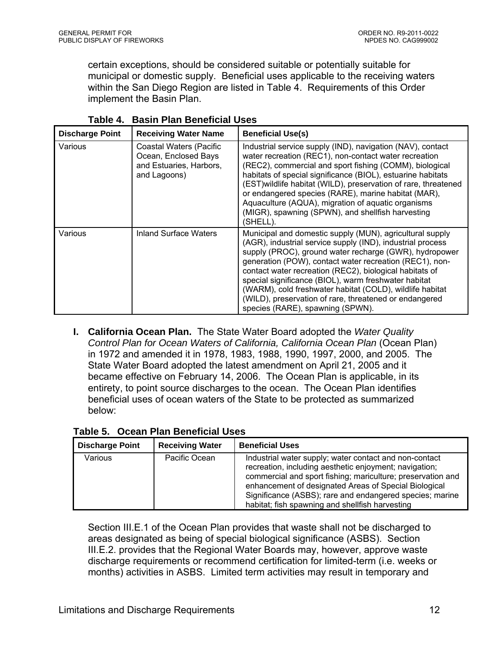certain exceptions, should be considered suitable or potentially suitable for municipal or domestic supply. Beneficial uses applicable to the receiving waters within the San Diego Region are listed in Table 4. Requirements of this Order implement the Basin Plan.

| <b>Discharge Point</b> | <b>Receiving Water Name</b>                                                                | <b>Beneficial Use(s)</b>                                                                                                                                                                                                                                                                                                                                                                                                                                                                                                 |
|------------------------|--------------------------------------------------------------------------------------------|--------------------------------------------------------------------------------------------------------------------------------------------------------------------------------------------------------------------------------------------------------------------------------------------------------------------------------------------------------------------------------------------------------------------------------------------------------------------------------------------------------------------------|
| Various                | Coastal Waters (Pacific<br>Ocean, Enclosed Bays<br>and Estuaries, Harbors,<br>and Lagoons) | Industrial service supply (IND), navigation (NAV), contact<br>water recreation (REC1), non-contact water recreation<br>(REC2), commercial and sport fishing (COMM), biological<br>habitats of special significance (BIOL), estuarine habitats<br>(EST) wildlife habitat (WILD), preservation of rare, threatened<br>or endangered species (RARE), marine habitat (MAR),<br>Aquaculture (AQUA), migration of aquatic organisms<br>(MIGR), spawning (SPWN), and shellfish harvesting<br>(SHELL).                           |
| Various                | Inland Surface Waters                                                                      | Municipal and domestic supply (MUN), agricultural supply<br>(AGR), industrial service supply (IND), industrial process<br>supply (PROC), ground water recharge (GWR), hydropower<br>generation (POW), contact water recreation (REC1), non-<br>contact water recreation (REC2), biological habitats of<br>special significance (BIOL), warm freshwater habitat<br>(WARM), cold freshwater habitat (COLD), wildlife habitat<br>(WILD), preservation of rare, threatened or endangered<br>species (RARE), spawning (SPWN). |

**Table 4. Basin Plan Beneficial Uses** 

**I. California Ocean Plan.** The State Water Board adopted the *Water Quality Control Plan for Ocean Waters of California, California Ocean Plan* (Ocean Plan) in 1972 and amended it in 1978, 1983, 1988, 1990, 1997, 2000, and 2005. The State Water Board adopted the latest amendment on April 21, 2005 and it became effective on February 14, 2006. The Ocean Plan is applicable, in its entirety, to point source discharges to the ocean. The Ocean Plan identifies beneficial uses of ocean waters of the State to be protected as summarized below:

| <b>Discharge Point</b> | <b>Receiving Water</b> | <b>Beneficial Uses</b>                                                                                                                                                                                                                                                                                                                                  |
|------------------------|------------------------|---------------------------------------------------------------------------------------------------------------------------------------------------------------------------------------------------------------------------------------------------------------------------------------------------------------------------------------------------------|
| Various                | Pacific Ocean          | Industrial water supply; water contact and non-contact<br>recreation, including aesthetic enjoyment; navigation;<br>commercial and sport fishing; mariculture; preservation and<br>enhancement of designated Areas of Special Biological<br>Significance (ASBS); rare and endangered species; marine<br>habitat; fish spawning and shellfish harvesting |

**Table 5. Ocean Plan Beneficial Uses** 

Section III.E.1 of the Ocean Plan provides that waste shall not be discharged to areas designated as being of special biological significance (ASBS). Section III.E.2. provides that the Regional Water Boards may, however, approve waste discharge requirements or recommend certification for limited-term (i.e. weeks or months) activities in ASBS. Limited term activities may result in temporary and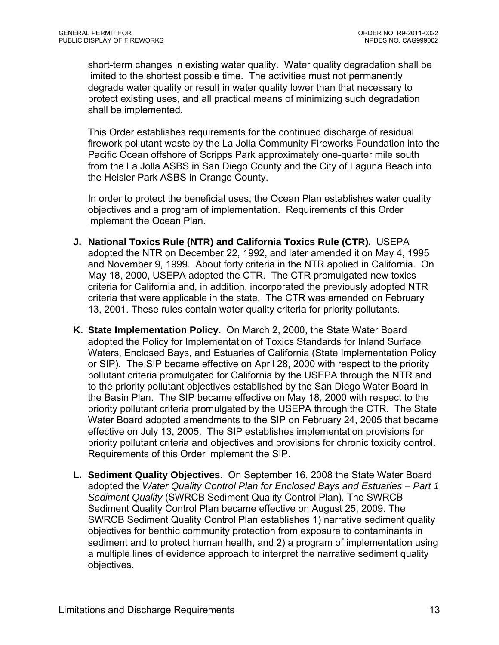short-term changes in existing water quality. Water quality degradation shall be limited to the shortest possible time. The activities must not permanently degrade water quality or result in water quality lower than that necessary to protect existing uses, and all practical means of minimizing such degradation shall be implemented.

This Order establishes requirements for the continued discharge of residual firework pollutant waste by the La Jolla Community Fireworks Foundation into the Pacific Ocean offshore of Scripps Park approximately one-quarter mile south from the La Jolla ASBS in San Diego County and the City of Laguna Beach into the Heisler Park ASBS in Orange County.

In order to protect the beneficial uses, the Ocean Plan establishes water quality objectives and a program of implementation. Requirements of this Order implement the Ocean Plan.

- **J. National Toxics Rule (NTR) and California Toxics Rule (CTR).** USEPA adopted the NTR on December 22, 1992, and later amended it on May 4, 1995 and November 9, 1999. About forty criteria in the NTR applied in California. On May 18, 2000, USEPA adopted the CTR. The CTR promulgated new toxics criteria for California and, in addition, incorporated the previously adopted NTR criteria that were applicable in the state. The CTR was amended on February 13, 2001. These rules contain water quality criteria for priority pollutants.
- **K. State Implementation Policy.** On March 2, 2000, the State Water Board adopted the Policy for Implementation of Toxics Standards for Inland Surface Waters, Enclosed Bays, and Estuaries of California (State Implementation Policy or SIP). The SIP became effective on April 28, 2000 with respect to the priority pollutant criteria promulgated for California by the USEPA through the NTR and to the priority pollutant objectives established by the San Diego Water Board in the Basin Plan. The SIP became effective on May 18, 2000 with respect to the priority pollutant criteria promulgated by the USEPA through the CTR. The State Water Board adopted amendments to the SIP on February 24, 2005 that became effective on July 13, 2005. The SIP establishes implementation provisions for priority pollutant criteria and objectives and provisions for chronic toxicity control. Requirements of this Order implement the SIP.
- **L. Sediment Quality Objectives**. On September 16, 2008 the State Water Board adopted the *Water Quality Control Plan for Enclosed Bays and Estuaries – Part 1 Sediment Quality* (SWRCB Sediment Quality Control Plan)*.* The SWRCB Sediment Quality Control Plan became effective on August 25, 2009. The SWRCB Sediment Quality Control Plan establishes 1) narrative sediment quality objectives for benthic community protection from exposure to contaminants in sediment and to protect human health, and 2) a program of implementation using a multiple lines of evidence approach to interpret the narrative sediment quality objectives.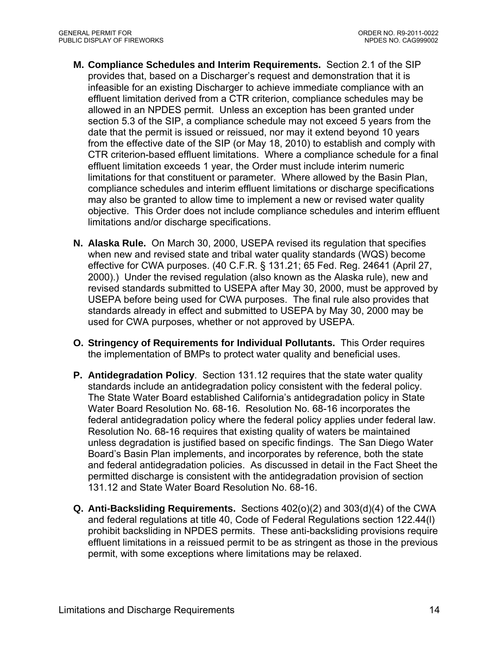- **M. Compliance Schedules and Interim Requirements.** Section 2.1 of the SIP provides that, based on a Discharger's request and demonstration that it is infeasible for an existing Discharger to achieve immediate compliance with an effluent limitation derived from a CTR criterion, compliance schedules may be allowed in an NPDES permit. Unless an exception has been granted under section 5.3 of the SIP, a compliance schedule may not exceed 5 years from the date that the permit is issued or reissued, nor may it extend beyond 10 years from the effective date of the SIP (or May 18, 2010) to establish and comply with CTR criterion-based effluent limitations. Where a compliance schedule for a final effluent limitation exceeds 1 year, the Order must include interim numeric limitations for that constituent or parameter. Where allowed by the Basin Plan, compliance schedules and interim effluent limitations or discharge specifications may also be granted to allow time to implement a new or revised water quality objective. This Order does not include compliance schedules and interim effluent limitations and/or discharge specifications.
- **N. Alaska Rule.** On March 30, 2000, USEPA revised its regulation that specifies when new and revised state and tribal water quality standards (WQS) become effective for CWA purposes. (40 C.F.R. § 131.21; 65 Fed. Reg. 24641 (April 27, 2000).) Under the revised regulation (also known as the Alaska rule), new and revised standards submitted to USEPA after May 30, 2000, must be approved by USEPA before being used for CWA purposes. The final rule also provides that standards already in effect and submitted to USEPA by May 30, 2000 may be used for CWA purposes, whether or not approved by USEPA.
- **O. Stringency of Requirements for Individual Pollutants.** This Order requires the implementation of BMPs to protect water quality and beneficial uses.
- **P. Antidegradation Policy**. Section 131.12 requires that the state water quality standards include an antidegradation policy consistent with the federal policy. The State Water Board established California's antidegradation policy in State Water Board Resolution No. 68-16. Resolution No. 68-16 incorporates the federal antidegradation policy where the federal policy applies under federal law. Resolution No. 68-16 requires that existing quality of waters be maintained unless degradation is justified based on specific findings. The San Diego Water Board's Basin Plan implements, and incorporates by reference, both the state and federal antidegradation policies. As discussed in detail in the Fact Sheet the permitted discharge is consistent with the antidegradation provision of section 131.12 and State Water Board Resolution No. 68-16.
- **Q. Anti-Backsliding Requirements.** Sections 402(o)(2) and 303(d)(4) of the CWA and federal regulations at title 40, Code of Federal Regulations section 122.44(l) prohibit backsliding in NPDES permits. These anti-backsliding provisions require effluent limitations in a reissued permit to be as stringent as those in the previous permit, with some exceptions where limitations may be relaxed.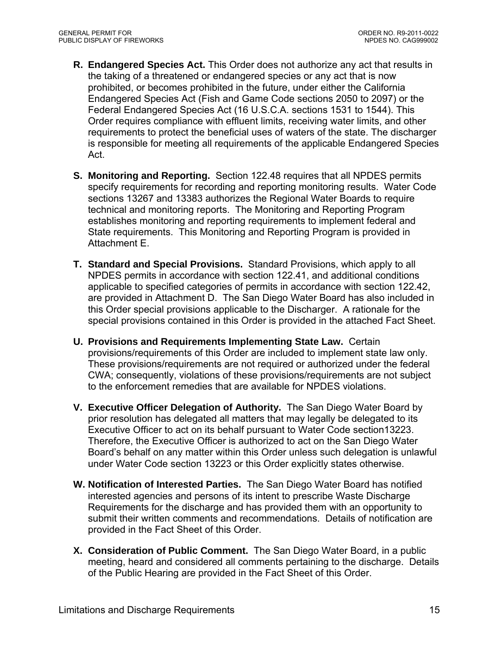- **R. Endangered Species Act.** This Order does not authorize any act that results in the taking of a threatened or endangered species or any act that is now prohibited, or becomes prohibited in the future, under either the California Endangered Species Act (Fish and Game Code sections 2050 to 2097) or the Federal Endangered Species Act (16 U.S.C.A. sections 1531 to 1544). This Order requires compliance with effluent limits, receiving water limits, and other requirements to protect the beneficial uses of waters of the state. The discharger is responsible for meeting all requirements of the applicable Endangered Species Act.
- **S. Monitoring and Reporting.** Section 122.48 requires that all NPDES permits specify requirements for recording and reporting monitoring results. Water Code sections 13267 and 13383 authorizes the Regional Water Boards to require technical and monitoring reports. The Monitoring and Reporting Program establishes monitoring and reporting requirements to implement federal and State requirements. This Monitoring and Reporting Program is provided in Attachment E.
- **T. Standard and Special Provisions.** Standard Provisions, which apply to all NPDES permits in accordance with section 122.41, and additional conditions applicable to specified categories of permits in accordance with section 122.42, are provided in Attachment D. The San Diego Water Board has also included in this Order special provisions applicable to the Discharger. A rationale for the special provisions contained in this Order is provided in the attached Fact Sheet.
- **U. Provisions and Requirements Implementing State Law.** Certain provisions/requirements of this Order are included to implement state law only. These provisions/requirements are not required or authorized under the federal CWA; consequently, violations of these provisions/requirements are not subject to the enforcement remedies that are available for NPDES violations.
- **V. Executive Officer Delegation of Authority.** The San Diego Water Board by prior resolution has delegated all matters that may legally be delegated to its Executive Officer to act on its behalf pursuant to Water Code section13223. Therefore, the Executive Officer is authorized to act on the San Diego Water Board's behalf on any matter within this Order unless such delegation is unlawful under Water Code section 13223 or this Order explicitly states otherwise.
- **W. Notification of Interested Parties.** The San Diego Water Board has notified interested agencies and persons of its intent to prescribe Waste Discharge Requirements for the discharge and has provided them with an opportunity to submit their written comments and recommendations. Details of notification are provided in the Fact Sheet of this Order.
- **X. Consideration of Public Comment.** The San Diego Water Board, in a public meeting, heard and considered all comments pertaining to the discharge. Details of the Public Hearing are provided in the Fact Sheet of this Order.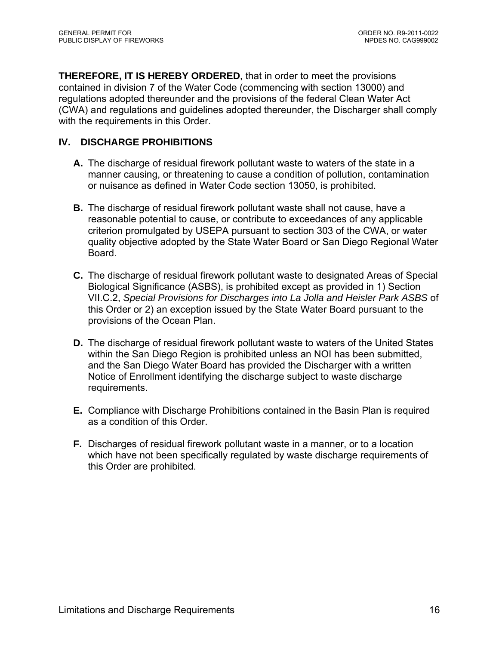**THEREFORE, IT IS HEREBY ORDERED**, that in order to meet the provisions contained in division 7 of the Water Code (commencing with section 13000) and regulations adopted thereunder and the provisions of the federal Clean Water Act (CWA) and regulations and guidelines adopted thereunder, the Discharger shall comply with the requirements in this Order.

# **IV. DISCHARGE PROHIBITIONS**

- **A.** The discharge of residual firework pollutant waste to waters of the state in a manner causing, or threatening to cause a condition of pollution, contamination or nuisance as defined in Water Code section 13050, is prohibited.
- **B.** The discharge of residual firework pollutant waste shall not cause, have a reasonable potential to cause, or contribute to exceedances of any applicable criterion promulgated by USEPA pursuant to section 303 of the CWA, or water quality objective adopted by the State Water Board or San Diego Regional Water Board.
- **C.** The discharge of residual firework pollutant waste to designated Areas of Special Biological Significance (ASBS), is prohibited except as provided in 1) Section VII.C.2, *Special Provisions for Discharges into La Jolla and Heisler Park ASBS* of this Order or 2) an exception issued by the State Water Board pursuant to the provisions of the Ocean Plan.
- **D.** The discharge of residual firework pollutant waste to waters of the United States within the San Diego Region is prohibited unless an NOI has been submitted, and the San Diego Water Board has provided the Discharger with a written Notice of Enrollment identifying the discharge subject to waste discharge requirements.
- **E.** Compliance with Discharge Prohibitions contained in the Basin Plan is required as a condition of this Order.
- **F.** Discharges of residual firework pollutant waste in a manner, or to a location which have not been specifically regulated by waste discharge requirements of this Order are prohibited.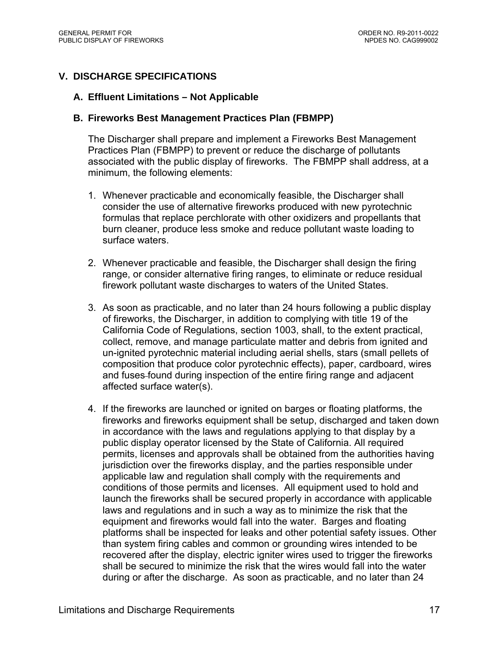# **V. DISCHARGE SPECIFICATIONS**

#### **A. Effluent Limitations – Not Applicable**

#### **B. Fireworks Best Management Practices Plan (FBMPP)**

The Discharger shall prepare and implement a Fireworks Best Management Practices Plan (FBMPP) to prevent or reduce the discharge of pollutants associated with the public display of fireworks. The FBMPP shall address, at a minimum, the following elements:

- 1. Whenever practicable and economically feasible, the Discharger shall consider the use of alternative fireworks produced with new pyrotechnic formulas that replace perchlorate with other oxidizers and propellants that burn cleaner, produce less smoke and reduce pollutant waste loading to surface waters.
- 2. Whenever practicable and feasible, the Discharger shall design the firing range, or consider alternative firing ranges, to eliminate or reduce residual firework pollutant waste discharges to waters of the United States.
- 3. As soon as practicable, and no later than 24 hours following a public display of fireworks, the Discharger, in addition to complying with title 19 of the California Code of Regulations, section 1003, shall, to the extent practical, collect, remove, and manage particulate matter and debris from ignited and un-ignited pyrotechnic material including aerial shells, stars (small pellets of composition that produce color pyrotechnic effects), paper, cardboard, wires and fuses found during inspection of the entire firing range and adjacent affected surface water(s).
- 4. If the fireworks are launched or ignited on barges or floating platforms, the fireworks and fireworks equipment shall be setup, discharged and taken down in accordance with the laws and regulations applying to that display by a public display operator licensed by the State of California. All required permits, licenses and approvals shall be obtained from the authorities having jurisdiction over the fireworks display, and the parties responsible under applicable law and regulation shall comply with the requirements and conditions of those permits and licenses. All equipment used to hold and launch the fireworks shall be secured properly in accordance with applicable laws and regulations and in such a way as to minimize the risk that the equipment and fireworks would fall into the water. Barges and floating platforms shall be inspected for leaks and other potential safety issues. Other than system firing cables and common or grounding wires intended to be recovered after the display, electric igniter wires used to trigger the fireworks shall be secured to minimize the risk that the wires would fall into the water during or after the discharge. As soon as practicable, and no later than 24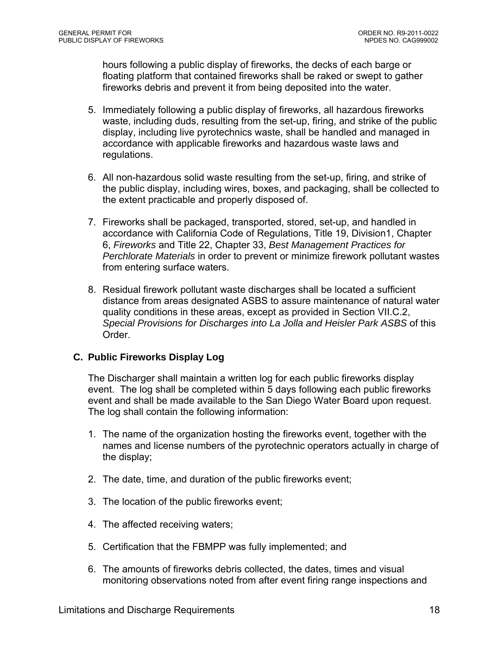hours following a public display of fireworks, the decks of each barge or floating platform that contained fireworks shall be raked or swept to gather fireworks debris and prevent it from being deposited into the water.

- 5. Immediately following a public display of fireworks, all hazardous fireworks waste, including duds, resulting from the set-up, firing, and strike of the public display, including live pyrotechnics waste, shall be handled and managed in accordance with applicable fireworks and hazardous waste laws and regulations.
- 6. All non-hazardous solid waste resulting from the set-up, firing, and strike of the public display, including wires, boxes, and packaging, shall be collected to the extent practicable and properly disposed of.
- 7. Fireworks shall be packaged, transported, stored, set-up, and handled in accordance with California Code of Regulations, Title 19, Division1, Chapter 6, *Fireworks* and Title 22, Chapter 33, *Best Management Practices for Perchlorate Materials* in order to prevent or minimize firework pollutant wastes from entering surface waters.
- 8. Residual firework pollutant waste discharges shall be located a sufficient distance from areas designated ASBS to assure maintenance of natural water quality conditions in these areas, except as provided in Section VII.C.2, *Special Provisions for Discharges into La Jolla and Heisler Park ASBS* of this Order.

# **C. Public Fireworks Display Log**

The Discharger shall maintain a written log for each public fireworks display event. The log shall be completed within 5 days following each public fireworks event and shall be made available to the San Diego Water Board upon request. The log shall contain the following information:

- 1. The name of the organization hosting the fireworks event, together with the names and license numbers of the pyrotechnic operators actually in charge of the display;
- 2. The date, time, and duration of the public fireworks event;
- 3. The location of the public fireworks event;
- 4. The affected receiving waters;
- 5. Certification that the FBMPP was fully implemented; and
- 6. The amounts of fireworks debris collected, the dates, times and visual monitoring observations noted from after event firing range inspections and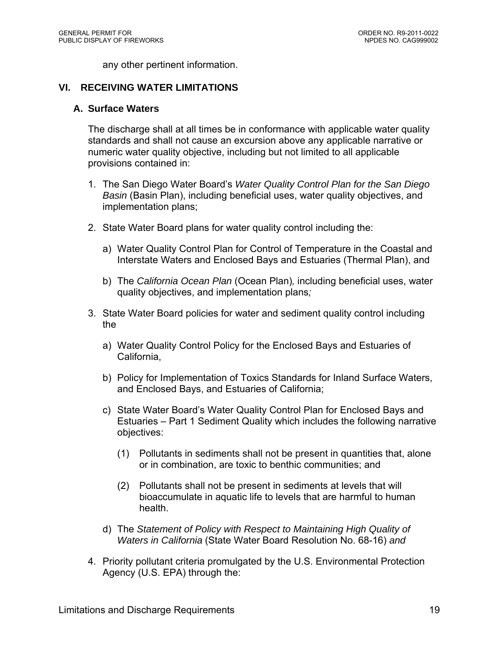any other pertinent information.

#### **VI. RECEIVING WATER LIMITATIONS**

#### **A. Surface Waters**

The discharge shall at all times be in conformance with applicable water quality standards and shall not cause an excursion above any applicable narrative or numeric water quality objective, including but not limited to all applicable provisions contained in:

- 1. The San Diego Water Board's *Water Quality Control Plan for the San Diego Basin* (Basin Plan), including beneficial uses, water quality objectives, and implementation plans;
- 2. State Water Board plans for water quality control including the:
	- a) Water Quality Control Plan for Control of Temperature in the Coastal and Interstate Waters and Enclosed Bays and Estuaries (Thermal Plan), and
	- b) The *California Ocean Plan* (Ocean Plan)*,* including beneficial uses, water quality objectives, and implementation plans*;*
- 3. State Water Board policies for water and sediment quality control including the
	- a) Water Quality Control Policy for the Enclosed Bays and Estuaries of California,
	- b) Policy for Implementation of Toxics Standards for Inland Surface Waters, and Enclosed Bays, and Estuaries of California;
	- c) State Water Board's Water Quality Control Plan for Enclosed Bays and Estuaries – Part 1 Sediment Quality which includes the following narrative objectives:
		- (1) Pollutants in sediments shall not be present in quantities that, alone or in combination, are toxic to benthic communities; and
		- (2) Pollutants shall not be present in sediments at levels that will bioaccumulate in aquatic life to levels that are harmful to human health.
	- d) The *Statement of Policy with Respect to Maintaining High Quality of Waters in California* (State Water Board Resolution No. 68-16) *and*
- 4. Priority pollutant criteria promulgated by the U.S. Environmental Protection Agency (U.S. EPA) through the: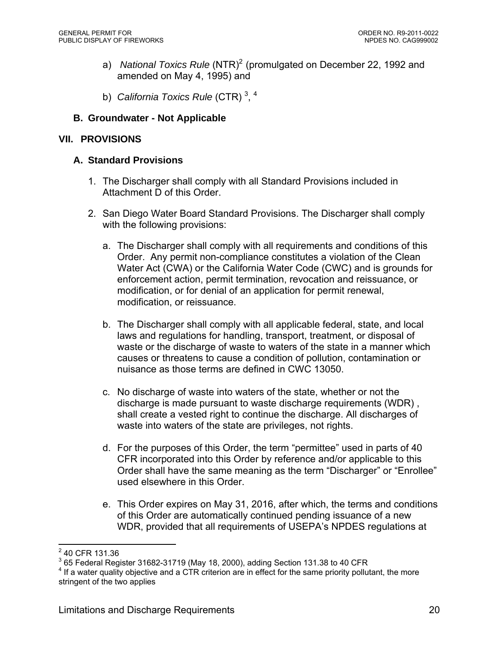- a) National Toxics Rule (NTR)<sup>2</sup> (promulgated on December 22, 1992 and amended on May 4, 1995) and
- b) *California Toxics Rule* (CTR)<sup>3,4</sup>

# **B. Groundwater - Not Applicable**

# **VII. PROVISIONS**

# **A. Standard Provisions**

- 1. The Discharger shall comply with all Standard Provisions included in Attachment D of this Order.
- 2. San Diego Water Board Standard Provisions. The Discharger shall comply with the following provisions:
	- a. The Discharger shall comply with all requirements and conditions of this Order. Any permit non-compliance constitutes a violation of the Clean Water Act (CWA) or the California Water Code (CWC) and is grounds for enforcement action, permit termination, revocation and reissuance, or modification, or for denial of an application for permit renewal, modification, or reissuance.
	- b. The Discharger shall comply with all applicable federal, state, and local laws and regulations for handling, transport, treatment, or disposal of waste or the discharge of waste to waters of the state in a manner which causes or threatens to cause a condition of pollution, contamination or nuisance as those terms are defined in CWC 13050.
	- c. No discharge of waste into waters of the state, whether or not the discharge is made pursuant to waste discharge requirements (WDR) , shall create a vested right to continue the discharge. All discharges of waste into waters of the state are privileges, not rights.
	- d. For the purposes of this Order, the term "permittee" used in parts of 40 CFR incorporated into this Order by reference and/or applicable to this Order shall have the same meaning as the term "Discharger" or "Enrollee" used elsewhere in this Order.
	- e. This Order expires on May 31, 2016, after which, the terms and conditions of this Order are automatically continued pending issuance of a new WDR, provided that all requirements of USEPA's NPDES regulations at

<sup>&</sup>lt;u>2</u><br>2 40 CFR 131.36

 $^3$  65 Federal Register 31682-31719 (May 18, 2000), adding Section 131.38 to 40 CFR<br>4 If a water quality objective and a CTB eritorian are in effect for the same priority pollut

 $4$  If a water quality objective and a CTR criterion are in effect for the same priority pollutant, the more stringent of the two applies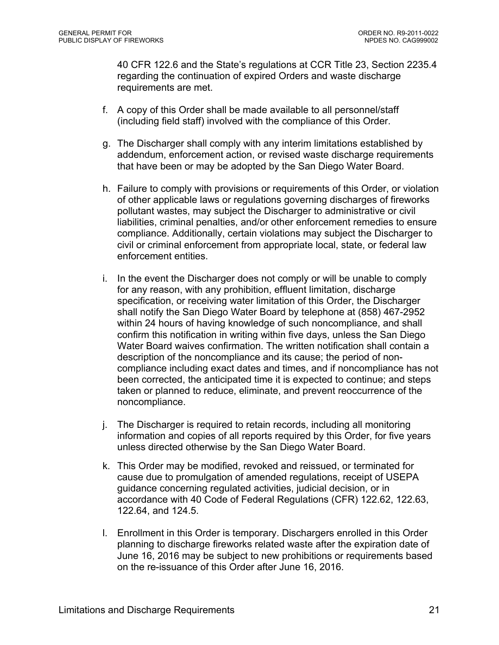40 CFR 122.6 and the State's regulations at CCR Title 23, Section 2235.4 regarding the continuation of expired Orders and waste discharge requirements are met.

- f. A copy of this Order shall be made available to all personnel/staff (including field staff) involved with the compliance of this Order.
- g. The Discharger shall comply with any interim limitations established by addendum, enforcement action, or revised waste discharge requirements that have been or may be adopted by the San Diego Water Board.
- h. Failure to comply with provisions or requirements of this Order, or violation of other applicable laws or regulations governing discharges of fireworks pollutant wastes, may subject the Discharger to administrative or civil liabilities, criminal penalties, and/or other enforcement remedies to ensure compliance. Additionally, certain violations may subject the Discharger to civil or criminal enforcement from appropriate local, state, or federal law enforcement entities.
- i. In the event the Discharger does not comply or will be unable to comply for any reason, with any prohibition, effluent limitation, discharge specification, or receiving water limitation of this Order, the Discharger shall notify the San Diego Water Board by telephone at (858) 467-2952 within 24 hours of having knowledge of such noncompliance, and shall confirm this notification in writing within five days, unless the San Diego Water Board waives confirmation. The written notification shall contain a description of the noncompliance and its cause; the period of noncompliance including exact dates and times, and if noncompliance has not been corrected, the anticipated time it is expected to continue; and steps taken or planned to reduce, eliminate, and prevent reoccurrence of the noncompliance.
- j. The Discharger is required to retain records, including all monitoring information and copies of all reports required by this Order, for five years unless directed otherwise by the San Diego Water Board.
- k. This Order may be modified, revoked and reissued, or terminated for cause due to promulgation of amended regulations, receipt of USEPA guidance concerning regulated activities, judicial decision, or in accordance with 40 Code of Federal Regulations (CFR) 122.62, 122.63, 122.64, and 124.5.
- l. Enrollment in this Order is temporary. Dischargers enrolled in this Order planning to discharge fireworks related waste after the expiration date of June 16, 2016 may be subject to new prohibitions or requirements based on the re-issuance of this Order after June 16, 2016.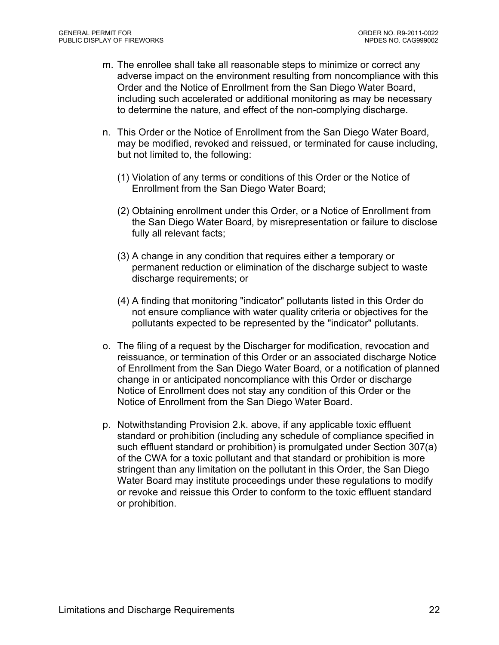- m. The enrollee shall take all reasonable steps to minimize or correct any adverse impact on the environment resulting from noncompliance with this Order and the Notice of Enrollment from the San Diego Water Board, including such accelerated or additional monitoring as may be necessary to determine the nature, and effect of the non-complying discharge.
- n. This Order or the Notice of Enrollment from the San Diego Water Board, may be modified, revoked and reissued, or terminated for cause including, but not limited to, the following:
	- (1) Violation of any terms or conditions of this Order or the Notice of Enrollment from the San Diego Water Board;
	- (2) Obtaining enrollment under this Order, or a Notice of Enrollment from the San Diego Water Board, by misrepresentation or failure to disclose fully all relevant facts;
	- (3) A change in any condition that requires either a temporary or permanent reduction or elimination of the discharge subject to waste discharge requirements; or
	- (4) A finding that monitoring "indicator" pollutants listed in this Order do not ensure compliance with water quality criteria or objectives for the pollutants expected to be represented by the "indicator" pollutants.
- o. The filing of a request by the Discharger for modification, revocation and reissuance, or termination of this Order or an associated discharge Notice of Enrollment from the San Diego Water Board, or a notification of planned change in or anticipated noncompliance with this Order or discharge Notice of Enrollment does not stay any condition of this Order or the Notice of Enrollment from the San Diego Water Board.
- p. Notwithstanding Provision 2.k. above, if any applicable toxic effluent standard or prohibition (including any schedule of compliance specified in such effluent standard or prohibition) is promulgated under Section 307(a) of the CWA for a toxic pollutant and that standard or prohibition is more stringent than any limitation on the pollutant in this Order, the San Diego Water Board may institute proceedings under these regulations to modify or revoke and reissue this Order to conform to the toxic effluent standard or prohibition.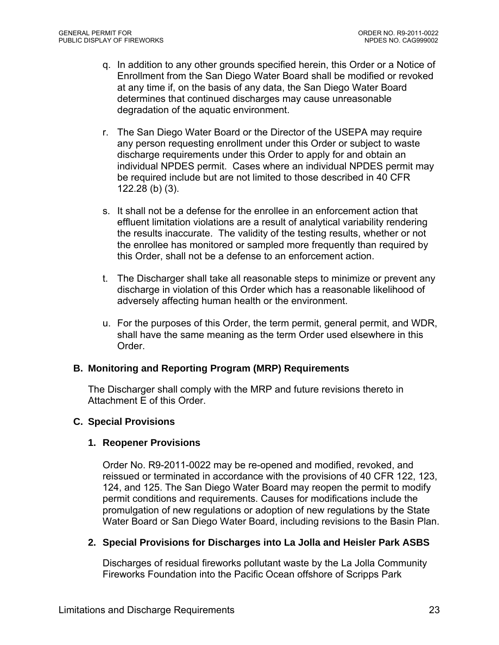- q. In addition to any other grounds specified herein, this Order or a Notice of Enrollment from the San Diego Water Board shall be modified or revoked at any time if, on the basis of any data, the San Diego Water Board determines that continued discharges may cause unreasonable degradation of the aquatic environment.
- r. The San Diego Water Board or the Director of the USEPA may require any person requesting enrollment under this Order or subject to waste discharge requirements under this Order to apply for and obtain an individual NPDES permit. Cases where an individual NPDES permit may be required include but are not limited to those described in 40 CFR 122.28 (b) (3).
- s. It shall not be a defense for the enrollee in an enforcement action that effluent limitation violations are a result of analytical variability rendering the results inaccurate. The validity of the testing results, whether or not the enrollee has monitored or sampled more frequently than required by this Order, shall not be a defense to an enforcement action.
- t. The Discharger shall take all reasonable steps to minimize or prevent any discharge in violation of this Order which has a reasonable likelihood of adversely affecting human health or the environment.
- u. For the purposes of this Order, the term permit, general permit, and WDR, shall have the same meaning as the term Order used elsewhere in this Order.

# **B. Monitoring and Reporting Program (MRP) Requirements**

The Discharger shall comply with the MRP and future revisions thereto in Attachment E of this Order.

#### **C. Special Provisions**

#### **1. Reopener Provisions**

Order No. R9-2011-0022 may be re-opened and modified, revoked, and reissued or terminated in accordance with the provisions of 40 CFR 122, 123, 124, and 125. The San Diego Water Board may reopen the permit to modify permit conditions and requirements. Causes for modifications include the promulgation of new regulations or adoption of new regulations by the State Water Board or San Diego Water Board, including revisions to the Basin Plan.

#### **2. Special Provisions for Discharges into La Jolla and Heisler Park ASBS**

Discharges of residual fireworks pollutant waste by the La Jolla Community Fireworks Foundation into the Pacific Ocean offshore of Scripps Park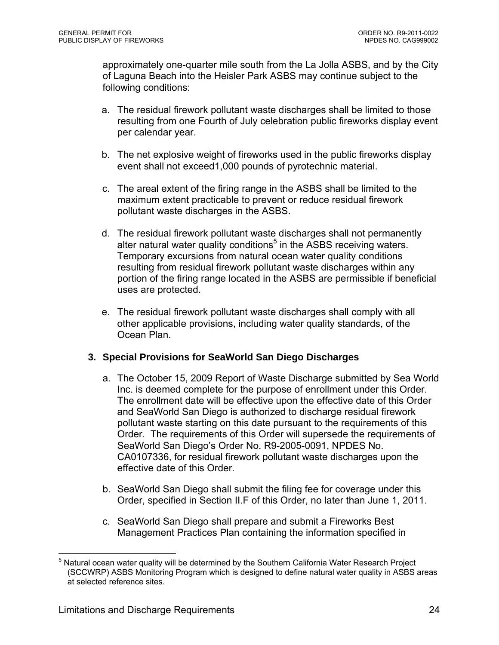approximately one-quarter mile south from the La Jolla ASBS, and by the City of Laguna Beach into the Heisler Park ASBS may continue subject to the following conditions:

- a. The residual firework pollutant waste discharges shall be limited to those resulting from one Fourth of July celebration public fireworks display event per calendar year.
- b. The net explosive weight of fireworks used in the public fireworks display event shall not exceed1,000 pounds of pyrotechnic material.
- c. The areal extent of the firing range in the ASBS shall be limited to the maximum extent practicable to prevent or reduce residual firework pollutant waste discharges in the ASBS.
- d. The residual firework pollutant waste discharges shall not permanently alter natural water quality conditions<sup>5</sup> in the ASBS receiving waters. Temporary excursions from natural ocean water quality conditions resulting from residual firework pollutant waste discharges within any portion of the firing range located in the ASBS are permissible if beneficial uses are protected.
- e. The residual firework pollutant waste discharges shall comply with all other applicable provisions, including water quality standards, of the Ocean Plan.

# **3. Special Provisions for SeaWorld San Diego Discharges**

- a. The October 15, 2009 Report of Waste Discharge submitted by Sea World Inc. is deemed complete for the purpose of enrollment under this Order. The enrollment date will be effective upon the effective date of this Order and SeaWorld San Diego is authorized to discharge residual firework pollutant waste starting on this date pursuant to the requirements of this Order. The requirements of this Order will supersede the requirements of SeaWorld San Diego's Order No. R9-2005-0091, NPDES No. CA0107336, for residual firework pollutant waste discharges upon the effective date of this Order.
- b. SeaWorld San Diego shall submit the filing fee for coverage under this Order, specified in Section II.F of this Order, no later than June 1, 2011.
- c. SeaWorld San Diego shall prepare and submit a Fireworks Best Management Practices Plan containing the information specified in

<sup>1</sup> <sup>5</sup> Natural ocean water quality will be determined by the Southern California Water Research Project (SCCWRP) ASBS Monitoring Program which is designed to define natural water quality in ASBS areas at selected reference sites.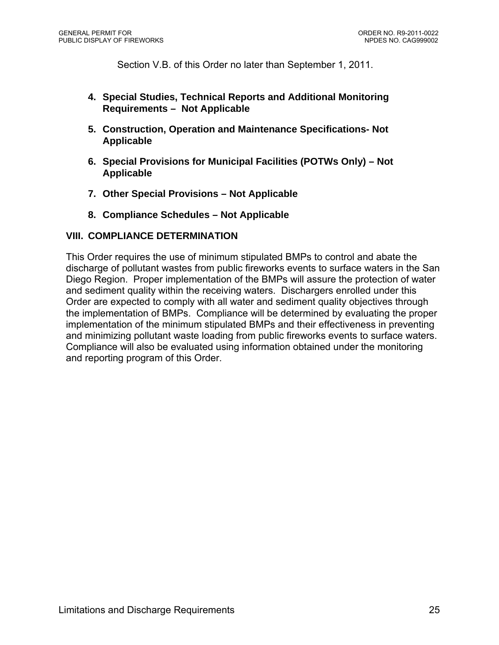Section V.B. of this Order no later than September 1, 2011.

- **4. Special Studies, Technical Reports and Additional Monitoring Requirements – Not Applicable**
- **5. Construction, Operation and Maintenance Specifications- Not Applicable**
- **6. Special Provisions for Municipal Facilities (POTWs Only) Not Applicable**
- **7. Other Special Provisions Not Applicable**
- **8. Compliance Schedules Not Applicable**

#### **VIII. COMPLIANCE DETERMINATION**

This Order requires the use of minimum stipulated BMPs to control and abate the discharge of pollutant wastes from public fireworks events to surface waters in the San Diego Region. Proper implementation of the BMPs will assure the protection of water and sediment quality within the receiving waters. Dischargers enrolled under this Order are expected to comply with all water and sediment quality objectives through the implementation of BMPs. Compliance will be determined by evaluating the proper implementation of the minimum stipulated BMPs and their effectiveness in preventing and minimizing pollutant waste loading from public fireworks events to surface waters. Compliance will also be evaluated using information obtained under the monitoring and reporting program of this Order.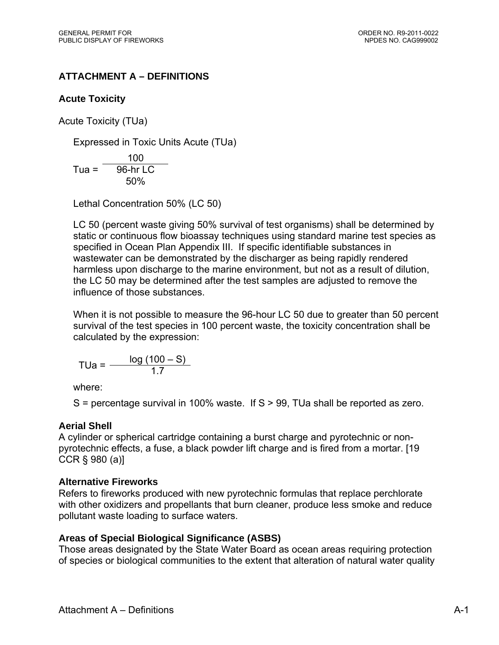# **ATTACHMENT A – DEFINITIONS**

# **Acute Toxicity**

Acute Toxicity (TUa)

Expressed in Toxic Units Acute (TUa)

$$
Tua = \frac{100}{96 \text{-hr LC}}
$$
  

$$
50\%
$$

Lethal Concentration 50% (LC 50)

LC 50 (percent waste giving 50% survival of test organisms) shall be determined by static or continuous flow bioassay techniques using standard marine test species as specified in Ocean Plan Appendix III. If specific identifiable substances in wastewater can be demonstrated by the discharger as being rapidly rendered harmless upon discharge to the marine environment, but not as a result of dilution, the LC 50 may be determined after the test samples are adjusted to remove the influence of those substances.

When it is not possible to measure the 96-hour LC 50 due to greater than 50 percent survival of the test species in 100 percent waste, the toxicity concentration shall be calculated by the expression:

$$
TUa = \frac{\log (100 - S)}{1.7}
$$

where:

 $S =$  percentage survival in 100% waste. If  $S > 99$ , TUa shall be reported as zero.

# **Aerial Shell**

A cylinder or spherical cartridge containing a burst charge and pyrotechnic or nonpyrotechnic effects, a fuse, a black powder lift charge and is fired from a mortar. [19 CCR § 980 (a)]

# **Alternative Fireworks**

Refers to fireworks produced with new pyrotechnic formulas that replace perchlorate with other oxidizers and propellants that burn cleaner, produce less smoke and reduce pollutant waste loading to surface waters.

# **Areas of Special Biological Significance (ASBS)**

Those areas designated by the State Water Board as ocean areas requiring protection of species or biological communities to the extent that alteration of natural water quality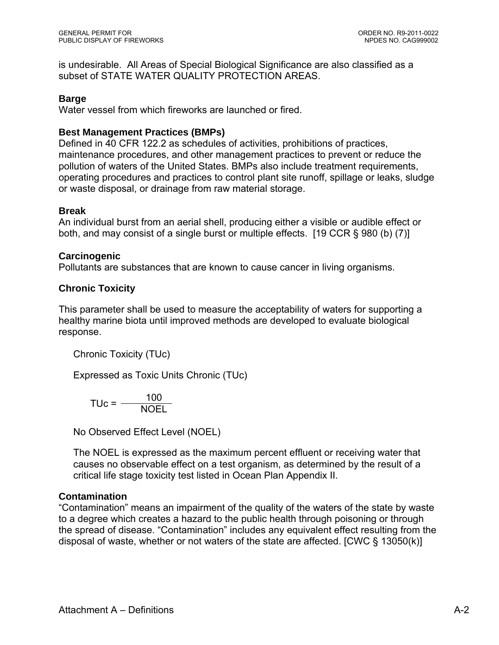is undesirable. All Areas of Special Biological Significance are also classified as a subset of STATE WATER QUALITY PROTECTION AREAS.

# **Barge**

Water vessel from which fireworks are launched or fired.

# **Best Management Practices (BMPs)**

Defined in 40 CFR 122.2 as schedules of activities, prohibitions of practices, maintenance procedures, and other management practices to prevent or reduce the pollution of waters of the United States. BMPs also include treatment requirements, operating procedures and practices to control plant site runoff, spillage or leaks, sludge or waste disposal, or drainage from raw material storage.

# **Break**

An individual burst from an aerial shell, producing either a visible or audible effect or both, and may consist of a single burst or multiple effects. [19 CCR § 980 (b) (7)]

# **Carcinogenic**

Pollutants are substances that are known to cause cancer in living organisms.

# **Chronic Toxicity**

This parameter shall be used to measure the acceptability of waters for supporting a healthy marine biota until improved methods are developed to evaluate biological response.

Chronic Toxicity (TUc)

Expressed as Toxic Units Chronic (TUc)

$$
TUC = \frac{100}{NOLL}
$$

No Observed Effect Level (NOEL)

The NOEL is expressed as the maximum percent effluent or receiving water that causes no observable effect on a test organism, as determined by the result of a critical life stage toxicity test listed in Ocean Plan Appendix II.

# **Contamination**

"Contamination" means an impairment of the quality of the waters of the state by waste to a degree which creates a hazard to the public health through poisoning or through the spread of disease. "Contamination" includes any equivalent effect resulting from the disposal of waste, whether or not waters of the state are affected. [CWC § 13050(k)]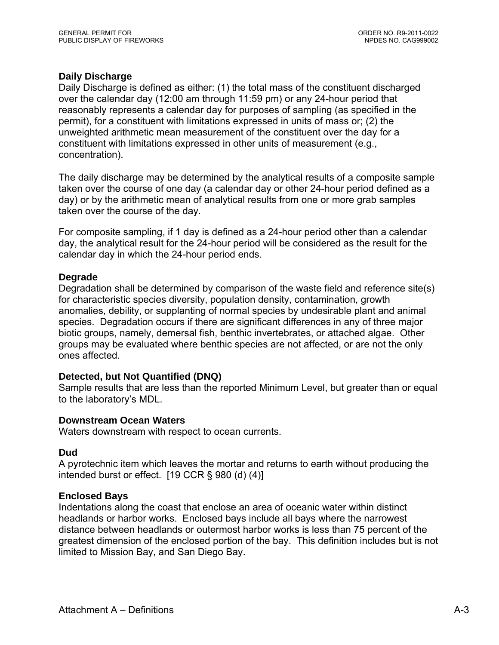# **Daily Discharge**

Daily Discharge is defined as either: (1) the total mass of the constituent discharged over the calendar day (12:00 am through 11:59 pm) or any 24-hour period that reasonably represents a calendar day for purposes of sampling (as specified in the permit), for a constituent with limitations expressed in units of mass or; (2) the unweighted arithmetic mean measurement of the constituent over the day for a constituent with limitations expressed in other units of measurement (e.g., concentration).

The daily discharge may be determined by the analytical results of a composite sample taken over the course of one day (a calendar day or other 24-hour period defined as a day) or by the arithmetic mean of analytical results from one or more grab samples taken over the course of the day.

For composite sampling, if 1 day is defined as a 24-hour period other than a calendar day, the analytical result for the 24-hour period will be considered as the result for the calendar day in which the 24-hour period ends.

#### **Degrade**

Degradation shall be determined by comparison of the waste field and reference site(s) for characteristic species diversity, population density, contamination, growth anomalies, debility, or supplanting of normal species by undesirable plant and animal species. Degradation occurs if there are significant differences in any of three major biotic groups, namely, demersal fish, benthic invertebrates, or attached algae. Other groups may be evaluated where benthic species are not affected, or are not the only ones affected.

#### **Detected, but Not Quantified (DNQ)**

Sample results that are less than the reported Minimum Level, but greater than or equal to the laboratory's MDL.

#### **Downstream Ocean Waters**

Waters downstream with respect to ocean currents.

#### **Dud**

A pyrotechnic item which leaves the mortar and returns to earth without producing the intended burst or effect.  $[19 \text{ CCR} \S 980 \text{ (d)} (4)]$ 

#### **Enclosed Bays**

Indentations along the coast that enclose an area of oceanic water within distinct headlands or harbor works. Enclosed bays include all bays where the narrowest distance between headlands or outermost harbor works is less than 75 percent of the greatest dimension of the enclosed portion of the bay. This definition includes but is not limited to Mission Bay, and San Diego Bay.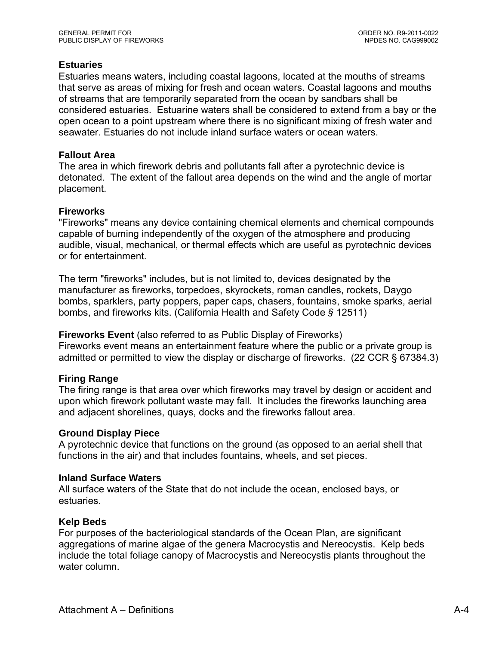# **Estuaries**

Estuaries means waters, including coastal lagoons, located at the mouths of streams that serve as areas of mixing for fresh and ocean waters. Coastal lagoons and mouths of streams that are temporarily separated from the ocean by sandbars shall be considered estuaries. Estuarine waters shall be considered to extend from a bay or the open ocean to a point upstream where there is no significant mixing of fresh water and seawater. Estuaries do not include inland surface waters or ocean waters.

# **Fallout Area**

The area in which firework debris and pollutants fall after a pyrotechnic device is detonated. The extent of the fallout area depends on the wind and the angle of mortar placement.

# **Fireworks**

"Fireworks" means any device containing chemical elements and chemical compounds capable of burning independently of the oxygen of the atmosphere and producing audible, visual, mechanical, or thermal effects which are useful as pyrotechnic devices or for entertainment.

The term "fireworks" includes, but is not limited to, devices designated by the manufacturer as fireworks, torpedoes, skyrockets, roman candles, rockets, Daygo bombs, sparklers, party poppers, paper caps, chasers, fountains, smoke sparks, aerial bombs, and fireworks kits. (California Health and Safety Code *§* 12511)

#### **Fireworks Event** (also referred to as Public Display of Fireworks)

Fireworks event means an entertainment feature where the public or a private group is admitted or permitted to view the display or discharge of fireworks. (22 CCR § 67384.3)

# **Firing Range**

The firing range is that area over which fireworks may travel by design or accident and upon which firework pollutant waste may fall. It includes the fireworks launching area and adjacent shorelines, quays, docks and the fireworks fallout area.

#### **Ground Display Piece**

A pyrotechnic device that functions on the ground (as opposed to an aerial shell that functions in the air) and that includes fountains, wheels, and set pieces.

#### **Inland Surface Waters**

All surface waters of the State that do not include the ocean, enclosed bays, or estuaries.

# **Kelp Beds**

For purposes of the bacteriological standards of the Ocean Plan, are significant aggregations of marine algae of the genera Macrocystis and Nereocystis. Kelp beds include the total foliage canopy of Macrocystis and Nereocystis plants throughout the water column.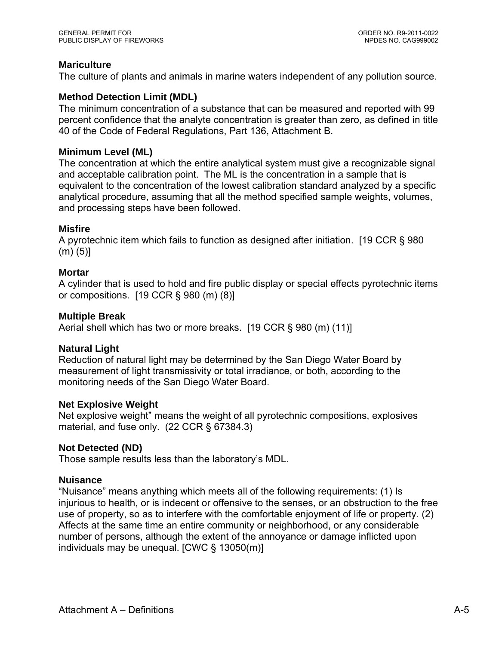# **Mariculture**

The culture of plants and animals in marine waters independent of any pollution source.

# **Method Detection Limit (MDL)**

The minimum concentration of a substance that can be measured and reported with 99 percent confidence that the analyte concentration is greater than zero, as defined in title 40 of the Code of Federal Regulations, Part 136, Attachment B.

# **Minimum Level (ML)**

The concentration at which the entire analytical system must give a recognizable signal and acceptable calibration point. The ML is the concentration in a sample that is equivalent to the concentration of the lowest calibration standard analyzed by a specific analytical procedure, assuming that all the method specified sample weights, volumes, and processing steps have been followed.

#### **Misfire**

A pyrotechnic item which fails to function as designed after initiation. [19 CCR § 980 (m) (5)]

#### **Mortar**

A cylinder that is used to hold and fire public display or special effects pyrotechnic items or compositions. [19 CCR § 980 (m) (8)]

# **Multiple Break**

Aerial shell which has two or more breaks. [19 CCR § 980 (m) (11)]

#### **Natural Light**

Reduction of natural light may be determined by the San Diego Water Board by measurement of light transmissivity or total irradiance, or both, according to the monitoring needs of the San Diego Water Board.

#### **Net Explosive Weight**

Net explosive weight" means the weight of all pyrotechnic compositions, explosives material, and fuse only. (22 CCR § 67384.3)

#### **Not Detected (ND)**

Those sample results less than the laboratory's MDL.

# **Nuisance**

"Nuisance" means anything which meets all of the following requirements: (1) Is injurious to health, or is indecent or offensive to the senses, or an obstruction to the free use of property, so as to interfere with the comfortable enjoyment of life or property. (2) Affects at the same time an entire community or neighborhood, or any considerable number of persons, although the extent of the annoyance or damage inflicted upon individuals may be unequal. [CWC § 13050(m)]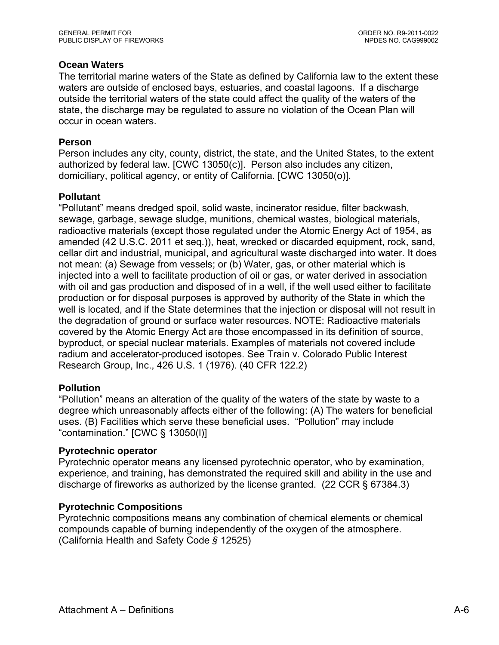# **Ocean Waters**

The territorial marine waters of the State as defined by California law to the extent these waters are outside of enclosed bays, estuaries, and coastal lagoons. If a discharge outside the territorial waters of the state could affect the quality of the waters of the state, the discharge may be regulated to assure no violation of the Ocean Plan will occur in ocean waters.

#### **Person**

Person includes any city, county, district, the state, and the United States, to the extent authorized by federal law. [CWC 13050(c)]. Person also includes any citizen, domiciliary, political agency, or entity of California. [CWC 13050(o)].

#### **Pollutant**

"Pollutant" means dredged spoil, solid waste, incinerator residue, filter backwash, sewage, garbage, sewage sludge, munitions, chemical wastes, biological materials, radioactive materials (except those regulated under the Atomic Energy Act of 1954, as amended (42 U.S.C. 2011 et seq.)), heat, wrecked or discarded equipment, rock, sand, cellar dirt and industrial, municipal, and agricultural waste discharged into water. It does not mean: (a) Sewage from vessels; or (b) Water, gas, or other material which is injected into a well to facilitate production of oil or gas, or water derived in association with oil and gas production and disposed of in a well, if the well used either to facilitate production or for disposal purposes is approved by authority of the State in which the well is located, and if the State determines that the injection or disposal will not result in the degradation of ground or surface water resources. NOTE: Radioactive materials covered by the Atomic Energy Act are those encompassed in its definition of source, byproduct, or special nuclear materials. Examples of materials not covered include radium and accelerator-produced isotopes. See Train v. Colorado Public Interest Research Group, Inc., 426 U.S. 1 (1976). (40 CFR 122.2)

#### **Pollution**

"Pollution" means an alteration of the quality of the waters of the state by waste to a degree which unreasonably affects either of the following: (A) The waters for beneficial uses. (B) Facilities which serve these beneficial uses. "Pollution" may include "contamination." [CWC § 13050(l)]

#### **Pyrotechnic operator**

Pyrotechnic operator means any licensed pyrotechnic operator, who by examination, experience, and training, has demonstrated the required skill and ability in the use and discharge of fireworks as authorized by the license granted. (22 CCR § 67384.3)

#### **Pyrotechnic Compositions**

Pyrotechnic compositions means any combination of chemical elements or chemical compounds capable of burning independently of the oxygen of the atmosphere. (California Health and Safety Code *§* 12525)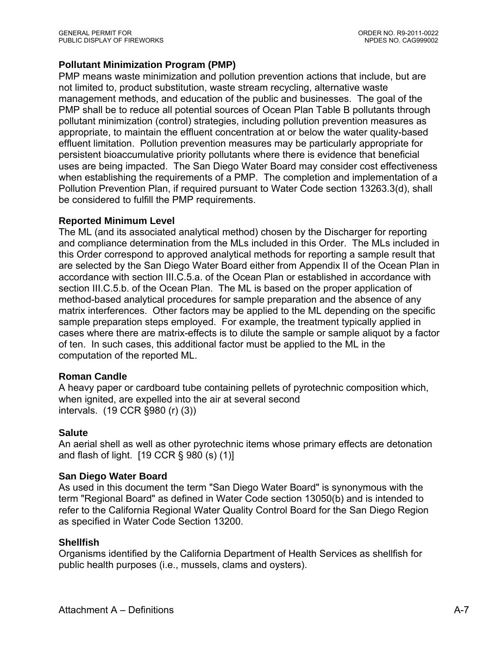# **Pollutant Minimization Program (PMP)**

PMP means waste minimization and pollution prevention actions that include, but are not limited to, product substitution, waste stream recycling, alternative waste management methods, and education of the public and businesses. The goal of the PMP shall be to reduce all potential sources of Ocean Plan Table B pollutants through pollutant minimization (control) strategies, including pollution prevention measures as appropriate, to maintain the effluent concentration at or below the water quality-based effluent limitation. Pollution prevention measures may be particularly appropriate for persistent bioaccumulative priority pollutants where there is evidence that beneficial uses are being impacted. The San Diego Water Board may consider cost effectiveness when establishing the requirements of a PMP. The completion and implementation of a Pollution Prevention Plan, if required pursuant to Water Code section 13263.3(d), shall be considered to fulfill the PMP requirements.

# **Reported Minimum Level**

The ML (and its associated analytical method) chosen by the Discharger for reporting and compliance determination from the MLs included in this Order. The MLs included in this Order correspond to approved analytical methods for reporting a sample result that are selected by the San Diego Water Board either from Appendix II of the Ocean Plan in accordance with section III.C.5.a. of the Ocean Plan or established in accordance with section III.C.5.b. of the Ocean Plan. The ML is based on the proper application of method-based analytical procedures for sample preparation and the absence of any matrix interferences. Other factors may be applied to the ML depending on the specific sample preparation steps employed. For example, the treatment typically applied in cases where there are matrix-effects is to dilute the sample or sample aliquot by a factor of ten. In such cases, this additional factor must be applied to the ML in the computation of the reported ML.

# **Roman Candle**

A heavy paper or cardboard tube containing pellets of pyrotechnic composition which, when ignited, are expelled into the air at several second intervals. (19 CCR §980 (r) (3))

#### **Salute**

An aerial shell as well as other pyrotechnic items whose primary effects are detonation and flash of light. [19 CCR § 980 (s) (1)]

#### **San Diego Water Board**

As used in this document the term "San Diego Water Board" is synonymous with the term "Regional Board" as defined in Water Code section 13050(b) and is intended to refer to the California Regional Water Quality Control Board for the San Diego Region as specified in Water Code Section 13200.

#### **Shellfish**

Organisms identified by the California Department of Health Services as shellfish for public health purposes (i.e., mussels, clams and oysters).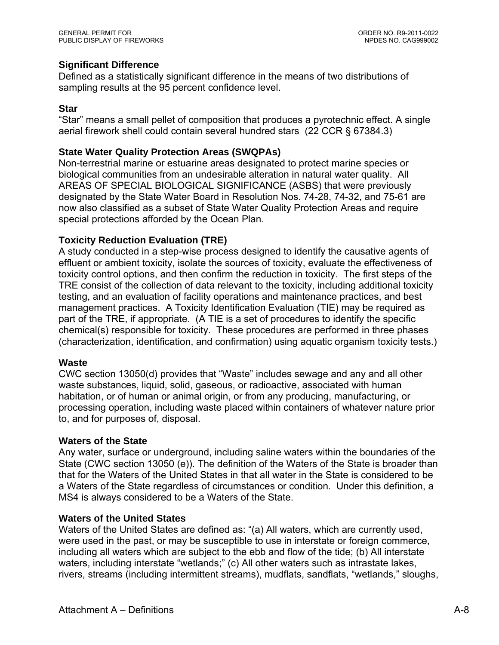# **Significant Difference**

Defined as a statistically significant difference in the means of two distributions of sampling results at the 95 percent confidence level.

# **Star**

"Star" means a small pellet of composition that produces a pyrotechnic effect. A single aerial firework shell could contain several hundred stars (22 CCR § 67384.3)

# **State Water Quality Protection Areas (SWQPAs)**

Non-terrestrial marine or estuarine areas designated to protect marine species or biological communities from an undesirable alteration in natural water quality. All AREAS OF SPECIAL BIOLOGICAL SIGNIFICANCE (ASBS) that were previously designated by the State Water Board in Resolution Nos. 74-28, 74-32, and 75-61 are now also classified as a subset of State Water Quality Protection Areas and require special protections afforded by the Ocean Plan.

# **Toxicity Reduction Evaluation (TRE)**

A study conducted in a step-wise process designed to identify the causative agents of effluent or ambient toxicity, isolate the sources of toxicity, evaluate the effectiveness of toxicity control options, and then confirm the reduction in toxicity. The first steps of the TRE consist of the collection of data relevant to the toxicity, including additional toxicity testing, and an evaluation of facility operations and maintenance practices, and best management practices. A Toxicity Identification Evaluation (TIE) may be required as part of the TRE, if appropriate. (A TIE is a set of procedures to identify the specific chemical(s) responsible for toxicity. These procedures are performed in three phases (characterization, identification, and confirmation) using aquatic organism toxicity tests.)

#### **Waste**

CWC section 13050(d) provides that "Waste" includes sewage and any and all other waste substances, liquid, solid, gaseous, or radioactive, associated with human habitation, or of human or animal origin, or from any producing, manufacturing, or processing operation, including waste placed within containers of whatever nature prior to, and for purposes of, disposal.

#### **Waters of the State**

Any water, surface or underground, including saline waters within the boundaries of the State (CWC section 13050 (e)). The definition of the Waters of the State is broader than that for the Waters of the United States in that all water in the State is considered to be a Waters of the State regardless of circumstances or condition. Under this definition, a MS4 is always considered to be a Waters of the State.

#### **Waters of the United States**

Waters of the United States are defined as: "(a) All waters, which are currently used, were used in the past, or may be susceptible to use in interstate or foreign commerce, including all waters which are subject to the ebb and flow of the tide; (b) All interstate waters, including interstate "wetlands;" (c) All other waters such as intrastate lakes, rivers, streams (including intermittent streams), mudflats, sandflats, "wetlands," sloughs,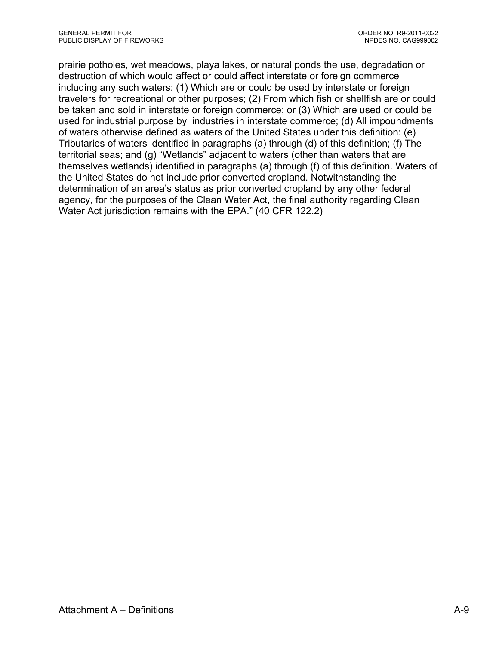prairie potholes, wet meadows, playa lakes, or natural ponds the use, degradation or destruction of which would affect or could affect interstate or foreign commerce including any such waters: (1) Which are or could be used by interstate or foreign travelers for recreational or other purposes; (2) From which fish or shellfish are or could be taken and sold in interstate or foreign commerce; or (3) Which are used or could be used for industrial purpose by industries in interstate commerce; (d) All impoundments of waters otherwise defined as waters of the United States under this definition: (e) Tributaries of waters identified in paragraphs (a) through (d) of this definition; (f) The territorial seas; and (g) "Wetlands" adjacent to waters (other than waters that are themselves wetlands) identified in paragraphs (a) through (f) of this definition. Waters of the United States do not include prior converted cropland. Notwithstanding the determination of an area's status as prior converted cropland by any other federal agency, for the purposes of the Clean Water Act, the final authority regarding Clean Water Act jurisdiction remains with the EPA." (40 CFR 122.2)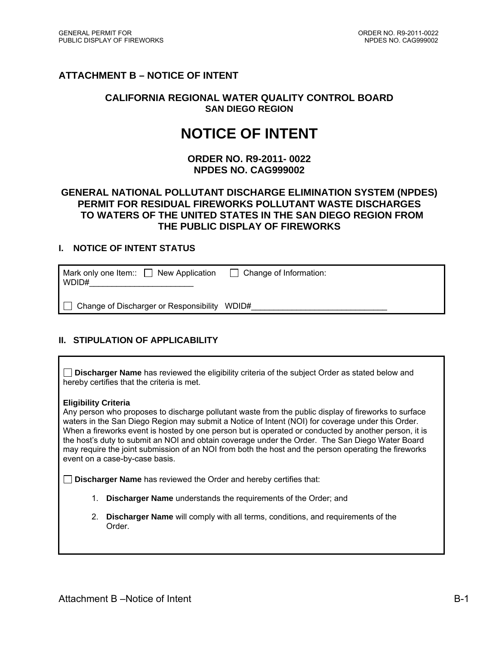# **ATTACHMENT B – NOTICE OF INTENT**

#### **CALIFORNIA REGIONAL WATER QUALITY CONTROL BOARD SAN DIEGO REGION**

# **NOTICE OF INTENT**

**ORDER NO. R9-2011- 0022 NPDES NO. CAG999002** 

#### **GENERAL NATIONAL POLLUTANT DISCHARGE ELIMINATION SYSTEM (NPDES) PERMIT FOR RESIDUAL FIREWORKS POLLUTANT WASTE DISCHARGES TO WATERS OF THE UNITED STATES IN THE SAN DIEGO REGION FROM THE PUBLIC DISPLAY OF FIREWORKS**

#### **I. NOTICE OF INTENT STATUS**

| Mark only one Item:: $\Box$ New Application<br>WDID# | $\Box$ Change of Information: |
|------------------------------------------------------|-------------------------------|
| Change of Discharger or Responsibility WDID#         |                               |

#### **II. STIPULATION OF APPLICABILITY**

**Discharger Name** has reviewed the eligibility criteria of the subject Order as stated below and hereby certifies that the criteria is met.

#### **Eligibility Criteria**

Any person who proposes to discharge pollutant waste from the public display of fireworks to surface waters in the San Diego Region may submit a Notice of Intent (NOI) for coverage under this Order. When a fireworks event is hosted by one person but is operated or conducted by another person, it is the host's duty to submit an NOI and obtain coverage under the Order. The San Diego Water Board may require the joint submission of an NOI from both the host and the person operating the fireworks event on a case-by-case basis.

**Discharger Name** has reviewed the Order and hereby certifies that:

- 1. **Discharger Name** understands the requirements of the Order; and
- 2. **Discharger Name** will comply with all terms, conditions, and requirements of the Order.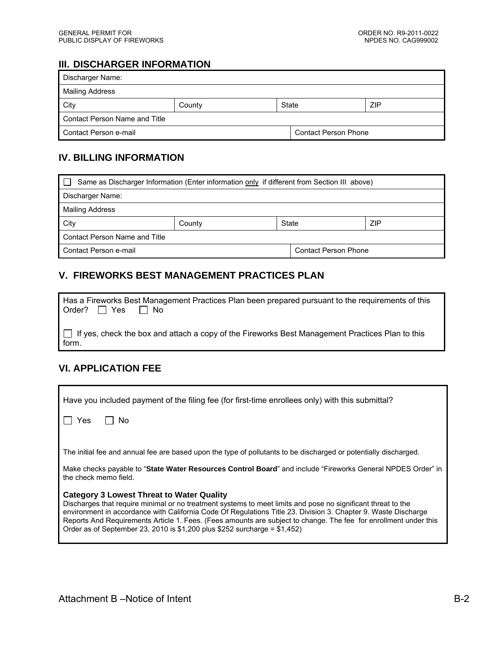# **III. DISCHARGER INFORMATION**

| Discharger Name:              |        |              |                             |  |
|-------------------------------|--------|--------------|-----------------------------|--|
| Mailing Address               |        |              |                             |  |
| City                          | County | ZIP<br>State |                             |  |
| Contact Person Name and Title |        |              |                             |  |
| Contact Person e-mail         |        |              | <b>Contact Person Phone</b> |  |

# **IV. BILLING INFORMATION**

| Same as Discharger Information (Enter information only if different from Section III above) |                        |  |  |
|---------------------------------------------------------------------------------------------|------------------------|--|--|
| Discharger Name:                                                                            |                        |  |  |
| Mailing Address                                                                             |                        |  |  |
| <b>City</b>                                                                                 | ZIP<br>State<br>County |  |  |
| Contact Person Name and Title                                                               |                        |  |  |
| Contact Person e-mail<br><b>Contact Person Phone</b>                                        |                        |  |  |

# **V. FIREWORKS BEST MANAGEMENT PRACTICES PLAN**

| Has a Fireworks Best Management Practices Plan been prepared pursuant to the requirements of this<br>Order? $\Box$ Yes $\Box$ No |
|----------------------------------------------------------------------------------------------------------------------------------|
| If yes, check the box and attach a copy of the Fireworks Best Management Practices Plan to this<br>form.                         |

# **VI. APPLICATION FEE**

| Have you included payment of the filing fee (for first-time enrollees only) with this submittal?                                                                                                                                                                                                                                                                                                                                                                               |
|--------------------------------------------------------------------------------------------------------------------------------------------------------------------------------------------------------------------------------------------------------------------------------------------------------------------------------------------------------------------------------------------------------------------------------------------------------------------------------|
| <b>No</b><br>Yes                                                                                                                                                                                                                                                                                                                                                                                                                                                               |
|                                                                                                                                                                                                                                                                                                                                                                                                                                                                                |
| The initial fee and annual fee are based upon the type of pollutants to be discharged or potentially discharged.                                                                                                                                                                                                                                                                                                                                                               |
| Make checks payable to "State Water Resources Control Board" and include "Fireworks General NPDES Order" in<br>the check memo field.                                                                                                                                                                                                                                                                                                                                           |
| Category 3 Lowest Threat to Water Quality<br>Discharges that require minimal or no treatment systems to meet limits and pose no significant threat to the<br>environment in accordance with California Code Of Regulations Title 23. Division 3. Chapter 9. Waste Discharge<br>Reports And Requirements Article 1. Fees. (Fees amounts are subject to change. The fee for enrollment under this<br>Order as of September 23, 2010 is \$1,200 plus \$252 surcharge = $$1,452$ ) |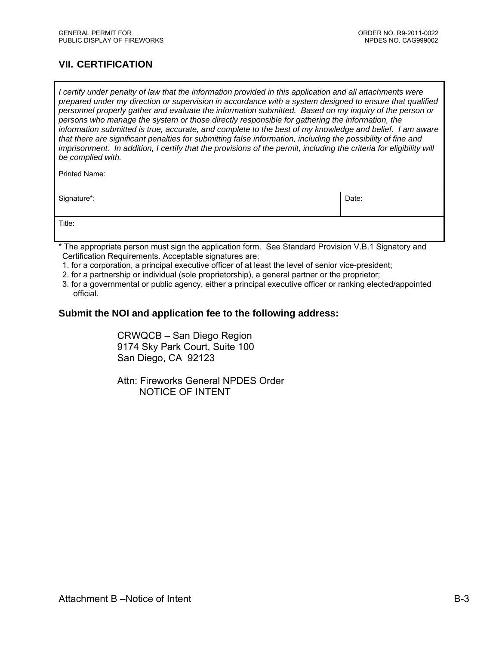# **VII. CERTIFICATION**

*I certify under penalty of law that the information provided in this application and all attachments were prepared under my direction or supervision in accordance with a system designed to ensure that qualified personnel properly gather and evaluate the information submitted. Based on my inquiry of the person or persons who manage the system or those directly responsible for gathering the information, the information submitted is true, accurate, and complete to the best of my knowledge and belief. I am aware that there are significant penalties for submitting false information, including the possibility of fine and imprisonment. In addition, I certify that the provisions of the permit, including the criteria for eligibility will be complied with.* 

| Printed Name: |       |
|---------------|-------|
| Signature*:   | Date: |
| Title:        |       |

- \* The appropriate person must sign the application form. See Standard Provision V.B.1 Signatory and Certification Requirements. Acceptable signatures are:
- 1. for a corporation, a principal executive officer of at least the level of senior vice-president;
- 2. for a partnership or individual (sole proprietorship), a general partner or the proprietor;
- 3. for a governmental or public agency, either a principal executive officer or ranking elected/appointed official.

#### **Submit the NOI and application fee to the following address:**

CRWQCB – San Diego Region 9174 Sky Park Court, Suite 100 San Diego, CA 92123

Attn: Fireworks General NPDES Order NOTICE OF INTENT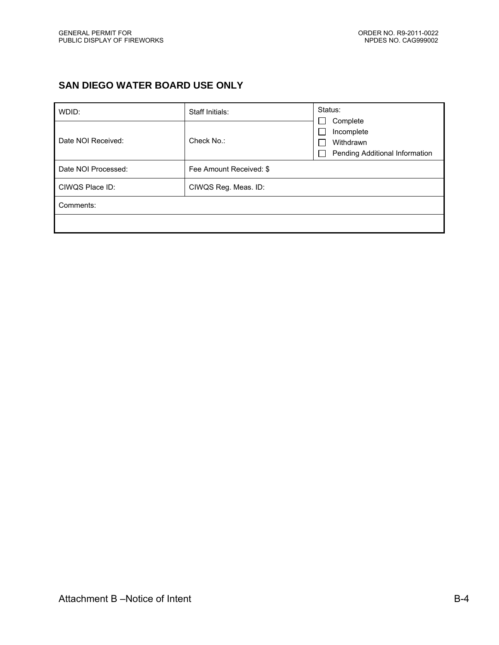## **SAN DIEGO WATER BOARD USE ONLY**

| WDID:               | Staff Initials:         | Status:<br>Complete                                             |
|---------------------|-------------------------|-----------------------------------------------------------------|
| Date NOI Received:  | Check No.:              | Incomplete<br>Withdrawn<br>Pending Additional Information<br>L. |
| Date NOI Processed: | Fee Amount Received: \$ |                                                                 |
| CIWQS Place ID:     | CIWQS Reg. Meas. ID:    |                                                                 |
| Comments:           |                         |                                                                 |
|                     |                         |                                                                 |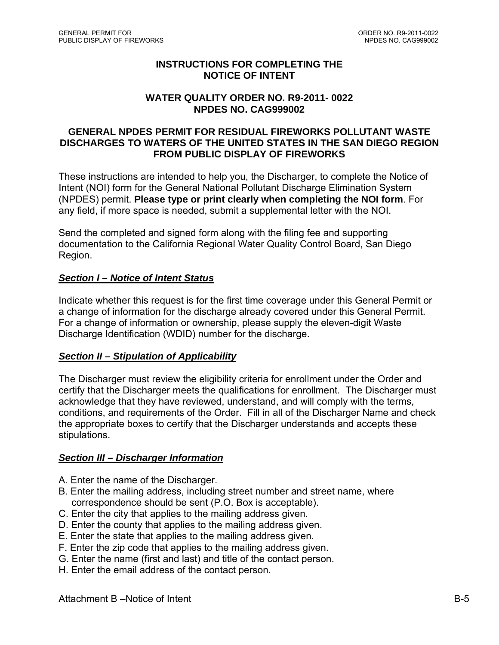#### **INSTRUCTIONS FOR COMPLETING THE NOTICE OF INTENT**

#### **WATER QUALITY ORDER NO. R9-2011- 0022 NPDES NO. CAG999002**

#### **GENERAL NPDES PERMIT FOR RESIDUAL FIREWORKS POLLUTANT WASTE DISCHARGES TO WATERS OF THE UNITED STATES IN THE SAN DIEGO REGION FROM PUBLIC DISPLAY OF FIREWORKS**

These instructions are intended to help you, the Discharger, to complete the Notice of Intent (NOI) form for the General National Pollutant Discharge Elimination System (NPDES) permit. **Please type or print clearly when completing the NOI form**. For any field, if more space is needed, submit a supplemental letter with the NOI.

Send the completed and signed form along with the filing fee and supporting documentation to the California Regional Water Quality Control Board, San Diego Region.

## *Section I – Notice of Intent Status*

Indicate whether this request is for the first time coverage under this General Permit or a change of information for the discharge already covered under this General Permit. For a change of information or ownership, please supply the eleven-digit Waste Discharge Identification (WDID) number for the discharge.

#### *Section II – Stipulation of Applicability*

The Discharger must review the eligibility criteria for enrollment under the Order and certify that the Discharger meets the qualifications for enrollment. The Discharger must acknowledge that they have reviewed, understand, and will comply with the terms, conditions, and requirements of the Order. Fill in all of the Discharger Name and check the appropriate boxes to certify that the Discharger understands and accepts these stipulations.

#### *Section III – Discharger Information*

- A. Enter the name of the Discharger.
- B. Enter the mailing address, including street number and street name, where correspondence should be sent (P.O. Box is acceptable).
- C. Enter the city that applies to the mailing address given.
- D. Enter the county that applies to the mailing address given.
- E. Enter the state that applies to the mailing address given.
- F. Enter the zip code that applies to the mailing address given.
- G. Enter the name (first and last) and title of the contact person.
- H. Enter the email address of the contact person.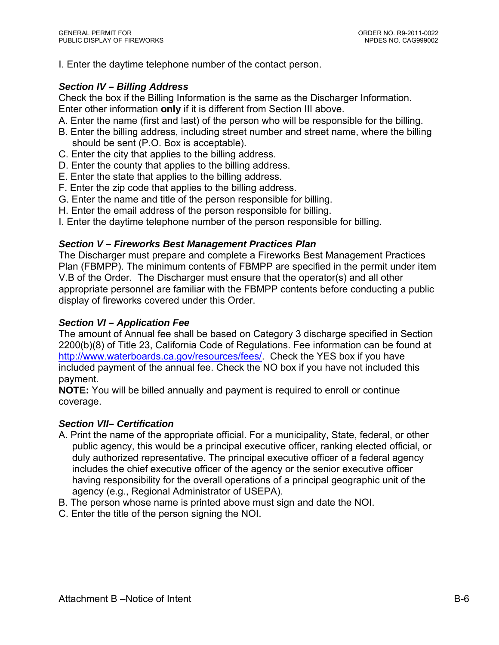I. Enter the daytime telephone number of the contact person.

#### *Section IV – Billing Address*

Check the box if the Billing Information is the same as the Discharger Information. Enter other information **only** if it is different from Section III above.

- A. Enter the name (first and last) of the person who will be responsible for the billing.
- B. Enter the billing address, including street number and street name, where the billing should be sent (P.O. Box is acceptable).
- C. Enter the city that applies to the billing address.
- D. Enter the county that applies to the billing address.
- E. Enter the state that applies to the billing address.
- F. Enter the zip code that applies to the billing address.
- G. Enter the name and title of the person responsible for billing.
- H. Enter the email address of the person responsible for billing.
- I. Enter the daytime telephone number of the person responsible for billing.

#### *Section V – Fireworks Best Management Practices Plan*

The Discharger must prepare and complete a Fireworks Best Management Practices Plan (FBMPP). The minimum contents of FBMPP are specified in the permit under item V.B of the Order. The Discharger must ensure that the operator(s) and all other appropriate personnel are familiar with the FBMPP contents before conducting a public display of fireworks covered under this Order.

#### *Section VI – Application Fee*

The amount of Annual fee shall be based on Category 3 discharge specified in Section 2200(b)(8) of Title 23, California Code of Regulations. Fee information can be found at http://www.waterboards.ca.gov/resources/fees/. Check the YES box if you have included payment of the annual fee. Check the NO box if you have not included this payment.

**NOTE:** You will be billed annually and payment is required to enroll or continue coverage.

#### *Section VII– Certification*

- A. Print the name of the appropriate official. For a municipality, State, federal, or other public agency, this would be a principal executive officer, ranking elected official, or duly authorized representative. The principal executive officer of a federal agency includes the chief executive officer of the agency or the senior executive officer having responsibility for the overall operations of a principal geographic unit of the agency (e.g., Regional Administrator of USEPA).
- B. The person whose name is printed above must sign and date the NOI.
- C. Enter the title of the person signing the NOI.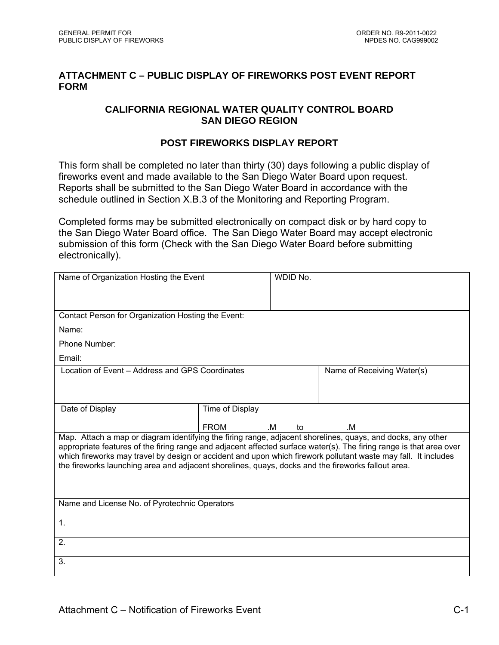## **ATTACHMENT C – PUBLIC DISPLAY OF FIREWORKS POST EVENT REPORT FORM**

## **CALIFORNIA REGIONAL WATER QUALITY CONTROL BOARD SAN DIEGO REGION**

## **POST FIREWORKS DISPLAY REPORT**

This form shall be completed no later than thirty (30) days following a public display of fireworks event and made available to the San Diego Water Board upon request. Reports shall be submitted to the San Diego Water Board in accordance with the schedule outlined in Section X.B.3 of the Monitoring and Reporting Program.

Completed forms may be submitted electronically on compact disk or by hard copy to the San Diego Water Board office. The San Diego Water Board may accept electronic submission of this form (Check with the San Diego Water Board before submitting electronically).

| Name of Organization Hosting the Event                                                                                                                                                                                                |                 | WDID No. |                            |  |
|---------------------------------------------------------------------------------------------------------------------------------------------------------------------------------------------------------------------------------------|-----------------|----------|----------------------------|--|
|                                                                                                                                                                                                                                       |                 |          |                            |  |
|                                                                                                                                                                                                                                       |                 |          |                            |  |
| Contact Person for Organization Hosting the Event:                                                                                                                                                                                    |                 |          |                            |  |
| Name:                                                                                                                                                                                                                                 |                 |          |                            |  |
| Phone Number:                                                                                                                                                                                                                         |                 |          |                            |  |
| Email:                                                                                                                                                                                                                                |                 |          |                            |  |
| Location of Event – Address and GPS Coordinates                                                                                                                                                                                       |                 |          | Name of Receiving Water(s) |  |
|                                                                                                                                                                                                                                       |                 |          |                            |  |
|                                                                                                                                                                                                                                       |                 |          |                            |  |
| Date of Display                                                                                                                                                                                                                       | Time of Display |          |                            |  |
|                                                                                                                                                                                                                                       | <b>FROM</b>     | .M<br>to | .M                         |  |
| Map. Attach a map or diagram identifying the firing range, adjacent shorelines, quays, and docks, any other                                                                                                                           |                 |          |                            |  |
| appropriate features of the firing range and adjacent affected surface water(s). The firing range is that area over<br>which fireworks may travel by design or accident and upon which firework pollutant waste may fall. It includes |                 |          |                            |  |
| the fireworks launching area and adjacent shorelines, quays, docks and the fireworks fallout area.                                                                                                                                    |                 |          |                            |  |
|                                                                                                                                                                                                                                       |                 |          |                            |  |
|                                                                                                                                                                                                                                       |                 |          |                            |  |
|                                                                                                                                                                                                                                       |                 |          |                            |  |
| Name and License No. of Pyrotechnic Operators                                                                                                                                                                                         |                 |          |                            |  |
|                                                                                                                                                                                                                                       |                 |          |                            |  |
| 1.                                                                                                                                                                                                                                    |                 |          |                            |  |
| 2.                                                                                                                                                                                                                                    |                 |          |                            |  |
| 3.                                                                                                                                                                                                                                    |                 |          |                            |  |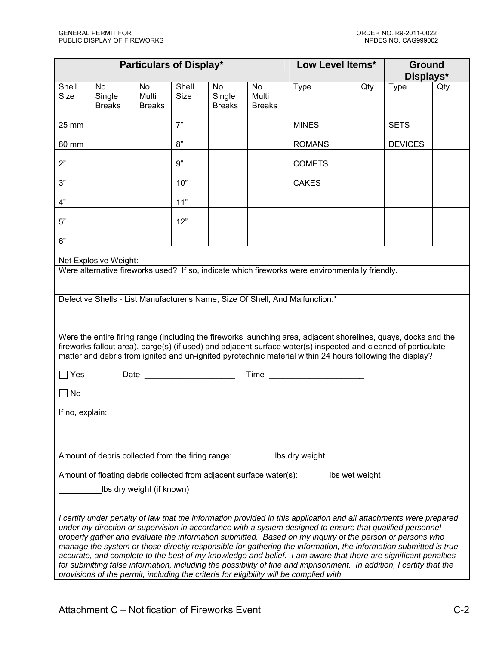|                      | <b>Particulars of Display*</b>                                                                                                                                                                                                                                                                                                                                                                                                                                                                                                                                                                                                                                                                                                                                                                         |                               | Low Level Items*     |                                | <b>Ground</b><br>Displays*    |                                                                                                                                                                                                                                                                                                                                                |     |                |     |
|----------------------|--------------------------------------------------------------------------------------------------------------------------------------------------------------------------------------------------------------------------------------------------------------------------------------------------------------------------------------------------------------------------------------------------------------------------------------------------------------------------------------------------------------------------------------------------------------------------------------------------------------------------------------------------------------------------------------------------------------------------------------------------------------------------------------------------------|-------------------------------|----------------------|--------------------------------|-------------------------------|------------------------------------------------------------------------------------------------------------------------------------------------------------------------------------------------------------------------------------------------------------------------------------------------------------------------------------------------|-----|----------------|-----|
| Shell<br><b>Size</b> | No.<br>Single<br><b>Breaks</b>                                                                                                                                                                                                                                                                                                                                                                                                                                                                                                                                                                                                                                                                                                                                                                         | No.<br>Multi<br><b>Breaks</b> | Shell<br><b>Size</b> | No.<br>Single<br><b>Breaks</b> | No.<br>Multi<br><b>Breaks</b> | <b>Type</b>                                                                                                                                                                                                                                                                                                                                    | Qty | <b>Type</b>    | Qty |
| 25 mm                |                                                                                                                                                                                                                                                                                                                                                                                                                                                                                                                                                                                                                                                                                                                                                                                                        |                               | 7"                   |                                |                               | <b>MINES</b>                                                                                                                                                                                                                                                                                                                                   |     | <b>SETS</b>    |     |
| 80 mm                |                                                                                                                                                                                                                                                                                                                                                                                                                                                                                                                                                                                                                                                                                                                                                                                                        |                               | 8"                   |                                |                               | <b>ROMANS</b>                                                                                                                                                                                                                                                                                                                                  |     | <b>DEVICES</b> |     |
| 2"                   |                                                                                                                                                                                                                                                                                                                                                                                                                                                                                                                                                                                                                                                                                                                                                                                                        |                               | 9"                   |                                |                               | <b>COMETS</b>                                                                                                                                                                                                                                                                                                                                  |     |                |     |
| 3"                   |                                                                                                                                                                                                                                                                                                                                                                                                                                                                                                                                                                                                                                                                                                                                                                                                        |                               | 10"                  |                                |                               | <b>CAKES</b>                                                                                                                                                                                                                                                                                                                                   |     |                |     |
| 4"                   |                                                                                                                                                                                                                                                                                                                                                                                                                                                                                                                                                                                                                                                                                                                                                                                                        |                               | 11"                  |                                |                               |                                                                                                                                                                                                                                                                                                                                                |     |                |     |
| $5"$                 |                                                                                                                                                                                                                                                                                                                                                                                                                                                                                                                                                                                                                                                                                                                                                                                                        |                               | 12"                  |                                |                               |                                                                                                                                                                                                                                                                                                                                                |     |                |     |
| 6"                   |                                                                                                                                                                                                                                                                                                                                                                                                                                                                                                                                                                                                                                                                                                                                                                                                        |                               |                      |                                |                               |                                                                                                                                                                                                                                                                                                                                                |     |                |     |
|                      | Net Explosive Weight:                                                                                                                                                                                                                                                                                                                                                                                                                                                                                                                                                                                                                                                                                                                                                                                  |                               |                      |                                |                               |                                                                                                                                                                                                                                                                                                                                                |     |                |     |
|                      |                                                                                                                                                                                                                                                                                                                                                                                                                                                                                                                                                                                                                                                                                                                                                                                                        |                               |                      |                                |                               | Were alternative fireworks used? If so, indicate which fireworks were environmentally friendly.                                                                                                                                                                                                                                                |     |                |     |
|                      |                                                                                                                                                                                                                                                                                                                                                                                                                                                                                                                                                                                                                                                                                                                                                                                                        |                               |                      |                                |                               | Defective Shells - List Manufacturer's Name, Size Of Shell, And Malfunction.*                                                                                                                                                                                                                                                                  |     |                |     |
|                      |                                                                                                                                                                                                                                                                                                                                                                                                                                                                                                                                                                                                                                                                                                                                                                                                        |                               |                      |                                |                               | Were the entire firing range (including the fireworks launching area, adjacent shorelines, quays, docks and the<br>fireworks fallout area), barge(s) (if used) and adjacent surface water(s) inspected and cleaned of particulate<br>matter and debris from ignited and un-ignited pyrotechnic material within 24 hours following the display? |     |                |     |
| $\Box$ Yes           |                                                                                                                                                                                                                                                                                                                                                                                                                                                                                                                                                                                                                                                                                                                                                                                                        |                               |                      |                                |                               |                                                                                                                                                                                                                                                                                                                                                |     |                |     |
| $\Box$ No            |                                                                                                                                                                                                                                                                                                                                                                                                                                                                                                                                                                                                                                                                                                                                                                                                        |                               |                      |                                |                               |                                                                                                                                                                                                                                                                                                                                                |     |                |     |
| If no, explain:      |                                                                                                                                                                                                                                                                                                                                                                                                                                                                                                                                                                                                                                                                                                                                                                                                        |                               |                      |                                |                               |                                                                                                                                                                                                                                                                                                                                                |     |                |     |
|                      |                                                                                                                                                                                                                                                                                                                                                                                                                                                                                                                                                                                                                                                                                                                                                                                                        |                               |                      |                                |                               |                                                                                                                                                                                                                                                                                                                                                |     |                |     |
|                      | Amount of debris collected from the firing range:                                                                                                                                                                                                                                                                                                                                                                                                                                                                                                                                                                                                                                                                                                                                                      |                               |                      |                                |                               | Ibs dry weight                                                                                                                                                                                                                                                                                                                                 |     |                |     |
|                      | Amount of floating debris collected from adjacent surface water(s):<br>Ibs wet weight<br>Ibs dry weight (if known)                                                                                                                                                                                                                                                                                                                                                                                                                                                                                                                                                                                                                                                                                     |                               |                      |                                |                               |                                                                                                                                                                                                                                                                                                                                                |     |                |     |
|                      | I certify under penalty of law that the information provided in this application and all attachments were prepared<br>under my direction or supervision in accordance with a system designed to ensure that qualified personnel<br>properly gather and evaluate the information submitted. Based on my inquiry of the person or persons who<br>manage the system or those directly responsible for gathering the information, the information submitted is true,<br>accurate, and complete to the best of my knowledge and belief. I am aware that there are significant penalties<br>for submitting false information, including the possibility of fine and imprisonment. In addition, I certify that the<br>provisions of the permit, including the criteria for eligibility will be complied with. |                               |                      |                                |                               |                                                                                                                                                                                                                                                                                                                                                |     |                |     |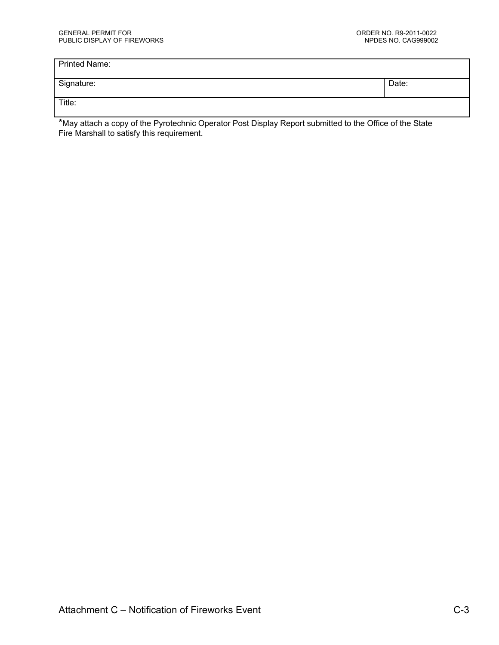| <b>Printed Name:</b> |       |
|----------------------|-------|
| Signature:           | Date: |
| Title:               |       |

\*May attach a copy of the Pyrotechnic Operator Post Display Report submitted to the Office of the State Fire Marshall to satisfy this requirement.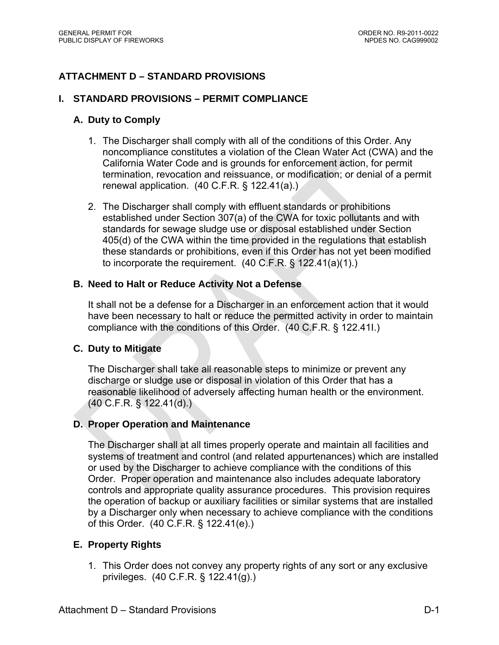# **ATTACHMENT D – STANDARD PROVISIONS**

#### **I. STANDARD PROVISIONS – PERMIT COMPLIANCE**

## **A. Duty to Comply**

- 1. The Discharger shall comply with all of the conditions of this Order. Any noncompliance constitutes a violation of the Clean Water Act (CWA) and the California Water Code and is grounds for enforcement action, for permit termination, revocation and reissuance, or modification; or denial of a permit renewal application. (40 C.F.R. § 122.41(a).)
- 2. The Discharger shall comply with effluent standards or prohibitions established under Section 307(a) of the CWA for toxic pollutants and with standards for sewage sludge use or disposal established under Section 405(d) of the CWA within the time provided in the regulations that establish these standards or prohibitions, even if this Order has not yet been modified to incorporate the requirement. (40 C.F.R. § 122.41(a)(1).)

## **B. Need to Halt or Reduce Activity Not a Defense**

It shall not be a defense for a Discharger in an enforcement action that it would have been necessary to halt or reduce the permitted activity in order to maintain compliance with the conditions of this Order. (40 C.F.R. § 122.41I.)

#### **C. Duty to Mitigate**

The Discharger shall take all reasonable steps to minimize or prevent any discharge or sludge use or disposal in violation of this Order that has a reasonable likelihood of adversely affecting human health or the environment. (40 C.F.R. § 122.41(d).)

#### **D. Proper Operation and Maintenance**

The Discharger shall at all times properly operate and maintain all facilities and systems of treatment and control (and related appurtenances) which are installed or used by the Discharger to achieve compliance with the conditions of this Order. Proper operation and maintenance also includes adequate laboratory controls and appropriate quality assurance procedures. This provision requires the operation of backup or auxiliary facilities or similar systems that are installed by a Discharger only when necessary to achieve compliance with the conditions of this Order. (40 C.F.R. § 122.41(e).)

#### **E. Property Rights**

1. This Order does not convey any property rights of any sort or any exclusive privileges. (40 C.F.R. § 122.41(g).)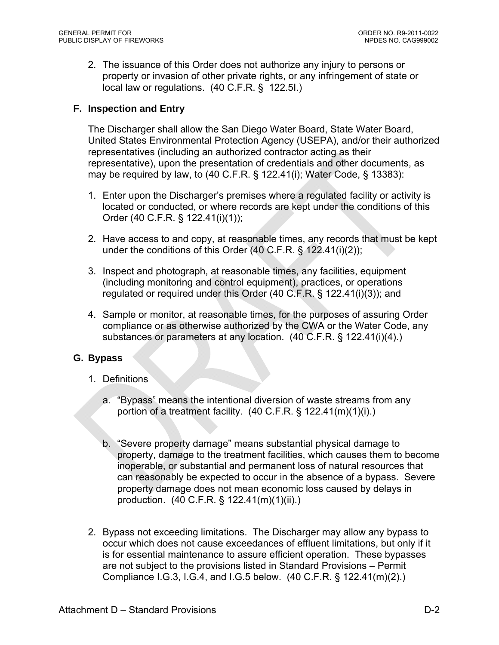2. The issuance of this Order does not authorize any injury to persons or property or invasion of other private rights, or any infringement of state or local law or regulations. (40 C.F.R. § 122.5I.)

## **F. Inspection and Entry**

The Discharger shall allow the San Diego Water Board, State Water Board, United States Environmental Protection Agency (USEPA), and/or their authorized representatives (including an authorized contractor acting as their representative), upon the presentation of credentials and other documents, as may be required by law, to (40 C.F.R. § 122.41(i); Water Code, § 13383):

- 1. Enter upon the Discharger's premises where a regulated facility or activity is located or conducted, or where records are kept under the conditions of this Order (40 C.F.R. § 122.41(i)(1));
- 2. Have access to and copy, at reasonable times, any records that must be kept under the conditions of this Order (40 C.F.R. § 122.41(i)(2));
- 3. Inspect and photograph, at reasonable times, any facilities, equipment (including monitoring and control equipment), practices, or operations regulated or required under this Order (40 C.F.R. § 122.41(i)(3)); and
- 4. Sample or monitor, at reasonable times, for the purposes of assuring Order compliance or as otherwise authorized by the CWA or the Water Code, any substances or parameters at any location. (40 C.F.R. § 122.41(i)(4).)

#### **G. Bypass**

- 1. Definitions
	- a. "Bypass" means the intentional diversion of waste streams from any portion of a treatment facility.  $(40 \text{ C.F.R.} \S 122.41(m)(1)(i))$ .
	- b. "Severe property damage" means substantial physical damage to property, damage to the treatment facilities, which causes them to become inoperable, or substantial and permanent loss of natural resources that can reasonably be expected to occur in the absence of a bypass. Severe property damage does not mean economic loss caused by delays in production. (40 C.F.R. § 122.41(m)(1)(ii).)
- 2. Bypass not exceeding limitations. The Discharger may allow any bypass to occur which does not cause exceedances of effluent limitations, but only if it is for essential maintenance to assure efficient operation. These bypasses are not subject to the provisions listed in Standard Provisions – Permit Compliance I.G.3, I.G.4, and I.G.5 below. (40 C.F.R. § 122.41(m)(2).)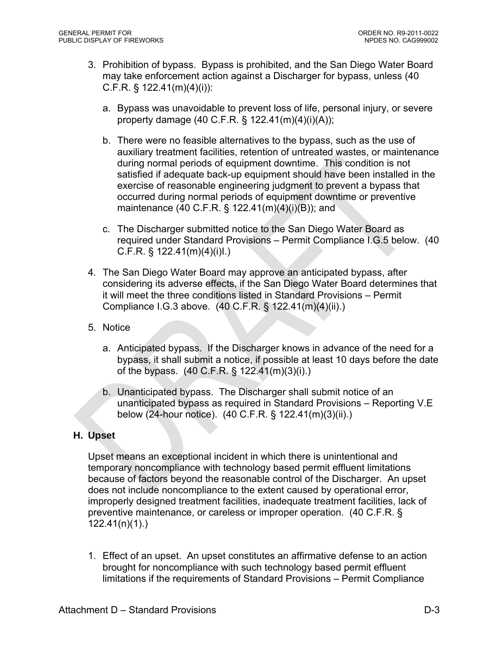- 3. Prohibition of bypass. Bypass is prohibited, and the San Diego Water Board may take enforcement action against a Discharger for bypass, unless (40 C.F.R. § 122.41(m)(4)(i)):
	- a. Bypass was unavoidable to prevent loss of life, personal injury, or severe property damage (40 C.F.R. § 122.41(m)(4)(i)(A));
	- b. There were no feasible alternatives to the bypass, such as the use of auxiliary treatment facilities, retention of untreated wastes, or maintenance during normal periods of equipment downtime. This condition is not satisfied if adequate back-up equipment should have been installed in the exercise of reasonable engineering judgment to prevent a bypass that occurred during normal periods of equipment downtime or preventive maintenance (40 C.F.R. § 122.41(m)(4)(i)(B)); and
	- c. The Discharger submitted notice to the San Diego Water Board as required under Standard Provisions – Permit Compliance I.G.5 below. (40 C.F.R. § 122.41(m)(4)(i)I.)
- 4. The San Diego Water Board may approve an anticipated bypass, after considering its adverse effects, if the San Diego Water Board determines that it will meet the three conditions listed in Standard Provisions – Permit Compliance I.G.3 above. (40 C.F.R. § 122.41(m)(4)(ii).)
- 5. Notice
	- a. Anticipated bypass. If the Discharger knows in advance of the need for a bypass, it shall submit a notice, if possible at least 10 days before the date of the bypass. (40 C.F.R. § 122.41(m)(3)(i).)
	- b. Unanticipated bypass. The Discharger shall submit notice of an unanticipated bypass as required in Standard Provisions – Reporting V.E below (24-hour notice). (40 C.F.R. § 122.41(m)(3)(ii).)

#### **H. Upset**

Upset means an exceptional incident in which there is unintentional and temporary noncompliance with technology based permit effluent limitations because of factors beyond the reasonable control of the Discharger. An upset does not include noncompliance to the extent caused by operational error, improperly designed treatment facilities, inadequate treatment facilities, lack of preventive maintenance, or careless or improper operation. (40 C.F.R. § 122.41(n)(1).)

1. Effect of an upset. An upset constitutes an affirmative defense to an action brought for noncompliance with such technology based permit effluent limitations if the requirements of Standard Provisions – Permit Compliance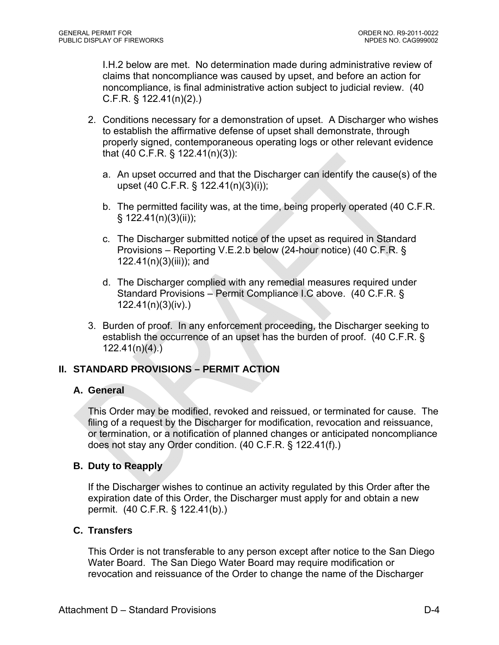I.H.2 below are met. No determination made during administrative review of claims that noncompliance was caused by upset, and before an action for noncompliance, is final administrative action subject to judicial review. (40 C.F.R. § 122.41(n)(2).)

- 2. Conditions necessary for a demonstration of upset. A Discharger who wishes to establish the affirmative defense of upset shall demonstrate, through properly signed, contemporaneous operating logs or other relevant evidence that (40 C.F.R. § 122.41(n)(3)):
	- a. An upset occurred and that the Discharger can identify the cause(s) of the upset (40 C.F.R. § 122.41(n)(3)(i));
	- b. The permitted facility was, at the time, being properly operated (40 C.F.R.  $§ 122.41(n)(3)(ii));$
	- c. The Discharger submitted notice of the upset as required in Standard Provisions – Reporting V.E.2.b below (24-hour notice) (40 C.F.R. § 122.41(n)(3)(iii)); and
	- d. The Discharger complied with any remedial measures required under Standard Provisions – Permit Compliance I.C above. (40 C.F.R. § 122.41(n)(3)(iv).)
- 3. Burden of proof. In any enforcement proceeding, the Discharger seeking to establish the occurrence of an upset has the burden of proof. (40 C.F.R. §  $122.41(n)(4)$ .)

## **II. STANDARD PROVISIONS – PERMIT ACTION**

#### **A. General**

This Order may be modified, revoked and reissued, or terminated for cause. The filing of a request by the Discharger for modification, revocation and reissuance, or termination, or a notification of planned changes or anticipated noncompliance does not stay any Order condition. (40 C.F.R. § 122.41(f).)

## **B. Duty to Reapply**

If the Discharger wishes to continue an activity regulated by this Order after the expiration date of this Order, the Discharger must apply for and obtain a new permit. (40 C.F.R. § 122.41(b).)

## **C. Transfers**

This Order is not transferable to any person except after notice to the San Diego Water Board. The San Diego Water Board may require modification or revocation and reissuance of the Order to change the name of the Discharger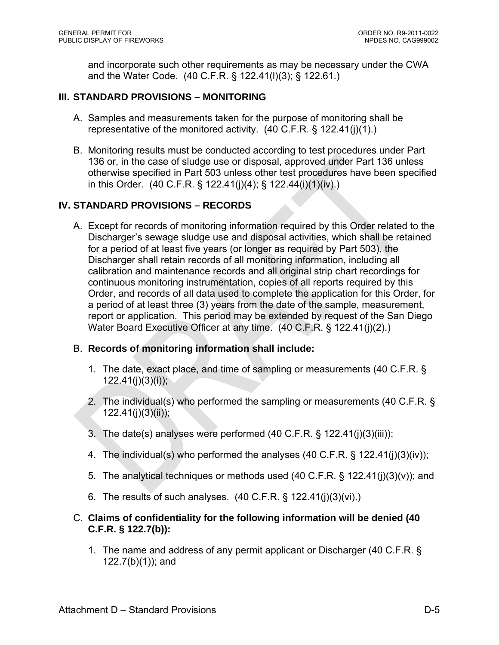and incorporate such other requirements as may be necessary under the CWA and the Water Code. (40 C.F.R. § 122.41(l)(3); § 122.61.)

## **III. STANDARD PROVISIONS – MONITORING**

- A. Samples and measurements taken for the purpose of monitoring shall be representative of the monitored activity. (40 C.F.R. § 122.41(j)(1).)
- B. Monitoring results must be conducted according to test procedures under Part 136 or, in the case of sludge use or disposal, approved under Part 136 unless otherwise specified in Part 503 unless other test procedures have been specified in this Order. (40 C.F.R. § 122.41(j)(4); § 122.44(i)(1)(iv).)

## **IV. STANDARD PROVISIONS – RECORDS**

A. Except for records of monitoring information required by this Order related to the Discharger's sewage sludge use and disposal activities, which shall be retained for a period of at least five years (or longer as required by Part 503), the Discharger shall retain records of all monitoring information, including all calibration and maintenance records and all original strip chart recordings for continuous monitoring instrumentation, copies of all reports required by this Order, and records of all data used to complete the application for this Order, for a period of at least three (3) years from the date of the sample, measurement, report or application. This period may be extended by request of the San Diego Water Board Executive Officer at any time. (40 C.F.R. § 122.41(j)(2).)

#### B. **Records of monitoring information shall include:**

- 1. The date, exact place, and time of sampling or measurements (40 C.F.R. §  $122.41(i)(3)(i)$ ;
- 2. The individual(s) who performed the sampling or measurements (40 C.F.R. § 122.41(j)(3)(ii));
- 3. The date(s) analyses were performed (40 C.F.R. § 122.41(j)(3)(iii));
- 4. The individual(s) who performed the analyses (40 C.F.R. § 122.41(j)(3)(iv));
- 5. The analytical techniques or methods used (40 C.F.R. § 122.41(j)(3)(v)); and
- 6. The results of such analyses. (40 C.F.R. § 122.41(j)(3)(vi).)

## C. **Claims of confidentiality for the following information will be denied (40 C.F.R. § 122.7(b)):**

1. The name and address of any permit applicant or Discharger (40 C.F.R. § 122.7(b)(1)); and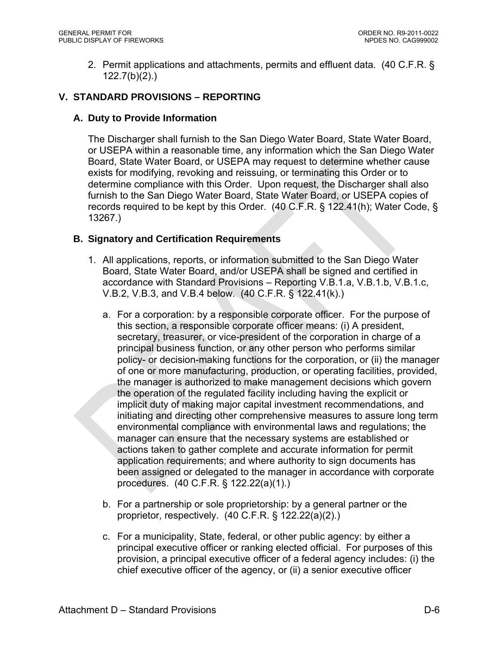2. Permit applications and attachments, permits and effluent data. (40 C.F.R. § 122.7(b)(2).)

## **V. STANDARD PROVISIONS – REPORTING**

## **A. Duty to Provide Information**

The Discharger shall furnish to the San Diego Water Board, State Water Board, or USEPA within a reasonable time, any information which the San Diego Water Board, State Water Board, or USEPA may request to determine whether cause exists for modifying, revoking and reissuing, or terminating this Order or to determine compliance with this Order. Upon request, the Discharger shall also furnish to the San Diego Water Board, State Water Board, or USEPA copies of records required to be kept by this Order. (40 C.F.R. § 122.41(h); Water Code, § 13267.)

## **B. Signatory and Certification Requirements**

- 1. All applications, reports, or information submitted to the San Diego Water Board, State Water Board, and/or USEPA shall be signed and certified in accordance with Standard Provisions – Reporting V.B.1.a, V.B.1.b, V.B.1.c, V.B.2, V.B.3, and V.B.4 below. (40 C.F.R. § 122.41(k).)
	- a. For a corporation: by a responsible corporate officer. For the purpose of this section, a responsible corporate officer means: (i) A president, secretary, treasurer, or vice-president of the corporation in charge of a principal business function, or any other person who performs similar policy- or decision-making functions for the corporation, or (ii) the manager of one or more manufacturing, production, or operating facilities, provided, the manager is authorized to make management decisions which govern the operation of the regulated facility including having the explicit or implicit duty of making major capital investment recommendations, and initiating and directing other comprehensive measures to assure long term environmental compliance with environmental laws and regulations; the manager can ensure that the necessary systems are established or actions taken to gather complete and accurate information for permit application requirements; and where authority to sign documents has been assigned or delegated to the manager in accordance with corporate procedures. (40 C.F.R. § 122.22(a)(1).)
	- b. For a partnership or sole proprietorship: by a general partner or the proprietor, respectively. (40 C.F.R. § 122.22(a)(2).)
	- c. For a municipality, State, federal, or other public agency: by either a principal executive officer or ranking elected official. For purposes of this provision, a principal executive officer of a federal agency includes: (i) the chief executive officer of the agency, or (ii) a senior executive officer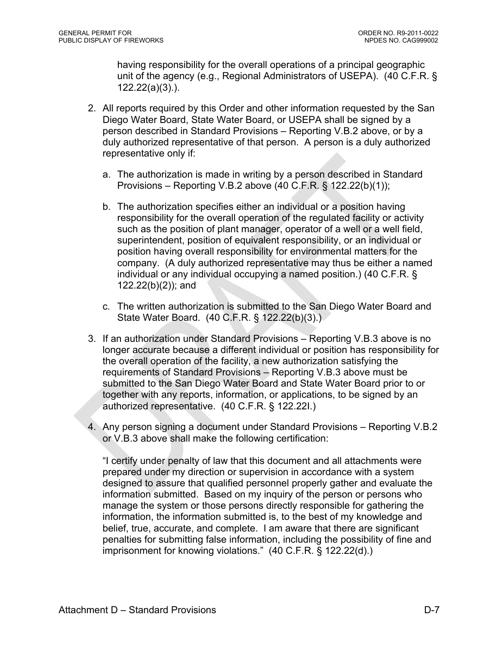having responsibility for the overall operations of a principal geographic unit of the agency (e.g., Regional Administrators of USEPA). (40 C.F.R. § 122.22(a)(3).).

- 2. All reports required by this Order and other information requested by the San Diego Water Board, State Water Board, or USEPA shall be signed by a person described in Standard Provisions – Reporting V.B.2 above, or by a duly authorized representative of that person. A person is a duly authorized representative only if:
	- a. The authorization is made in writing by a person described in Standard Provisions – Reporting V.B.2 above (40 C.F.R. § 122.22(b)(1));
	- b. The authorization specifies either an individual or a position having responsibility for the overall operation of the regulated facility or activity such as the position of plant manager, operator of a well or a well field, superintendent, position of equivalent responsibility, or an individual or position having overall responsibility for environmental matters for the company. (A duly authorized representative may thus be either a named individual or any individual occupying a named position.) (40 C.F.R. § 122.22(b)(2)); and
	- c. The written authorization is submitted to the San Diego Water Board and State Water Board. (40 C.F.R. § 122.22(b)(3).)
- 3. If an authorization under Standard Provisions Reporting V.B.3 above is no longer accurate because a different individual or position has responsibility for the overall operation of the facility, a new authorization satisfying the requirements of Standard Provisions – Reporting V.B.3 above must be submitted to the San Diego Water Board and State Water Board prior to or together with any reports, information, or applications, to be signed by an authorized representative. (40 C.F.R. § 122.22I.)
- 4. Any person signing a document under Standard Provisions Reporting V.B.2 or V.B.3 above shall make the following certification:

"I certify under penalty of law that this document and all attachments were prepared under my direction or supervision in accordance with a system designed to assure that qualified personnel properly gather and evaluate the information submitted. Based on my inquiry of the person or persons who manage the system or those persons directly responsible for gathering the information, the information submitted is, to the best of my knowledge and belief, true, accurate, and complete. I am aware that there are significant penalties for submitting false information, including the possibility of fine and imprisonment for knowing violations." (40 C.F.R. § 122.22(d).)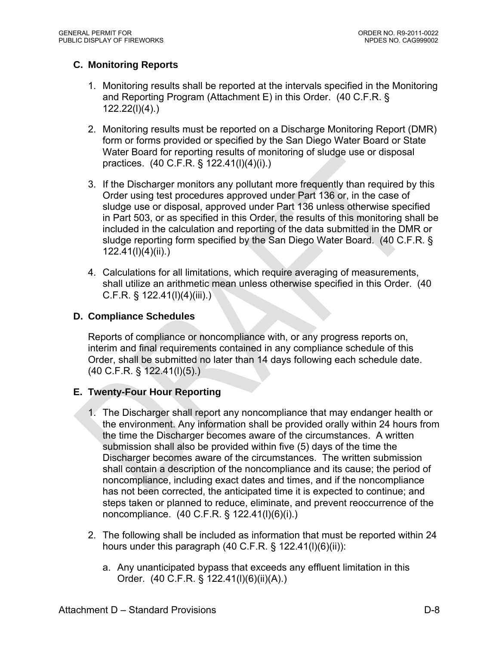# **C. Monitoring Reports**

- 1. Monitoring results shall be reported at the intervals specified in the Monitoring and Reporting Program (Attachment E) in this Order. (40 C.F.R. § 122.22(l)(4).)
- 2. Monitoring results must be reported on a Discharge Monitoring Report (DMR) form or forms provided or specified by the San Diego Water Board or State Water Board for reporting results of monitoring of sludge use or disposal practices. (40 C.F.R. § 122.41(l)(4)(i).)
- 3. If the Discharger monitors any pollutant more frequently than required by this Order using test procedures approved under Part 136 or, in the case of sludge use or disposal, approved under Part 136 unless otherwise specified in Part 503, or as specified in this Order, the results of this monitoring shall be included in the calculation and reporting of the data submitted in the DMR or sludge reporting form specified by the San Diego Water Board. (40 C.F.R. § 122.41(l)(4)(ii).)
- 4. Calculations for all limitations, which require averaging of measurements, shall utilize an arithmetic mean unless otherwise specified in this Order. (40  $C.F.R. \S 122.41(1)(4)(iii).$

## **D. Compliance Schedules**

Reports of compliance or noncompliance with, or any progress reports on, interim and final requirements contained in any compliance schedule of this Order, shall be submitted no later than 14 days following each schedule date. (40 C.F.R. § 122.41(l)(5).)

## **E. Twenty-Four Hour Reporting**

- 1. The Discharger shall report any noncompliance that may endanger health or the environment. Any information shall be provided orally within 24 hours from the time the Discharger becomes aware of the circumstances. A written submission shall also be provided within five (5) days of the time the Discharger becomes aware of the circumstances. The written submission shall contain a description of the noncompliance and its cause; the period of noncompliance, including exact dates and times, and if the noncompliance has not been corrected, the anticipated time it is expected to continue; and steps taken or planned to reduce, eliminate, and prevent reoccurrence of the noncompliance. (40 C.F.R. § 122.41(l)(6)(i).)
- 2. The following shall be included as information that must be reported within 24 hours under this paragraph (40 C.F.R. § 122.41(l)(6)(ii)):
	- a. Any unanticipated bypass that exceeds any effluent limitation in this Order. (40 C.F.R. § 122.41(l)(6)(ii)(A).)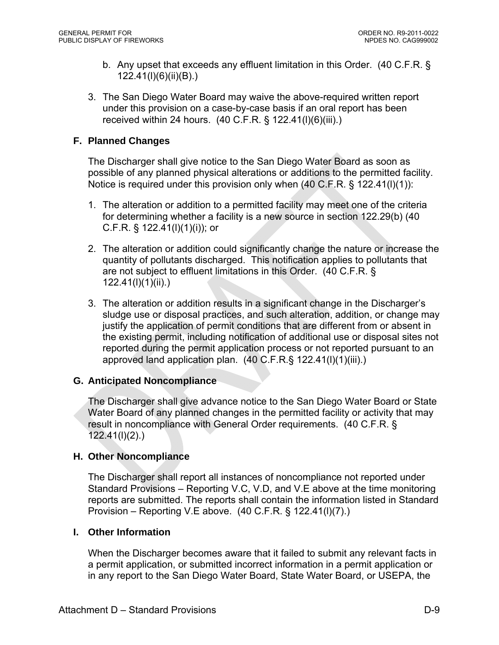- b. Any upset that exceeds any effluent limitation in this Order. (40 C.F.R. § 122.41(l)(6)(ii)(B).)
- 3. The San Diego Water Board may waive the above-required written report under this provision on a case-by-case basis if an oral report has been received within 24 hours. (40 C.F.R. § 122.41(l)(6)(iii).)

## **F. Planned Changes**

The Discharger shall give notice to the San Diego Water Board as soon as possible of any planned physical alterations or additions to the permitted facility. Notice is required under this provision only when (40 C.F.R. § 122.41(l)(1)):

- 1. The alteration or addition to a permitted facility may meet one of the criteria for determining whether a facility is a new source in section 122.29(b) (40 C.F.R. § 122.41(l)(1)(i)); or
- 2. The alteration or addition could significantly change the nature or increase the quantity of pollutants discharged. This notification applies to pollutants that are not subject to effluent limitations in this Order. (40 C.F.R. § 122.41(l)(1)(ii).)
- 3. The alteration or addition results in a significant change in the Discharger's sludge use or disposal practices, and such alteration, addition, or change may justify the application of permit conditions that are different from or absent in the existing permit, including notification of additional use or disposal sites not reported during the permit application process or not reported pursuant to an approved land application plan. (40 C.F.R.§ 122.41(l)(1)(iii).)

## **G. Anticipated Noncompliance**

The Discharger shall give advance notice to the San Diego Water Board or State Water Board of any planned changes in the permitted facility or activity that may result in noncompliance with General Order requirements. (40 C.F.R. § 122.41(l)(2).)

## **H. Other Noncompliance**

The Discharger shall report all instances of noncompliance not reported under Standard Provisions – Reporting V.C, V.D, and V.E above at the time monitoring reports are submitted. The reports shall contain the information listed in Standard Provision – Reporting V.E above. (40 C.F.R. § 122.41(l)(7).)

## **I. Other Information**

When the Discharger becomes aware that it failed to submit any relevant facts in a permit application, or submitted incorrect information in a permit application or in any report to the San Diego Water Board, State Water Board, or USEPA, the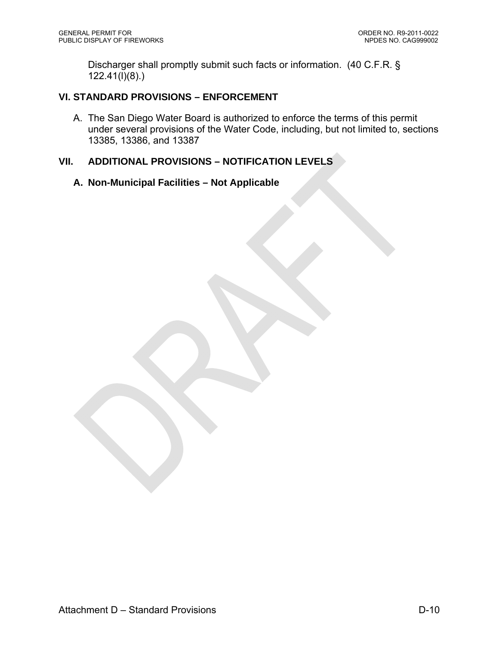Discharger shall promptly submit such facts or information. (40 C.F.R. §  $122.41(\overline{I})(8)$ .)

## **VI. STANDARD PROVISIONS – ENFORCEMENT**

A. The San Diego Water Board is authorized to enforce the terms of this permit under several provisions of the Water Code, including, but not limited to, sections 13385, 13386, and 13387

## **VII. ADDITIONAL PROVISIONS – NOTIFICATION LEVELS**

## **A. Non-Municipal Facilities – Not Applicable**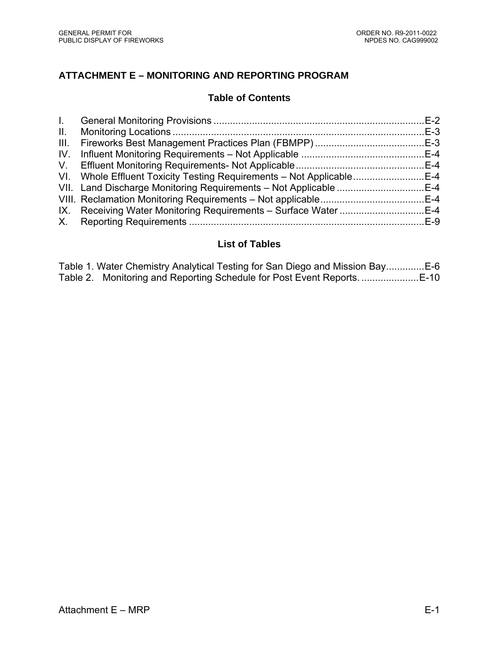# **ATTACHMENT E – MONITORING AND REPORTING PROGRAM**

## **Table of Contents**

| $\mathbf{II}$ . |                                                                      |  |
|-----------------|----------------------------------------------------------------------|--|
| III.            |                                                                      |  |
| IV.             |                                                                      |  |
|                 |                                                                      |  |
|                 | VI. Whole Effluent Toxicity Testing Requirements - Not ApplicableE-4 |  |
|                 | VII. Land Discharge Monitoring Requirements - Not Applicable E-4     |  |
|                 |                                                                      |  |
|                 |                                                                      |  |
|                 |                                                                      |  |

# **List of Tables**

|  | Table 2. Monitoring and Reporting Schedule for Post Event Reports |  |
|--|-------------------------------------------------------------------|--|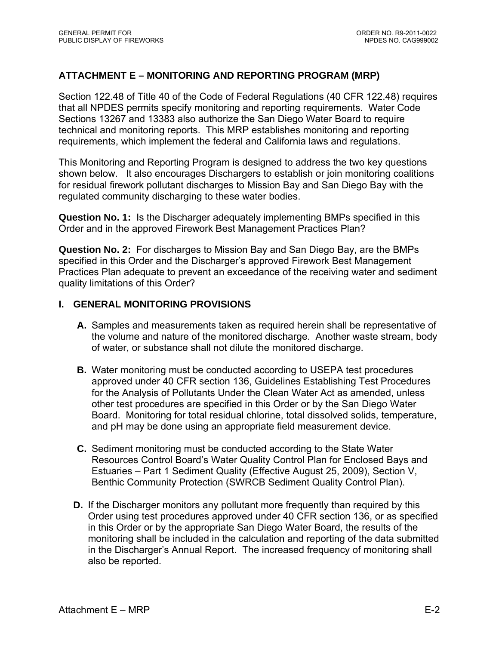## **ATTACHMENT E – MONITORING AND REPORTING PROGRAM (MRP)**

Section 122.48 of Title 40 of the Code of Federal Regulations (40 CFR 122.48) requires that all NPDES permits specify monitoring and reporting requirements. Water Code Sections 13267 and 13383 also authorize the San Diego Water Board to require technical and monitoring reports. This MRP establishes monitoring and reporting requirements, which implement the federal and California laws and regulations.

This Monitoring and Reporting Program is designed to address the two key questions shown below. It also encourages Dischargers to establish or join monitoring coalitions for residual firework pollutant discharges to Mission Bay and San Diego Bay with the regulated community discharging to these water bodies.

**Question No. 1:** Is the Discharger adequately implementing BMPs specified in this Order and in the approved Firework Best Management Practices Plan?

**Question No. 2:** For discharges to Mission Bay and San Diego Bay, are the BMPs specified in this Order and the Discharger's approved Firework Best Management Practices Plan adequate to prevent an exceedance of the receiving water and sediment quality limitations of this Order?

#### **I. GENERAL MONITORING PROVISIONS**

- **A.** Samples and measurements taken as required herein shall be representative of the volume and nature of the monitored discharge. Another waste stream, body of water, or substance shall not dilute the monitored discharge.
- **B.** Water monitoring must be conducted according to USEPA test procedures approved under 40 CFR section 136, Guidelines Establishing Test Procedures for the Analysis of Pollutants Under the Clean Water Act as amended, unless other test procedures are specified in this Order or by the San Diego Water Board. Monitoring for total residual chlorine, total dissolved solids, temperature, and pH may be done using an appropriate field measurement device.
- **C.** Sediment monitoring must be conducted according to the State Water Resources Control Board's Water Quality Control Plan for Enclosed Bays and Estuaries – Part 1 Sediment Quality (Effective August 25, 2009), Section V, Benthic Community Protection (SWRCB Sediment Quality Control Plan).
- **D.** If the Discharger monitors any pollutant more frequently than required by this Order using test procedures approved under 40 CFR section 136, or as specified in this Order or by the appropriate San Diego Water Board, the results of the monitoring shall be included in the calculation and reporting of the data submitted in the Discharger's Annual Report. The increased frequency of monitoring shall also be reported.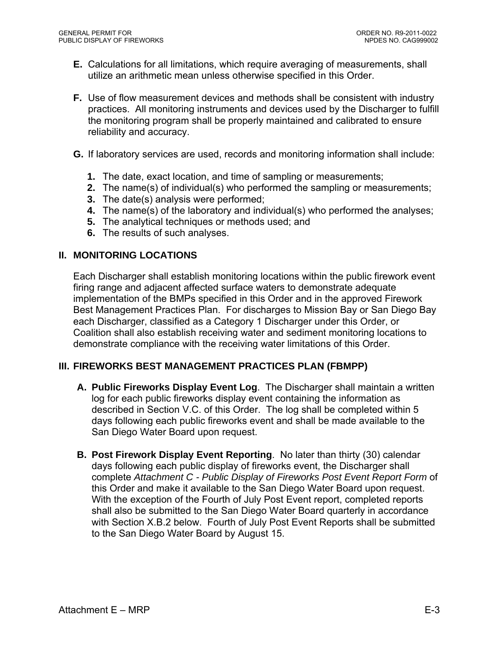- **E.** Calculations for all limitations, which require averaging of measurements, shall utilize an arithmetic mean unless otherwise specified in this Order.
- **F.** Use of flow measurement devices and methods shall be consistent with industry practices. All monitoring instruments and devices used by the Discharger to fulfill the monitoring program shall be properly maintained and calibrated to ensure reliability and accuracy.
- **G.** If laboratory services are used, records and monitoring information shall include:
	- **1.** The date, exact location, and time of sampling or measurements;
	- **2.** The name(s) of individual(s) who performed the sampling or measurements;
	- **3.** The date(s) analysis were performed;
	- **4.** The name(s) of the laboratory and individual(s) who performed the analyses;
	- **5.** The analytical techniques or methods used; and
	- **6.** The results of such analyses.

## **II. MONITORING LOCATIONS**

Each Discharger shall establish monitoring locations within the public firework event firing range and adjacent affected surface waters to demonstrate adequate implementation of the BMPs specified in this Order and in the approved Firework Best Management Practices Plan. For discharges to Mission Bay or San Diego Bay each Discharger, classified as a Category 1 Discharger under this Order, or Coalition shall also establish receiving water and sediment monitoring locations to demonstrate compliance with the receiving water limitations of this Order.

## **III. FIREWORKS BEST MANAGEMENT PRACTICES PLAN (FBMPP)**

- **A. Public Fireworks Display Event Log**. The Discharger shall maintain a written log for each public fireworks display event containing the information as described in Section V.C. of this Order. The log shall be completed within 5 days following each public fireworks event and shall be made available to the San Diego Water Board upon request.
- **B. Post Firework Display Event Reporting**. No later than thirty (30) calendar days following each public display of fireworks event, the Discharger shall complete *Attachment C - Public Display of Fireworks Post Event Report Form* of this Order and make it available to the San Diego Water Board upon request. With the exception of the Fourth of July Post Event report, completed reports shall also be submitted to the San Diego Water Board quarterly in accordance with Section X.B.2 below. Fourth of July Post Event Reports shall be submitted to the San Diego Water Board by August 15.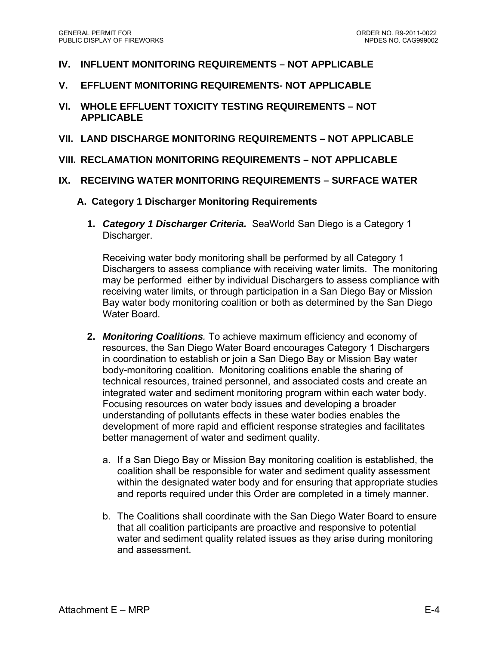- **IV. INFLUENT MONITORING REQUIREMENTS NOT APPLICABLE**
- **V. EFFLUENT MONITORING REQUIREMENTS- NOT APPLICABLE**
- **VI. WHOLE EFFLUENT TOXICITY TESTING REQUIREMENTS NOT APPLICABLE**
- **VII. LAND DISCHARGE MONITORING REQUIREMENTS NOT APPLICABLE**
- **VIII. RECLAMATION MONITORING REQUIREMENTS NOT APPLICABLE**
- **IX. RECEIVING WATER MONITORING REQUIREMENTS SURFACE WATER** 
	- **A. Category 1 Discharger Monitoring Requirements** 
		- **1.** *Category 1 Discharger Criteria.* SeaWorld San Diego is a Category 1 Discharger.

Receiving water body monitoring shall be performed by all Category 1 Dischargers to assess compliance with receiving water limits. The monitoring may be performed either by individual Dischargers to assess compliance with receiving water limits, or through participation in a San Diego Bay or Mission Bay water body monitoring coalition or both as determined by the San Diego Water Board.

- **2.** *Monitoring Coalitions.* To achieve maximum efficiency and economy of resources, the San Diego Water Board encourages Category 1 Dischargers in coordination to establish or join a San Diego Bay or Mission Bay water body-monitoring coalition. Monitoring coalitions enable the sharing of technical resources, trained personnel, and associated costs and create an integrated water and sediment monitoring program within each water body. Focusing resources on water body issues and developing a broader understanding of pollutants effects in these water bodies enables the development of more rapid and efficient response strategies and facilitates better management of water and sediment quality.
	- a. If a San Diego Bay or Mission Bay monitoring coalition is established, the coalition shall be responsible for water and sediment quality assessment within the designated water body and for ensuring that appropriate studies and reports required under this Order are completed in a timely manner.
	- b. The Coalitions shall coordinate with the San Diego Water Board to ensure that all coalition participants are proactive and responsive to potential water and sediment quality related issues as they arise during monitoring and assessment.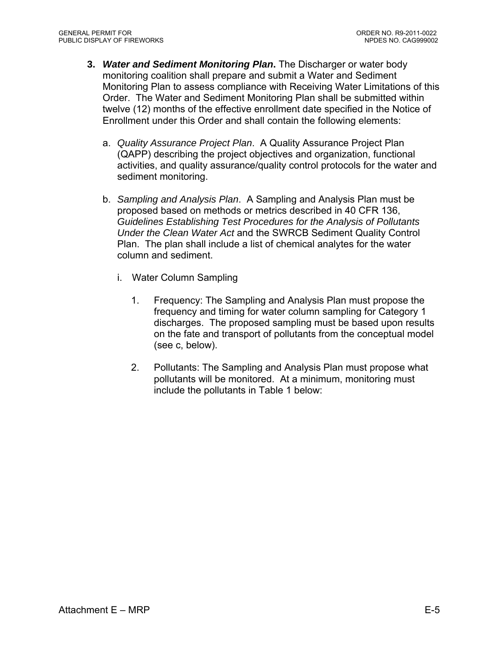- **3.** *Water and Sediment Monitoring Plan***.** The Discharger or water body monitoring coalition shall prepare and submit a Water and Sediment Monitoring Plan to assess compliance with Receiving Water Limitations of this Order. The Water and Sediment Monitoring Plan shall be submitted within twelve (12) months of the effective enrollment date specified in the Notice of Enrollment under this Order and shall contain the following elements:
	- a. *Quality Assurance Project Plan*. A Quality Assurance Project Plan (QAPP) describing the project objectives and organization, functional activities, and quality assurance/quality control protocols for the water and sediment monitoring.
	- b. *Sampling and Analysis Plan*. A Sampling and Analysis Plan must be proposed based on methods or metrics described in 40 CFR 136, *Guidelines Establishing Test Procedures for the Analysis of Pollutants Under the Clean Water Act* and the SWRCB Sediment Quality Control Plan. The plan shall include a list of chemical analytes for the water column and sediment.
		- i. Water Column Sampling
			- 1. Frequency: The Sampling and Analysis Plan must propose the frequency and timing for water column sampling for Category 1 discharges. The proposed sampling must be based upon results on the fate and transport of pollutants from the conceptual model (see c, below).
			- 2. Pollutants: The Sampling and Analysis Plan must propose what pollutants will be monitored. At a minimum, monitoring must include the pollutants in Table 1 below: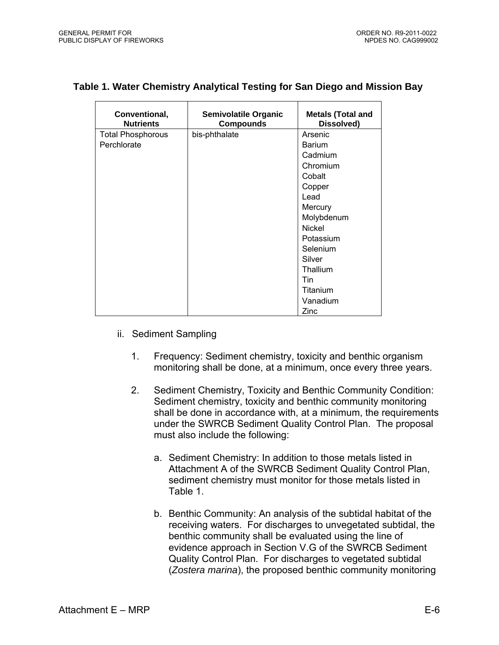| Conventional,<br><b>Nutrients</b> | <b>Semivolatile Organic</b><br><b>Compounds</b> | <b>Metals (Total and</b><br>Dissolved) |
|-----------------------------------|-------------------------------------------------|----------------------------------------|
| <b>Total Phosphorous</b>          | bis-phthalate                                   | Arsenic                                |
| Perchlorate                       |                                                 | <b>Barium</b>                          |
|                                   |                                                 | Cadmium                                |
|                                   |                                                 | Chromium                               |
|                                   |                                                 | Cobalt                                 |
|                                   |                                                 | Copper                                 |
|                                   |                                                 | Lead                                   |
|                                   |                                                 | Mercury                                |
|                                   |                                                 | Molybdenum                             |
|                                   |                                                 | <b>Nickel</b>                          |
|                                   |                                                 | Potassium                              |
|                                   |                                                 | Selenium                               |
|                                   |                                                 | Silver                                 |
|                                   |                                                 | Thallium                               |
|                                   |                                                 | Tin                                    |
|                                   |                                                 | Titanium                               |
|                                   |                                                 | Vanadium                               |
|                                   |                                                 | Zinc                                   |

## **Table 1. Water Chemistry Analytical Testing for San Diego and Mission Bay**

- ii. Sediment Sampling
	- 1. Frequency: Sediment chemistry, toxicity and benthic organism monitoring shall be done, at a minimum, once every three years.
	- 2. Sediment Chemistry, Toxicity and Benthic Community Condition: Sediment chemistry, toxicity and benthic community monitoring shall be done in accordance with, at a minimum, the requirements under the SWRCB Sediment Quality Control Plan. The proposal must also include the following:
		- a. Sediment Chemistry: In addition to those metals listed in Attachment A of the SWRCB Sediment Quality Control Plan, sediment chemistry must monitor for those metals listed in Table 1.
		- b. Benthic Community: An analysis of the subtidal habitat of the receiving waters. For discharges to unvegetated subtidal, the benthic community shall be evaluated using the line of evidence approach in Section V.G of the SWRCB Sediment Quality Control Plan. For discharges to vegetated subtidal (*Zostera marina*), the proposed benthic community monitoring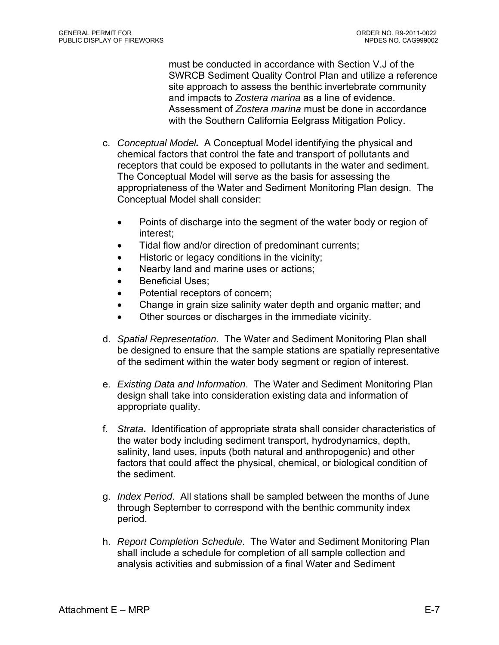must be conducted in accordance with Section V.J of the SWRCB Sediment Quality Control Plan and utilize a reference site approach to assess the benthic invertebrate community and impacts to *Zostera marina* as a line of evidence. Assessment of *Zostera marina* must be done in accordance with the Southern California Eelgrass Mitigation Policy.

- c. *Conceptual Model.* A Conceptual Model identifying the physical and chemical factors that control the fate and transport of pollutants and receptors that could be exposed to pollutants in the water and sediment. The Conceptual Model will serve as the basis for assessing the appropriateness of the Water and Sediment Monitoring Plan design. The Conceptual Model shall consider:
	- Points of discharge into the segment of the water body or region of interest;
	- Tidal flow and/or direction of predominant currents;
	- Historic or legacy conditions in the vicinity;
	- Nearby land and marine uses or actions;
	- Beneficial Uses:
	- Potential receptors of concern;
	- Change in grain size salinity water depth and organic matter; and
	- Other sources or discharges in the immediate vicinity.
- d. *Spatial Representation*. The Water and Sediment Monitoring Plan shall be designed to ensure that the sample stations are spatially representative of the sediment within the water body segment or region of interest.
- e. *Existing Data and Information*. The Water and Sediment Monitoring Plan design shall take into consideration existing data and information of appropriate quality.
- f. *Strata***.** Identification of appropriate strata shall consider characteristics of the water body including sediment transport, hydrodynamics, depth, salinity, land uses, inputs (both natural and anthropogenic) and other factors that could affect the physical, chemical, or biological condition of the sediment.
- g. *Index Period*. All stations shall be sampled between the months of June through September to correspond with the benthic community index period.
- h. *Report Completion Schedule*. The Water and Sediment Monitoring Plan shall include a schedule for completion of all sample collection and analysis activities and submission of a final Water and Sediment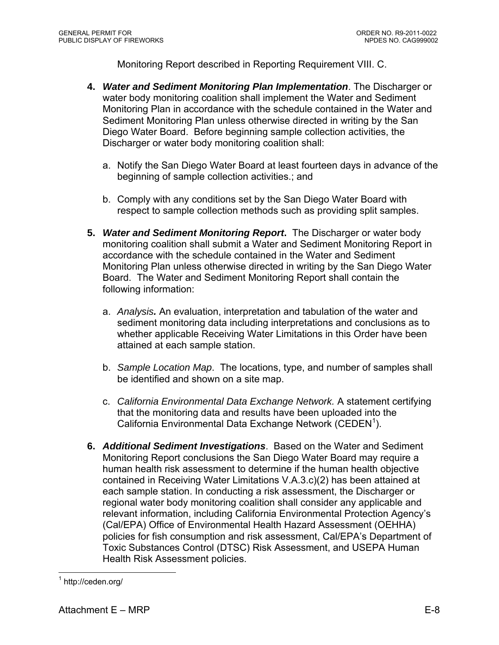Monitoring Report described in Reporting Requirement VIII. C.

- **4.** *Water and Sediment Monitoring Plan Implementation*. The Discharger or water body monitoring coalition shall implement the Water and Sediment Monitoring Plan in accordance with the schedule contained in the Water and Sediment Monitoring Plan unless otherwise directed in writing by the San Diego Water Board. Before beginning sample collection activities, the Discharger or water body monitoring coalition shall:
	- a. Notify the San Diego Water Board at least fourteen days in advance of the beginning of sample collection activities.; and
	- b. Comply with any conditions set by the San Diego Water Board with respect to sample collection methods such as providing split samples.
- **5.** *Water and Sediment Monitoring Report***.** The Discharger or water body monitoring coalition shall submit a Water and Sediment Monitoring Report in accordance with the schedule contained in the Water and Sediment Monitoring Plan unless otherwise directed in writing by the San Diego Water Board. The Water and Sediment Monitoring Report shall contain the following information:
	- a. *Analysis.* An evaluation, interpretation and tabulation of the water and sediment monitoring data including interpretations and conclusions as to whether applicable Receiving Water Limitations in this Order have been attained at each sample station.
	- b. *Sample Location Map*. The locations, type, and number of samples shall be identified and shown on a site map.
	- c. *California Environmental Data Exchange Network.* A statement certifying that the monitoring data and results have been uploaded into the California Environmental Data Exchange Network (CEDEN<sup>1</sup>).
- **6.** *Additional Sediment Investigations*. Based on the Water and Sediment Monitoring Report conclusions the San Diego Water Board may require a human health risk assessment to determine if the human health objective contained in Receiving Water Limitations V.A.3.c)(2) has been attained at each sample station. In conducting a risk assessment, the Discharger or regional water body monitoring coalition shall consider any applicable and relevant information, including California Environmental Protection Agency's (Cal/EPA) Office of Environmental Health Hazard Assessment (OEHHA) policies for fish consumption and risk assessment, Cal/EPA's Department of Toxic Substances Control (DTSC) Risk Assessment, and USEPA Human Health Risk Assessment policies.

 $\overline{a}$ 1 http://ceden.org/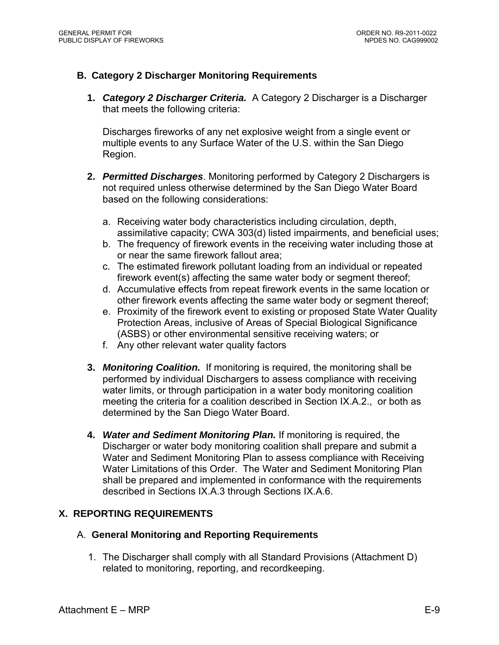## **B. Category 2 Discharger Monitoring Requirements**

**1.** *Category 2 Discharger Criteria.* A Category 2 Discharger is a Discharger that meets the following criteria:

Discharges fireworks of any net explosive weight from a single event or multiple events to any Surface Water of the U.S. within the San Diego Region.

- **2.** *Permitted Discharges*. Monitoring performed by Category 2 Dischargers is not required unless otherwise determined by the San Diego Water Board based on the following considerations:
	- a. Receiving water body characteristics including circulation, depth, assimilative capacity; CWA 303(d) listed impairments, and beneficial uses;
	- b. The frequency of firework events in the receiving water including those at or near the same firework fallout area;
	- c. The estimated firework pollutant loading from an individual or repeated firework event(s) affecting the same water body or segment thereof;
	- d. Accumulative effects from repeat firework events in the same location or other firework events affecting the same water body or segment thereof;
	- e. Proximity of the firework event to existing or proposed State Water Quality Protection Areas, inclusive of Areas of Special Biological Significance (ASBS) or other environmental sensitive receiving waters; or
	- f. Any other relevant water quality factors
- **3.** *Monitoring Coalition.* If monitoring is required, the monitoring shall be performed by individual Dischargers to assess compliance with receiving water limits, or through participation in a water body monitoring coalition meeting the criteria for a coalition described in Section IX.A.2., or both as determined by the San Diego Water Board.
- **4.** *Water and Sediment Monitoring Plan.* If monitoring is required, the Discharger or water body monitoring coalition shall prepare and submit a Water and Sediment Monitoring Plan to assess compliance with Receiving Water Limitations of this Order. The Water and Sediment Monitoring Plan shall be prepared and implemented in conformance with the requirements described in Sections IX.A.3 through Sections IX.A.6.

## **X. REPORTING REQUIREMENTS**

#### A. **General Monitoring and Reporting Requirements**

1. The Discharger shall comply with all Standard Provisions (Attachment D) related to monitoring, reporting, and recordkeeping.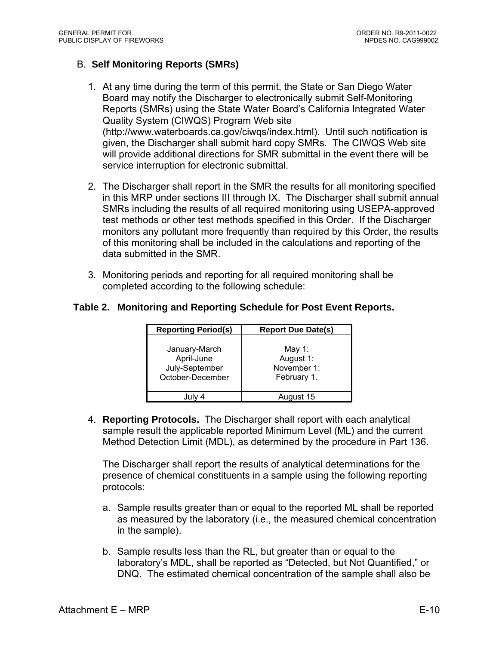## B. **Self Monitoring Reports (SMRs)**

- 1. At any time during the term of this permit, the State or San Diego Water Board may notify the Discharger to electronically submit Self-Monitoring Reports (SMRs) using the State Water Board's California Integrated Water Quality System (CIWQS) Program Web site (http://www.waterboards.ca.gov/ciwqs/index.html). Until such notification is given, the Discharger shall submit hard copy SMRs. The CIWQS Web site will provide additional directions for SMR submittal in the event there will be service interruption for electronic submittal.
- 2. The Discharger shall report in the SMR the results for all monitoring specified in this MRP under sections III through IX. The Discharger shall submit annual SMRs including the results of all required monitoring using USEPA-approved test methods or other test methods specified in this Order. If the Discharger monitors any pollutant more frequently than required by this Order, the results of this monitoring shall be included in the calculations and reporting of the data submitted in the SMR.
- 3. Monitoring periods and reporting for all required monitoring shall be completed according to the following schedule:

#### **Table 2. Monitoring and Reporting Schedule for Post Event Reports.**

| <b>Reporting Period(s)</b>                                        | <b>Report Due Date(s)</b>                         |
|-------------------------------------------------------------------|---------------------------------------------------|
| January-March<br>April-June<br>July-September<br>October-December | May 1:<br>August 1:<br>November 1:<br>February 1. |
|                                                                   | August 15                                         |

4. **Reporting Protocols.** The Discharger shall report with each analytical sample result the applicable reported Minimum Level (ML) and the current Method Detection Limit (MDL), as determined by the procedure in Part 136.

The Discharger shall report the results of analytical determinations for the presence of chemical constituents in a sample using the following reporting protocols:

- a. Sample results greater than or equal to the reported ML shall be reported as measured by the laboratory (i.e., the measured chemical concentration in the sample).
- b. Sample results less than the RL, but greater than or equal to the laboratory's MDL, shall be reported as "Detected, but Not Quantified," or DNQ. The estimated chemical concentration of the sample shall also be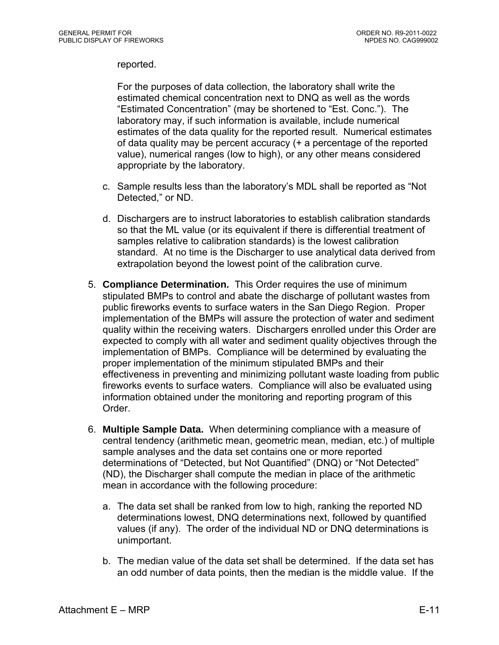#### reported.

For the purposes of data collection, the laboratory shall write the estimated chemical concentration next to DNQ as well as the words "Estimated Concentration" (may be shortened to "Est. Conc."). The laboratory may, if such information is available, include numerical estimates of the data quality for the reported result. Numerical estimates of data quality may be percent accuracy (+ a percentage of the reported value), numerical ranges (low to high), or any other means considered appropriate by the laboratory.

- c. Sample results less than the laboratory's MDL shall be reported as "Not Detected," or ND.
- d. Dischargers are to instruct laboratories to establish calibration standards so that the ML value (or its equivalent if there is differential treatment of samples relative to calibration standards) is the lowest calibration standard. At no time is the Discharger to use analytical data derived from extrapolation beyond the lowest point of the calibration curve.
- 5. **Compliance Determination.** This Order requires the use of minimum stipulated BMPs to control and abate the discharge of pollutant wastes from public fireworks events to surface waters in the San Diego Region. Proper implementation of the BMPs will assure the protection of water and sediment quality within the receiving waters. Dischargers enrolled under this Order are expected to comply with all water and sediment quality objectives through the implementation of BMPs. Compliance will be determined by evaluating the proper implementation of the minimum stipulated BMPs and their effectiveness in preventing and minimizing pollutant waste loading from public fireworks events to surface waters. Compliance will also be evaluated using information obtained under the monitoring and reporting program of this Order.
- 6. **Multiple Sample Data.** When determining compliance with a measure of central tendency (arithmetic mean, geometric mean, median, etc.) of multiple sample analyses and the data set contains one or more reported determinations of "Detected, but Not Quantified" (DNQ) or "Not Detected" (ND), the Discharger shall compute the median in place of the arithmetic mean in accordance with the following procedure:
	- a. The data set shall be ranked from low to high, ranking the reported ND determinations lowest, DNQ determinations next, followed by quantified values (if any). The order of the individual ND or DNQ determinations is unimportant.
	- b. The median value of the data set shall be determined. If the data set has an odd number of data points, then the median is the middle value. If the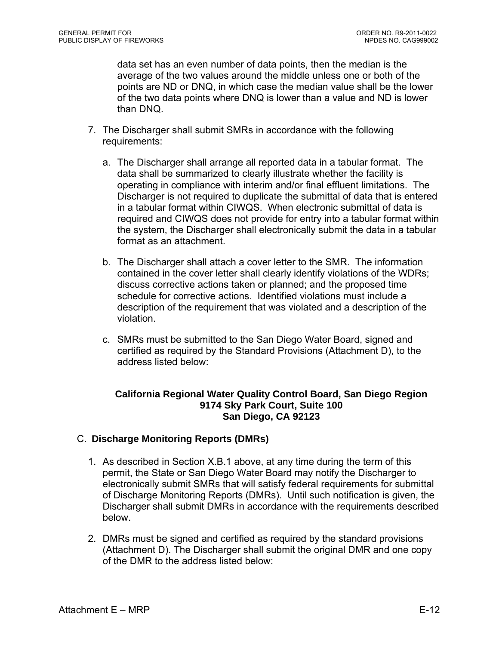data set has an even number of data points, then the median is the average of the two values around the middle unless one or both of the points are ND or DNQ, in which case the median value shall be the lower of the two data points where DNQ is lower than a value and ND is lower than DNQ.

- 7. The Discharger shall submit SMRs in accordance with the following requirements:
	- a. The Discharger shall arrange all reported data in a tabular format. The data shall be summarized to clearly illustrate whether the facility is operating in compliance with interim and/or final effluent limitations. The Discharger is not required to duplicate the submittal of data that is entered in a tabular format within CIWQS. When electronic submittal of data is required and CIWQS does not provide for entry into a tabular format within the system, the Discharger shall electronically submit the data in a tabular format as an attachment.
	- b. The Discharger shall attach a cover letter to the SMR. The information contained in the cover letter shall clearly identify violations of the WDRs; discuss corrective actions taken or planned; and the proposed time schedule for corrective actions. Identified violations must include a description of the requirement that was violated and a description of the violation.
	- c. SMRs must be submitted to the San Diego Water Board, signed and certified as required by the Standard Provisions (Attachment D), to the address listed below:

### **California Regional Water Quality Control Board, San Diego Region 9174 Sky Park Court, Suite 100 San Diego, CA 92123**

## C. **Discharge Monitoring Reports (DMRs)**

- 1. As described in Section X.B.1 above, at any time during the term of this permit, the State or San Diego Water Board may notify the Discharger to electronically submit SMRs that will satisfy federal requirements for submittal of Discharge Monitoring Reports (DMRs). Until such notification is given, the Discharger shall submit DMRs in accordance with the requirements described below.
- 2. DMRs must be signed and certified as required by the standard provisions (Attachment D). The Discharger shall submit the original DMR and one copy of the DMR to the address listed below: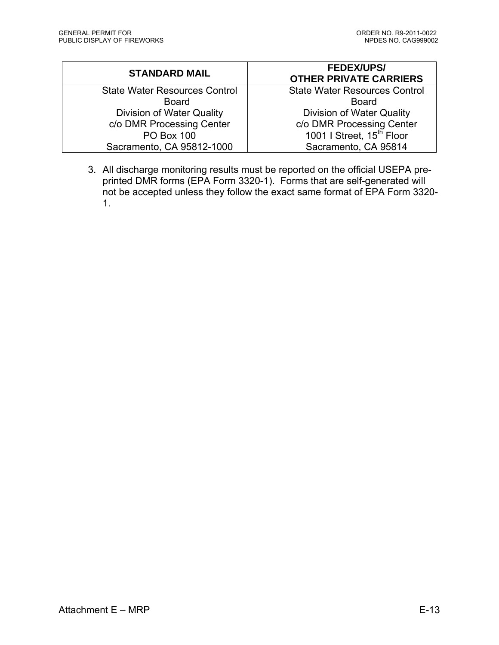| <b>STANDARD MAIL</b>                 | <b>FEDEX/UPS/</b><br><b>OTHER PRIVATE CARRIERS</b> |
|--------------------------------------|----------------------------------------------------|
| <b>State Water Resources Control</b> | <b>State Water Resources Control</b>               |
| <b>Board</b>                         | <b>Board</b>                                       |
| Division of Water Quality            | <b>Division of Water Quality</b>                   |
| c/o DMR Processing Center            | c/o DMR Processing Center                          |
| <b>PO Box 100</b>                    | 1001   Street, 15 <sup>th</sup> Floor              |
| Sacramento, CA 95812-1000            | Sacramento, CA 95814                               |

3. All discharge monitoring results must be reported on the official USEPA preprinted DMR forms (EPA Form 3320-1). Forms that are self-generated will not be accepted unless they follow the exact same format of EPA Form 3320- 1.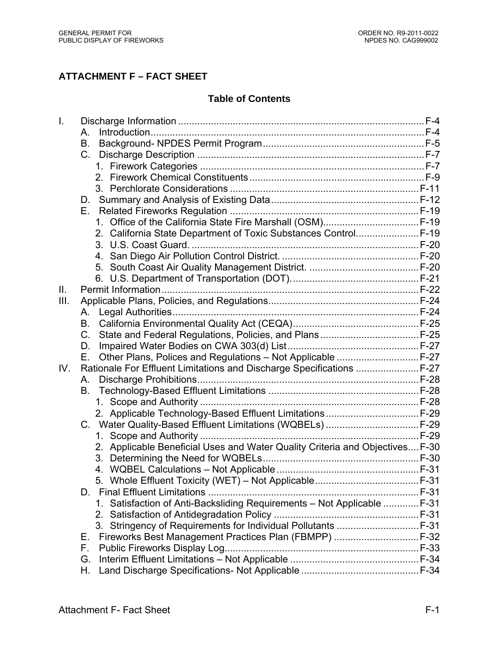# **ATTACHMENT F – FACT SHEET**

# **Table of Contents**

| $\mathbf{L}$ |                                                                              |  |
|--------------|------------------------------------------------------------------------------|--|
|              | А.                                                                           |  |
|              | В.                                                                           |  |
|              | $C_{\cdot}$                                                                  |  |
|              |                                                                              |  |
|              |                                                                              |  |
|              |                                                                              |  |
|              | D.                                                                           |  |
|              | Е.                                                                           |  |
|              |                                                                              |  |
|              | 2. California State Department of Toxic Substances Control F-19              |  |
|              |                                                                              |  |
|              |                                                                              |  |
|              |                                                                              |  |
|              |                                                                              |  |
| II.          |                                                                              |  |
| III.         |                                                                              |  |
|              | А.                                                                           |  |
|              | В.                                                                           |  |
|              | C.                                                                           |  |
|              | D.                                                                           |  |
|              | Other Plans, Polices and Regulations - Not Applicable  F-27<br>Ε.            |  |
| IV.          | Rationale For Effluent Limitations and Discharge Specifications  F-27        |  |
|              | А.                                                                           |  |
|              | В.                                                                           |  |
|              |                                                                              |  |
|              |                                                                              |  |
|              |                                                                              |  |
|              |                                                                              |  |
|              | 2. Applicable Beneficial Uses and Water Quality Criteria and Objectives F-30 |  |
|              |                                                                              |  |
|              |                                                                              |  |
|              |                                                                              |  |
|              |                                                                              |  |
|              | 1. Satisfaction of Anti-Backsliding Requirements - Not Applicable  F-31      |  |
|              |                                                                              |  |
|              |                                                                              |  |
|              | Е.                                                                           |  |
|              | F.                                                                           |  |
|              | G.                                                                           |  |
|              | Η.                                                                           |  |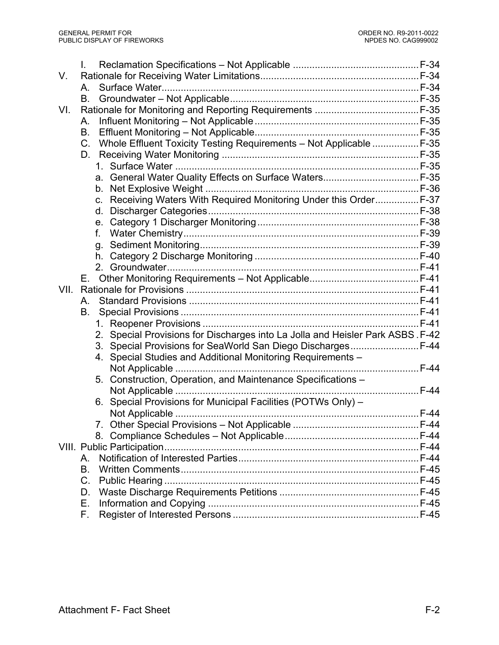|      | $\mathsf{L}$                                                                   |      |
|------|--------------------------------------------------------------------------------|------|
| V.   |                                                                                |      |
|      | $A_{1}$                                                                        |      |
|      | В.                                                                             |      |
| VI.  |                                                                                |      |
|      | А.                                                                             |      |
|      | B.                                                                             |      |
|      | Whole Effluent Toxicity Testing Requirements - Not Applicable  F-35<br>C.      |      |
|      | D.                                                                             |      |
|      |                                                                                |      |
|      |                                                                                |      |
|      |                                                                                |      |
|      | Receiving Waters With Required Monitoring Under this Order F-37<br>C.          |      |
|      | d.                                                                             |      |
|      | е.                                                                             |      |
|      | f.                                                                             |      |
|      |                                                                                |      |
|      |                                                                                |      |
|      |                                                                                |      |
|      | Е.                                                                             |      |
| VII. |                                                                                |      |
|      | Α.                                                                             |      |
|      | В.                                                                             |      |
|      |                                                                                |      |
|      | 2. Special Provisions for Discharges into La Jolla and Heisler Park ASBS. F-42 |      |
|      | 3. Special Provisions for SeaWorld San Diego Discharges F-44                   |      |
|      | Special Studies and Additional Monitoring Requirements -<br>4.                 |      |
|      |                                                                                |      |
|      | 5. Construction, Operation, and Maintenance Specifications -                   |      |
|      |                                                                                |      |
|      | 6. Special Provisions for Municipal Facilities (POTWs Only) -                  |      |
|      |                                                                                |      |
|      | 7                                                                              | F-44 |
|      |                                                                                |      |
|      |                                                                                |      |
|      | Α.                                                                             |      |
|      | <b>B.</b>                                                                      |      |
|      | C.                                                                             |      |
|      | D.                                                                             |      |
|      | Е.                                                                             |      |
|      | F.                                                                             |      |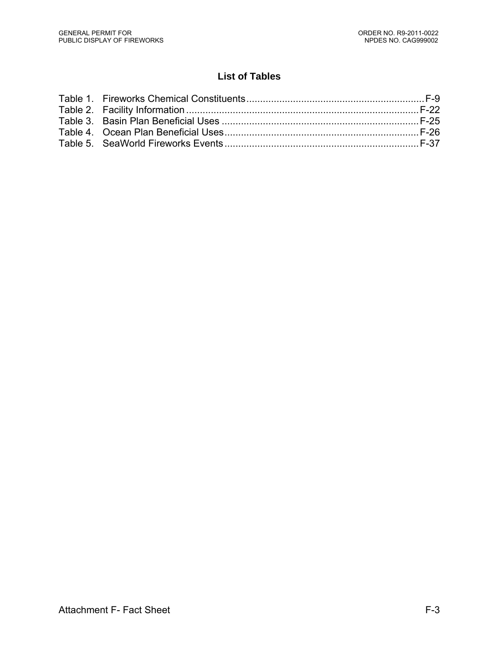# **List of Tables**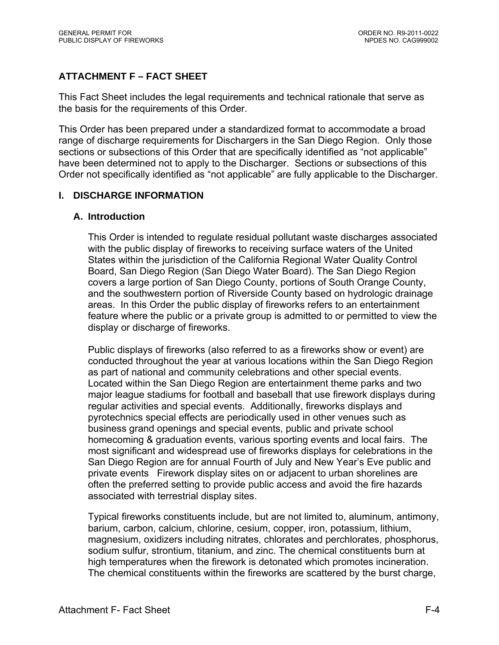# **ATTACHMENT F – FACT SHEET**

This Fact Sheet includes the legal requirements and technical rationale that serve as the basis for the requirements of this Order.

This Order has been prepared under a standardized format to accommodate a broad range of discharge requirements for Dischargers in the San Diego Region. Only those sections or subsections of this Order that are specifically identified as "not applicable" have been determined not to apply to the Discharger. Sections or subsections of this Order not specifically identified as "not applicable" are fully applicable to the Discharger.

## **I. DISCHARGE INFORMATION**

#### **A. Introduction**

This Order is intended to regulate residual pollutant waste discharges associated with the public display of fireworks to receiving surface waters of the United States within the jurisdiction of the California Regional Water Quality Control Board, San Diego Region (San Diego Water Board). The San Diego Region covers a large portion of San Diego County, portions of South Orange County, and the southwestern portion of Riverside County based on hydrologic drainage areas. In this Order the public display of fireworks refers to an entertainment feature where the public or a private group is admitted to or permitted to view the display or discharge of fireworks.

Public displays of fireworks (also referred to as a fireworks show or event) are conducted throughout the year at various locations within the San Diego Region as part of national and community celebrations and other special events. Located within the San Diego Region are entertainment theme parks and two major league stadiums for football and baseball that use firework displays during regular activities and special events. Additionally, fireworks displays and pyrotechnics special effects are periodically used in other venues such as business grand openings and special events, public and private school homecoming & graduation events, various sporting events and local fairs. The most significant and widespread use of fireworks displays for celebrations in the San Diego Region are for annual Fourth of July and New Year's Eve public and private events Firework display sites on or adjacent to urban shorelines are often the preferred setting to provide public access and avoid the fire hazards associated with terrestrial display sites.

Typical fireworks constituents include, but are not limited to, aluminum, antimony, barium, carbon, calcium, chlorine, cesium, copper, iron, potassium, lithium, magnesium, oxidizers including nitrates, chlorates and perchlorates, phosphorus, sodium sulfur, strontium, titanium, and zinc. The chemical constituents burn at high temperatures when the firework is detonated which promotes incineration. The chemical constituents within the fireworks are scattered by the burst charge,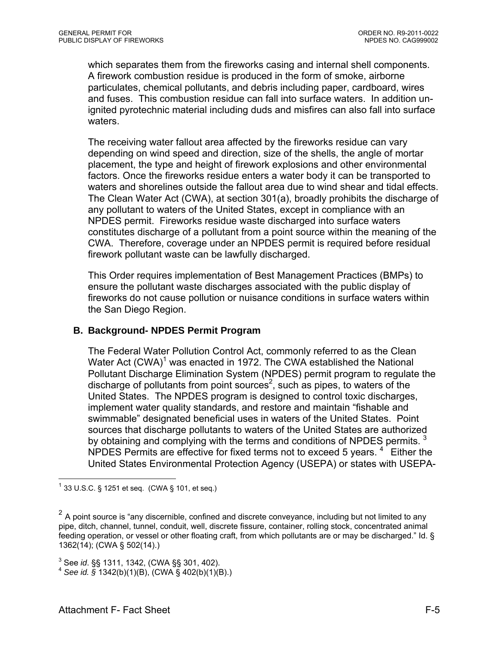which separates them from the fireworks casing and internal shell components. A firework combustion residue is produced in the form of smoke, airborne particulates, chemical pollutants, and debris including paper, cardboard, wires and fuses. This combustion residue can fall into surface waters. In addition unignited pyrotechnic material including duds and misfires can also fall into surface waters.

The receiving water fallout area affected by the fireworks residue can vary depending on wind speed and direction, size of the shells, the angle of mortar placement, the type and height of firework explosions and other environmental factors. Once the fireworks residue enters a water body it can be transported to waters and shorelines outside the fallout area due to wind shear and tidal effects. The Clean Water Act (CWA), at section 301(a), broadly prohibits the discharge of any pollutant to waters of the United States, except in compliance with an NPDES permit. Fireworks residue waste discharged into surface waters constitutes discharge of a pollutant from a point source within the meaning of the CWA. Therefore, coverage under an NPDES permit is required before residual firework pollutant waste can be lawfully discharged.

This Order requires implementation of Best Management Practices (BMPs) to ensure the pollutant waste discharges associated with the public display of fireworks do not cause pollution or nuisance conditions in surface waters within the San Diego Region.

#### **B. Background- NPDES Permit Program**

The Federal Water Pollution Control Act, commonly referred to as the Clean Water Act  $(CWA)^1$  was enacted in 1972. The CWA established the National Pollutant Discharge Elimination System (NPDES) permit program to regulate the discharge of pollutants from point sources<sup>2</sup>, such as pipes, to waters of the United States. The NPDES program is designed to control toxic discharges, implement water quality standards, and restore and maintain "fishable and swimmable" designated beneficial uses in waters of the United States. Point sources that discharge pollutants to waters of the United States are authorized by obtaining and complying with the terms and conditions of NPDES permits.  $3$ NPDES Permits are effective for fixed terms not to exceed 5 years.<sup>4</sup> Either the United States Environmental Protection Agency (USEPA) or states with USEPA-

1

 $1$  33 U.S.C. § 1251 et seq. (CWA § 101, et seq.)

 $2$  A point source is "any discernible, confined and discrete conveyance, including but not limited to any pipe, ditch, channel, tunnel, conduit, well, discrete fissure, container, rolling stock, concentrated animal feeding operation, or vessel or other floating craft, from which pollutants are or may be discharged." Id. § 1362(14); (CWA § 502(14).)

<sup>&</sup>lt;sup>3</sup> See id. §§ 1311, 1342, (CWA §§ 301, 402).

<sup>&</sup>lt;sup>4</sup> See *id.* § 1342(b)(1)(B), (CWA § 402(b)(1)(B).)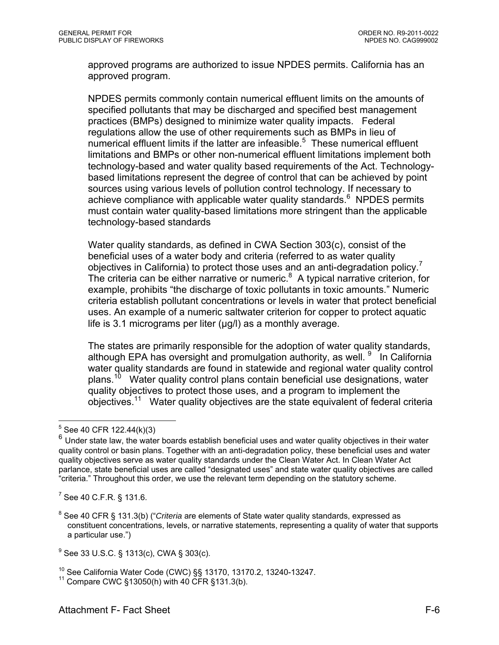approved programs are authorized to issue NPDES permits. California has an approved program.

NPDES permits commonly contain numerical effluent limits on the amounts of specified pollutants that may be discharged and specified best management practices (BMPs) designed to minimize water quality impacts. Federal regulations allow the use of other requirements such as BMPs in lieu of numerical effluent limits if the latter are infeasible. $5$  These numerical effluent limitations and BMPs or other non-numerical effluent limitations implement both technology-based and water quality based requirements of the Act. Technologybased limitations represent the degree of control that can be achieved by point sources using various levels of pollution control technology. If necessary to achieve compliance with applicable water quality standards.<sup>6</sup> NPDES permits must contain water quality-based limitations more stringent than the applicable technology-based standards

Water quality standards, as defined in CWA Section 303(c), consist of the beneficial uses of a water body and criteria (referred to as water quality objectives in California) to protect those uses and an anti-degradation policy.<sup>7</sup> The criteria can be either narrative or numeric.<sup>8</sup> A typical narrative criterion, for example, prohibits "the discharge of toxic pollutants in toxic amounts." Numeric criteria establish pollutant concentrations or levels in water that protect beneficial uses. An example of a numeric saltwater criterion for copper to protect aquatic life is 3.1 micrograms per liter (μg/l) as a monthly average.

The states are primarily responsible for the adoption of water quality standards, although EPA has oversight and promulgation authority, as well. <sup>9</sup> In California water quality standards are found in statewide and regional water quality control plans.<sup>10</sup> Water quality control plans contain beneficial use designations, water quality objectives to protect those uses, and a program to implement the objectives.11 Water quality objectives are the state equivalent of federal criteria

 $\overline{a}$ 

 $7$  See 40 C.F.R. § 131.6.

 $5$  See 40 CFR 122.44(k)(3)

<sup>&</sup>lt;sup>6</sup> Under state law, the water boards establish beneficial uses and water quality objectives in their water quality control or basin plans. Together with an anti-degradation policy, these beneficial uses and water quality objectives serve as water quality standards under the Clean Water Act. In Clean Water Act parlance, state beneficial uses are called "designated uses" and state water quality objectives are called "criteria." Throughout this order, we use the relevant term depending on the statutory scheme.

<sup>8</sup> See 40 CFR § 131.3(b) ("*Criteria* are elements of State water quality standards, expressed as constituent concentrations, levels, or narrative statements, representing a quality of water that supports a particular use.")

<sup>&</sup>lt;sup>9</sup> See 33 U.S.C. § 1313(c), CWA § 303(c).

<sup>&</sup>lt;sup>10</sup> See California Water Code (CWC) §§ 13170, 13170.2, 13240-13247.<br><sup>11</sup> Compare CWC §13050(h) with 40 CFR §131.3(b).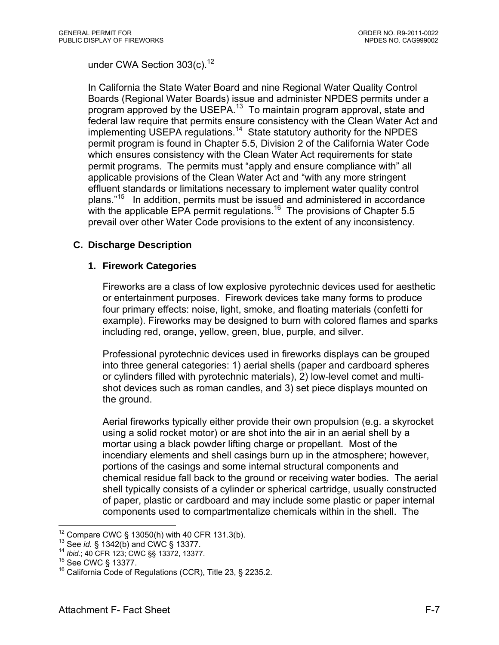under CWA Section 303(c).<sup>12</sup>

In California the State Water Board and nine Regional Water Quality Control Boards (Regional Water Boards) issue and administer NPDES permits under a program approved by the USEPA.<sup>13</sup> To maintain program approval, state and federal law require that permits ensure consistency with the Clean Water Act and implementing USEPA regulations.<sup>14</sup> State statutory authority for the NPDES permit program is found in Chapter 5.5, Division 2 of the California Water Code which ensures consistency with the Clean Water Act requirements for state permit programs. The permits must "apply and ensure compliance with" all applicable provisions of the Clean Water Act and "with any more stringent effluent standards or limitations necessary to implement water quality control plans."15 In addition, permits must be issued and administered in accordance with the applicable EPA permit regulations.<sup>16</sup> The provisions of Chapter 5.5 prevail over other Water Code provisions to the extent of any inconsistency.

## **C. Discharge Description**

#### **1. Firework Categories**

Fireworks are a class of low explosive pyrotechnic devices used for aesthetic or entertainment purposes. Firework devices take many forms to produce four primary effects: noise, light, smoke, and floating materials (confetti for example). Fireworks may be designed to burn with colored flames and sparks including red, orange, yellow, green, blue, purple, and silver.

Professional pyrotechnic devices used in fireworks displays can be grouped into three general categories: 1) aerial shells (paper and cardboard spheres or cylinders filled with pyrotechnic materials), 2) low-level comet and multishot devices such as roman candles, and 3) set piece displays mounted on the ground.

Aerial fireworks typically either provide their own propulsion (e.g. a skyrocket using a solid rocket motor) or are shot into the air in an aerial shell by a mortar using a black powder lifting charge or propellant. Most of the incendiary elements and shell casings burn up in the atmosphere; however, portions of the casings and some internal structural components and chemical residue fall back to the ground or receiving water bodies. The aerial shell typically consists of a cylinder or spherical cartridge, usually constructed of paper, plastic or cardboard and may include some plastic or paper internal components used to compartmentalize chemicals within in the shell. The

 $12$  Compare CWC § 13050(h) with 40 CFR 131.3(b).

<sup>1&</sup>lt;sup>3</sup> See *id.* § 1342(b) and CWC § 13377.<br><sup>14</sup> *Ibid.*; 40 CFR 123; CWC §§ 13372, 13377.<br><sup>15</sup> See CWC § 13377.<br><sup>16</sup> California Code of Regulations (CCR), Title 23, § 2235.2.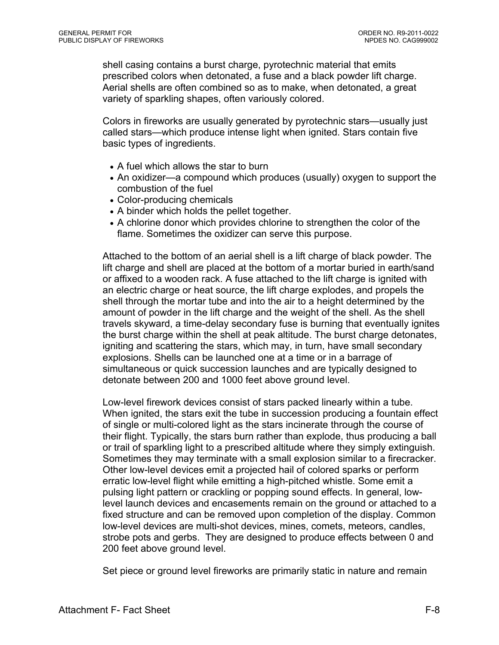shell casing contains a burst charge, pyrotechnic material that emits prescribed colors when detonated, a fuse and a black powder lift charge. Aerial shells are often combined so as to make, when detonated, a great variety of sparkling shapes, often variously colored.

Colors in fireworks are usually generated by pyrotechnic stars—usually just called stars—which produce intense light when ignited. Stars contain five basic types of ingredients.

- A fuel which allows the star to burn
- An oxidizer—a compound which produces (usually) oxygen to support the combustion of the fuel
- Color-producing chemicals
- A binder which holds the pellet together.
- A chlorine donor which provides chlorine to strengthen the color of the flame. Sometimes the oxidizer can serve this purpose.

Attached to the bottom of an aerial shell is a lift charge of black powder. The lift charge and shell are placed at the bottom of a mortar buried in earth/sand or affixed to a wooden rack. A fuse attached to the lift charge is ignited with an electric charge or heat source, the lift charge explodes, and propels the shell through the mortar tube and into the air to a height determined by the amount of powder in the lift charge and the weight of the shell. As the shell travels skyward, a time-delay secondary fuse is burning that eventually ignites the burst charge within the shell at peak altitude. The burst charge detonates, igniting and scattering the stars, which may, in turn, have small secondary explosions. Shells can be launched one at a time or in a barrage of simultaneous or quick succession launches and are typically designed to detonate between 200 and 1000 feet above ground level.

Low-level firework devices consist of stars packed linearly within a tube. When ignited, the stars exit the tube in succession producing a fountain effect of single or multi-colored light as the stars incinerate through the course of their flight. Typically, the stars burn rather than explode, thus producing a ball or trail of sparkling light to a prescribed altitude where they simply extinguish. Sometimes they may terminate with a small explosion similar to a firecracker. Other low-level devices emit a projected hail of colored sparks or perform erratic low-level flight while emitting a high-pitched whistle. Some emit a pulsing light pattern or crackling or popping sound effects. In general, lowlevel launch devices and encasements remain on the ground or attached to a fixed structure and can be removed upon completion of the display. Common low-level devices are multi-shot devices, mines, comets, meteors, candles, strobe pots and gerbs. They are designed to produce effects between 0 and 200 feet above ground level.

Set piece or ground level fireworks are primarily static in nature and remain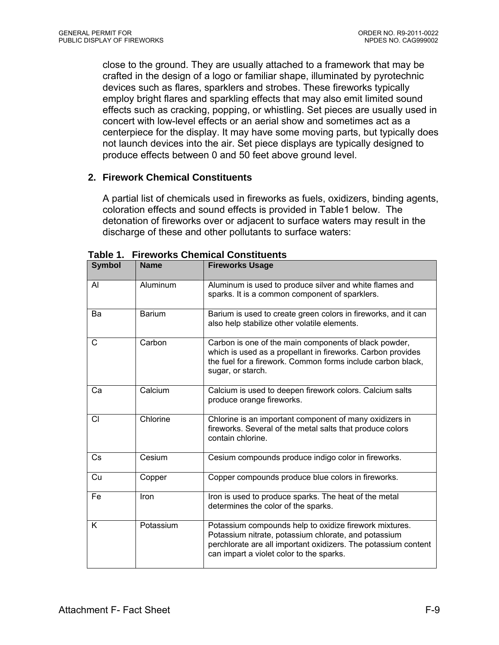close to the ground. They are usually attached to a framework that may be crafted in the design of a logo or familiar shape, illuminated by pyrotechnic devices such as flares, sparklers and strobes. These fireworks typically employ bright flares and sparkling effects that may also emit limited sound effects such as cracking, popping, or whistling. Set pieces are usually used in concert with low-level effects or an aerial show and sometimes act as a centerpiece for the display. It may have some moving parts, but typically does not launch devices into the air. Set piece displays are typically designed to produce effects between 0 and 50 feet above ground level.

### **2. Firework Chemical Constituents**

A partial list of chemicals used in fireworks as fuels, oxidizers, binding agents, coloration effects and sound effects is provided in Table1 below. The detonation of fireworks over or adjacent to surface waters may result in the discharge of these and other pollutants to surface waters:

| <b>Symbol</b> | <b>Name</b>   | <b>Fireworks Usage</b>                                                                                                                                                                                                       |  |
|---------------|---------------|------------------------------------------------------------------------------------------------------------------------------------------------------------------------------------------------------------------------------|--|
| AI            | Aluminum      | Aluminum is used to produce silver and white flames and<br>sparks. It is a common component of sparklers.                                                                                                                    |  |
| Ba            | <b>Barium</b> | Barium is used to create green colors in fireworks, and it can<br>also help stabilize other volatile elements.                                                                                                               |  |
| C             | Carbon        | Carbon is one of the main components of black powder,<br>which is used as a propellant in fireworks. Carbon provides<br>the fuel for a firework. Common forms include carbon black,<br>sugar, or starch.                     |  |
| Сa            | Calcium       | Calcium is used to deepen firework colors. Calcium salts<br>produce orange fireworks.                                                                                                                                        |  |
| <b>CI</b>     | Chlorine      | Chlorine is an important component of many oxidizers in<br>fireworks. Several of the metal salts that produce colors<br>contain chlorine.                                                                                    |  |
| Cs            | Cesium        | Cesium compounds produce indigo color in fireworks.                                                                                                                                                                          |  |
| Cu            | Copper        | Copper compounds produce blue colors in fireworks.                                                                                                                                                                           |  |
| Fe            | Iron          | Iron is used to produce sparks. The heat of the metal<br>determines the color of the sparks.                                                                                                                                 |  |
| K             | Potassium     | Potassium compounds help to oxidize firework mixtures.<br>Potassium nitrate, potassium chlorate, and potassium<br>perchlorate are all important oxidizers. The potassium content<br>can impart a violet color to the sparks. |  |

**Table 1. Fireworks Chemical Constituents**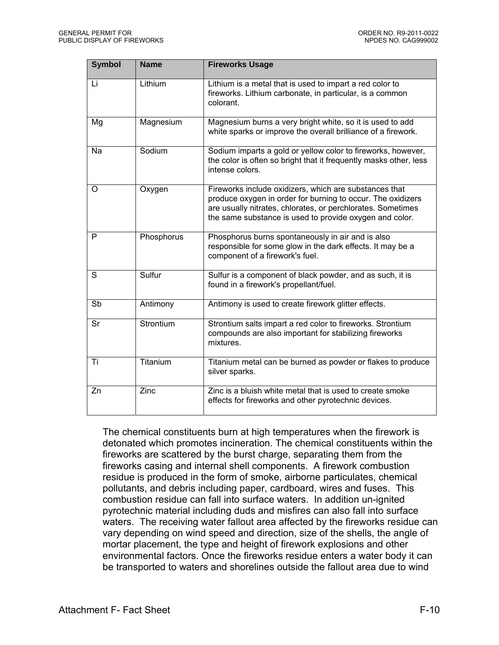| <b>Symbol</b> | <b>Name</b>        | <b>Fireworks Usage</b>                                                                                                                                                                                                                          |
|---------------|--------------------|-------------------------------------------------------------------------------------------------------------------------------------------------------------------------------------------------------------------------------------------------|
| Li            | Lithium            | Lithium is a metal that is used to impart a red color to<br>fireworks. Lithium carbonate, in particular, is a common<br>colorant.                                                                                                               |
| Mg            | Magnesium          | Magnesium burns a very bright white, so it is used to add<br>white sparks or improve the overall brilliance of a firework.                                                                                                                      |
| Na            | Sodium             | Sodium imparts a gold or yellow color to fireworks, however,<br>the color is often so bright that it frequently masks other, less<br>intense colors.                                                                                            |
| Ω             | Oxygen             | Fireworks include oxidizers, which are substances that<br>produce oxygen in order for burning to occur. The oxidizers<br>are usually nitrates, chlorates, or perchlorates. Sometimes<br>the same substance is used to provide oxygen and color. |
| P             | Phosphorus         | Phosphorus burns spontaneously in air and is also<br>responsible for some glow in the dark effects. It may be a<br>component of a firework's fuel.                                                                                              |
| S             | Sulfur             | Sulfur is a component of black powder, and as such, it is<br>found in a firework's propellant/fuel.                                                                                                                                             |
| Sb            | Antimony           | Antimony is used to create firework glitter effects.                                                                                                                                                                                            |
| Sr            | Strontium          | Strontium salts impart a red color to fireworks. Strontium<br>compounds are also important for stabilizing fireworks<br>mixtures.                                                                                                               |
| Ti            | Titanium           | Titanium metal can be burned as powder or flakes to produce<br>silver sparks.                                                                                                                                                                   |
| Zn            | $\overline{Z}$ inc | Zinc is a bluish white metal that is used to create smoke<br>effects for fireworks and other pyrotechnic devices.                                                                                                                               |

The chemical constituents burn at high temperatures when the firework is detonated which promotes incineration. The chemical constituents within the fireworks are scattered by the burst charge, separating them from the fireworks casing and internal shell components. A firework combustion residue is produced in the form of smoke, airborne particulates, chemical pollutants, and debris including paper, cardboard, wires and fuses. This combustion residue can fall into surface waters. In addition un-ignited pyrotechnic material including duds and misfires can also fall into surface waters. The receiving water fallout area affected by the fireworks residue can vary depending on wind speed and direction, size of the shells, the angle of mortar placement, the type and height of firework explosions and other environmental factors. Once the fireworks residue enters a water body it can be transported to waters and shorelines outside the fallout area due to wind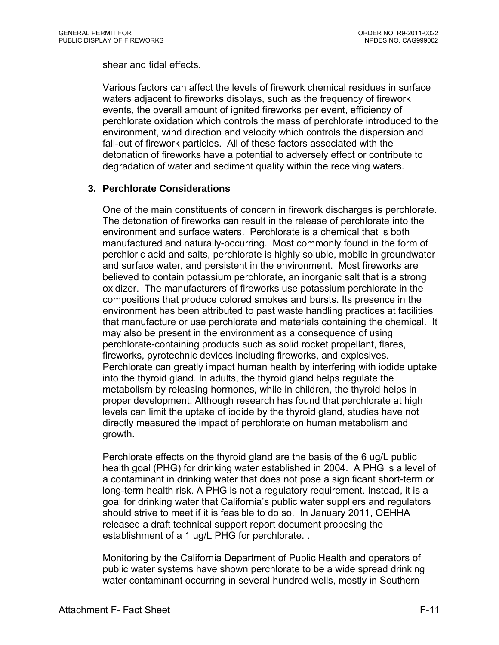shear and tidal effects.

Various factors can affect the levels of firework chemical residues in surface waters adjacent to fireworks displays, such as the frequency of firework events, the overall amount of ignited fireworks per event, efficiency of perchlorate oxidation which controls the mass of perchlorate introduced to the environment, wind direction and velocity which controls the dispersion and fall-out of firework particles. All of these factors associated with the detonation of fireworks have a potential to adversely effect or contribute to degradation of water and sediment quality within the receiving waters.

### **3. Perchlorate Considerations**

One of the main constituents of concern in firework discharges is perchlorate. The detonation of fireworks can result in the release of perchlorate into the environment and surface waters. Perchlorate is a chemical that is both manufactured and naturally-occurring. Most commonly found in the form of perchloric acid and salts, perchlorate is highly soluble, mobile in groundwater and surface water, and persistent in the environment. Most fireworks are believed to contain potassium perchlorate, an inorganic salt that is a strong oxidizer. The manufacturers of fireworks use potassium perchlorate in the compositions that produce colored smokes and bursts. Its presence in the environment has been attributed to past waste handling practices at facilities that manufacture or use perchlorate and materials containing the chemical. It may also be present in the environment as a consequence of using perchlorate-containing products such as solid rocket propellant, flares, fireworks, pyrotechnic devices including fireworks, and explosives. Perchlorate can greatly impact human health by interfering with iodide uptake into the thyroid gland. In adults, the thyroid gland helps regulate the metabolism by releasing hormones, while in children, the thyroid helps in proper development. Although research has found that perchlorate at high levels can limit the uptake of iodide by the thyroid gland, studies have not directly measured the impact of perchlorate on human metabolism and growth.

Perchlorate effects on the thyroid gland are the basis of the 6 ug/L public health goal (PHG) for drinking water established in 2004. A PHG is a level of a contaminant in drinking water that does not pose a significant short-term or long-term health risk. A PHG is not a regulatory requirement. Instead, it is a goal for drinking water that California's public water suppliers and regulators should strive to meet if it is feasible to do so. In January 2011, OEHHA released a draft technical support report document proposing the establishment of a 1 ug/L PHG for perchlorate. .

Monitoring by the California Department of Public Health and operators of public water systems have shown perchlorate to be a wide spread drinking water contaminant occurring in several hundred wells, mostly in Southern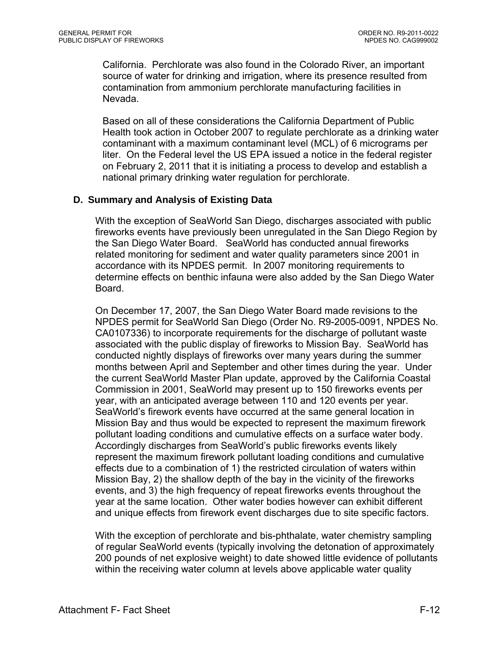California. Perchlorate was also found in the Colorado River, an important source of water for drinking and irrigation, where its presence resulted from contamination from ammonium perchlorate manufacturing facilities in Nevada.

Based on all of these considerations the California Department of Public Health took action in October 2007 to regulate perchlorate as a drinking water contaminant with a maximum contaminant level (MCL) of 6 micrograms per liter. On the Federal level the US EPA issued a notice in the federal register on February 2, 2011 that it is initiating a process to develop and establish a national primary drinking water regulation for perchlorate.

#### **D. Summary and Analysis of Existing Data**

With the exception of SeaWorld San Diego, discharges associated with public fireworks events have previously been unregulated in the San Diego Region by the San Diego Water Board. SeaWorld has conducted annual fireworks related monitoring for sediment and water quality parameters since 2001 in accordance with its NPDES permit. In 2007 monitoring requirements to determine effects on benthic infauna were also added by the San Diego Water Board.

On December 17, 2007, the San Diego Water Board made revisions to the NPDES permit for SeaWorld San Diego (Order No. R9-2005-0091, NPDES No. CA0107336) to incorporate requirements for the discharge of pollutant waste associated with the public display of fireworks to Mission Bay. SeaWorld has conducted nightly displays of fireworks over many years during the summer months between April and September and other times during the year. Under the current SeaWorld Master Plan update, approved by the California Coastal Commission in 2001, SeaWorld may present up to 150 fireworks events per year, with an anticipated average between 110 and 120 events per year. SeaWorld's firework events have occurred at the same general location in Mission Bay and thus would be expected to represent the maximum firework pollutant loading conditions and cumulative effects on a surface water body. Accordingly discharges from SeaWorld's public fireworks events likely represent the maximum firework pollutant loading conditions and cumulative effects due to a combination of 1) the restricted circulation of waters within Mission Bay, 2) the shallow depth of the bay in the vicinity of the fireworks events, and 3) the high frequency of repeat fireworks events throughout the year at the same location. Other water bodies however can exhibit different and unique effects from firework event discharges due to site specific factors.

With the exception of perchlorate and bis-phthalate, water chemistry sampling of regular SeaWorld events (typically involving the detonation of approximately 200 pounds of net explosive weight) to date showed little evidence of pollutants within the receiving water column at levels above applicable water quality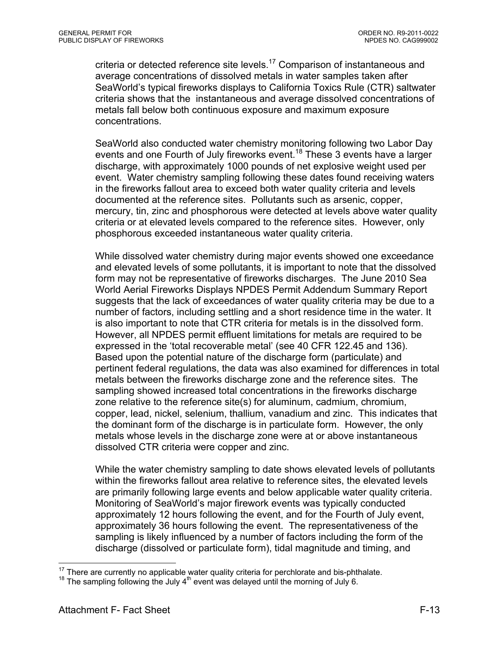criteria or detected reference site levels.<sup>17</sup> Comparison of instantaneous and average concentrations of dissolved metals in water samples taken after SeaWorld's typical fireworks displays to California Toxics Rule (CTR) saltwater criteria shows that the instantaneous and average dissolved concentrations of metals fall below both continuous exposure and maximum exposure concentrations.

SeaWorld also conducted water chemistry monitoring following two Labor Day events and one Fourth of July fireworks event.<sup>18</sup> These 3 events have a larger discharge, with approximately 1000 pounds of net explosive weight used per event. Water chemistry sampling following these dates found receiving waters in the fireworks fallout area to exceed both water quality criteria and levels documented at the reference sites. Pollutants such as arsenic, copper, mercury, tin, zinc and phosphorous were detected at levels above water quality criteria or at elevated levels compared to the reference sites. However, only phosphorous exceeded instantaneous water quality criteria.

While dissolved water chemistry during major events showed one exceedance and elevated levels of some pollutants, it is important to note that the dissolved form may not be representative of fireworks discharges. The June 2010 Sea World Aerial Fireworks Displays NPDES Permit Addendum Summary Report suggests that the lack of exceedances of water quality criteria may be due to a number of factors, including settling and a short residence time in the water. It is also important to note that CTR criteria for metals is in the dissolved form. However, all NPDES permit effluent limitations for metals are required to be expressed in the 'total recoverable metal' (see 40 CFR 122.45 and 136). Based upon the potential nature of the discharge form (particulate) and pertinent federal regulations, the data was also examined for differences in total metals between the fireworks discharge zone and the reference sites. The sampling showed increased total concentrations in the fireworks discharge zone relative to the reference site(s) for aluminum, cadmium, chromium, copper, lead, nickel, selenium, thallium, vanadium and zinc. This indicates that the dominant form of the discharge is in particulate form. However, the only metals whose levels in the discharge zone were at or above instantaneous dissolved CTR criteria were copper and zinc.

While the water chemistry sampling to date shows elevated levels of pollutants within the fireworks fallout area relative to reference sites, the elevated levels are primarily following large events and below applicable water quality criteria. Monitoring of SeaWorld's major firework events was typically conducted approximately 12 hours following the event, and for the Fourth of July event, approximately 36 hours following the event. The representativeness of the sampling is likely influenced by a number of factors including the form of the discharge (dissolved or particulate form), tidal magnitude and timing, and

 $\overline{a}$ 

<sup>&</sup>lt;sup>17</sup> There are currently no applicable water quality criteria for perchlorate and bis-phthalate.<br><sup>18</sup> The sampling following the July 4<sup>th</sup> event was delayed until the morning of July 6.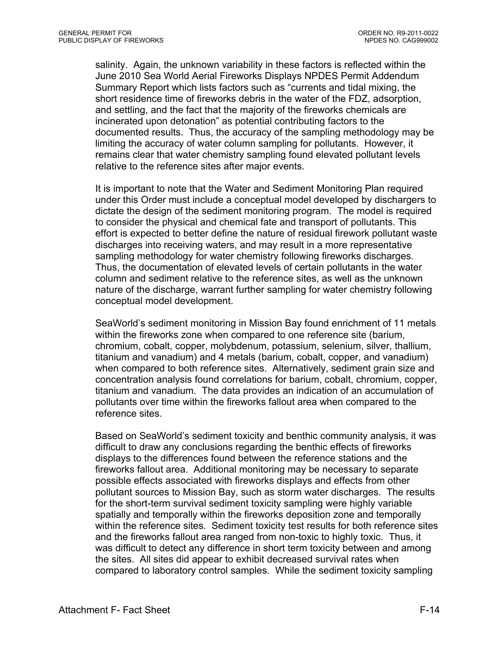salinity. Again, the unknown variability in these factors is reflected within the June 2010 Sea World Aerial Fireworks Displays NPDES Permit Addendum Summary Report which lists factors such as "currents and tidal mixing, the short residence time of fireworks debris in the water of the FDZ, adsorption, and settling, and the fact that the majority of the fireworks chemicals are incinerated upon detonation" as potential contributing factors to the documented results. Thus, the accuracy of the sampling methodology may be limiting the accuracy of water column sampling for pollutants. However, it remains clear that water chemistry sampling found elevated pollutant levels relative to the reference sites after major events.

It is important to note that the Water and Sediment Monitoring Plan required under this Order must include a conceptual model developed by dischargers to dictate the design of the sediment monitoring program. The model is required to consider the physical and chemical fate and transport of pollutants. This effort is expected to better define the nature of residual firework pollutant waste discharges into receiving waters, and may result in a more representative sampling methodology for water chemistry following fireworks discharges. Thus, the documentation of elevated levels of certain pollutants in the water column and sediment relative to the reference sites, as well as the unknown nature of the discharge, warrant further sampling for water chemistry following conceptual model development.

SeaWorld's sediment monitoring in Mission Bay found enrichment of 11 metals within the fireworks zone when compared to one reference site (barium, chromium, cobalt, copper, molybdenum, potassium, selenium, silver, thallium, titanium and vanadium) and 4 metals (barium, cobalt, copper, and vanadium) when compared to both reference sites. Alternatively, sediment grain size and concentration analysis found correlations for barium, cobalt, chromium, copper, titanium and vanadium. The data provides an indication of an accumulation of pollutants over time within the fireworks fallout area when compared to the reference sites.

Based on SeaWorld's sediment toxicity and benthic community analysis, it was difficult to draw any conclusions regarding the benthic effects of fireworks displays to the differences found between the reference stations and the fireworks fallout area. Additional monitoring may be necessary to separate possible effects associated with fireworks displays and effects from other pollutant sources to Mission Bay, such as storm water discharges. The results for the short-term survival sediment toxicity sampling were highly variable spatially and temporally within the fireworks deposition zone and temporally within the reference sites. Sediment toxicity test results for both reference sites and the fireworks fallout area ranged from non-toxic to highly toxic. Thus, it was difficult to detect any difference in short term toxicity between and among the sites. All sites did appear to exhibit decreased survival rates when compared to laboratory control samples. While the sediment toxicity sampling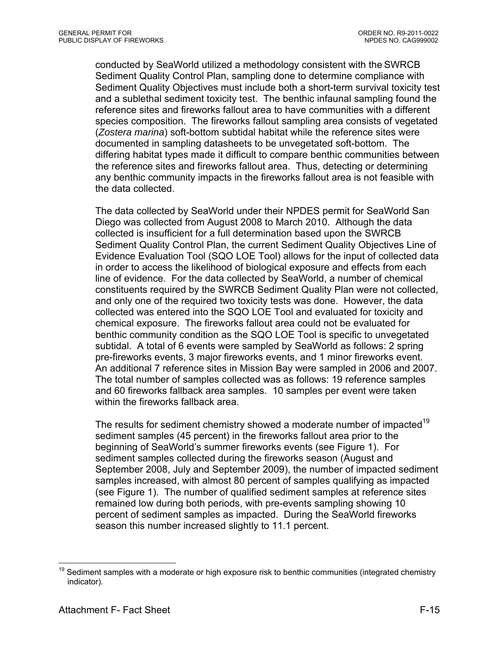conducted by SeaWorld utilized a methodology consistent with the SWRCB Sediment Quality Control Plan, sampling done to determine compliance with Sediment Quality Objectives must include both a short-term survival toxicity test and a sublethal sediment toxicity test. The benthic infaunal sampling found the reference sites and fireworks fallout area to have communities with a different species composition. The fireworks fallout sampling area consists of vegetated (*Zostera marina*) soft-bottom subtidal habitat while the reference sites were documented in sampling datasheets to be unvegetated soft-bottom. The differing habitat types made it difficult to compare benthic communities between the reference sites and fireworks fallout area. Thus, detecting or determining any benthic community impacts in the fireworks fallout area is not feasible with the data collected.

The data collected by SeaWorld under their NPDES permit for SeaWorld San Diego was collected from August 2008 to March 2010. Although the data collected is insufficient for a full determination based upon the SWRCB Sediment Quality Control Plan, the current Sediment Quality Objectives Line of Evidence Evaluation Tool (SQO LOE Tool) allows for the input of collected data in order to access the likelihood of biological exposure and effects from each line of evidence. For the data collected by SeaWorld, a number of chemical constituents required by the SWRCB Sediment Quality Plan were not collected, and only one of the required two toxicity tests was done. However, the data collected was entered into the SQO LOE Tool and evaluated for toxicity and chemical exposure. The fireworks fallout area could not be evaluated for benthic community condition as the SQO LOE Tool is specific to unvegetated subtidal. A total of 6 events were sampled by SeaWorld as follows: 2 spring pre-fireworks events, 3 major fireworks events, and 1 minor fireworks event. An additional 7 reference sites in Mission Bay were sampled in 2006 and 2007. The total number of samples collected was as follows: 19 reference samples and 60 fireworks fallback area samples. 10 samples per event were taken within the fireworks fallback area.

The results for sediment chemistry showed a moderate number of impacted<sup>19</sup> sediment samples (45 percent) in the fireworks fallout area prior to the beginning of SeaWorld's summer fireworks events (see Figure 1). For sediment samples collected during the fireworks season (August and September 2008, July and September 2009), the number of impacted sediment samples increased, with almost 80 percent of samples qualifying as impacted (see Figure 1). The number of qualified sediment samples at reference sites remained low during both periods, with pre-events sampling showing 10 percent of sediment samples as impacted. During the SeaWorld fireworks season this number increased slightly to 11.1 percent.

<sup>1</sup>  $19$  Sediment samples with a moderate or high exposure risk to benthic communities (integrated chemistry indicator).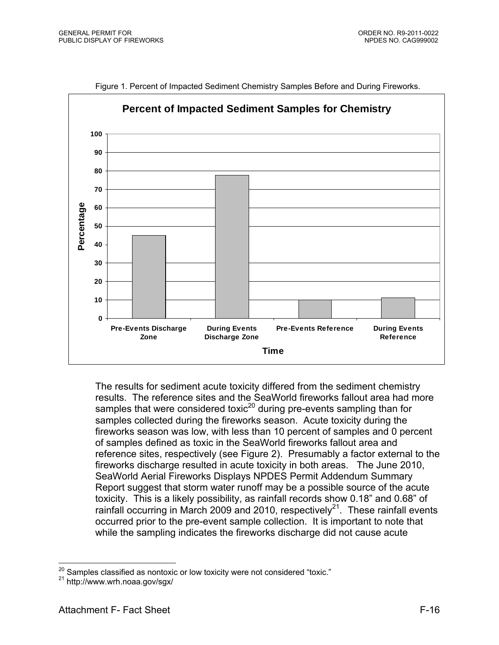

Figure 1. Percent of Impacted Sediment Chemistry Samples Before and During Fireworks.

The results for sediment acute toxicity differed from the sediment chemistry results. The reference sites and the SeaWorld fireworks fallout area had more samples that were considered toxic<sup>20</sup> during pre-events sampling than for samples collected during the fireworks season. Acute toxicity during the fireworks season was low, with less than 10 percent of samples and 0 percent of samples defined as toxic in the SeaWorld fireworks fallout area and reference sites, respectively (see Figure 2). Presumably a factor external to the fireworks discharge resulted in acute toxicity in both areas. The June 2010, SeaWorld Aerial Fireworks Displays NPDES Permit Addendum Summary Report suggest that storm water runoff may be a possible source of the acute toxicity. This is a likely possibility, as rainfall records show 0.18" and 0.68" of rainfall occurring in March 2009 and 2010, respectively<sup>21</sup>. These rainfall events occurred prior to the pre-event sample collection. It is important to note that while the sampling indicates the fireworks discharge did not cause acute

 $\overline{a}$ 

<sup>&</sup>lt;sup>20</sup> Samples classified as nontoxic or low toxicity were not considered "toxic."<br><sup>21</sup> http://www.wrh.noaa.gov/sgx/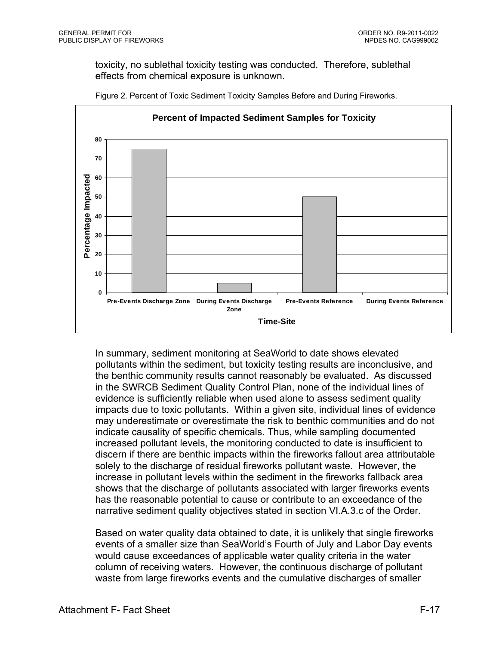toxicity, no sublethal toxicity testing was conducted. Therefore, sublethal effects from chemical exposure is unknown.



Figure 2. Percent of Toxic Sediment Toxicity Samples Before and During Fireworks.

In summary, sediment monitoring at SeaWorld to date shows elevated pollutants within the sediment, but toxicity testing results are inconclusive, and the benthic community results cannot reasonably be evaluated. As discussed in the SWRCB Sediment Quality Control Plan, none of the individual lines of evidence is sufficiently reliable when used alone to assess sediment quality impacts due to toxic pollutants. Within a given site, individual lines of evidence may underestimate or overestimate the risk to benthic communities and do not indicate causality of specific chemicals. Thus, while sampling documented increased pollutant levels, the monitoring conducted to date is insufficient to discern if there are benthic impacts within the fireworks fallout area attributable solely to the discharge of residual fireworks pollutant waste. However, the increase in pollutant levels within the sediment in the fireworks fallback area shows that the discharge of pollutants associated with larger fireworks events has the reasonable potential to cause or contribute to an exceedance of the narrative sediment quality objectives stated in section VI.A.3.c of the Order.

Based on water quality data obtained to date, it is unlikely that single fireworks events of a smaller size than SeaWorld's Fourth of July and Labor Day events would cause exceedances of applicable water quality criteria in the water column of receiving waters. However, the continuous discharge of pollutant waste from large fireworks events and the cumulative discharges of smaller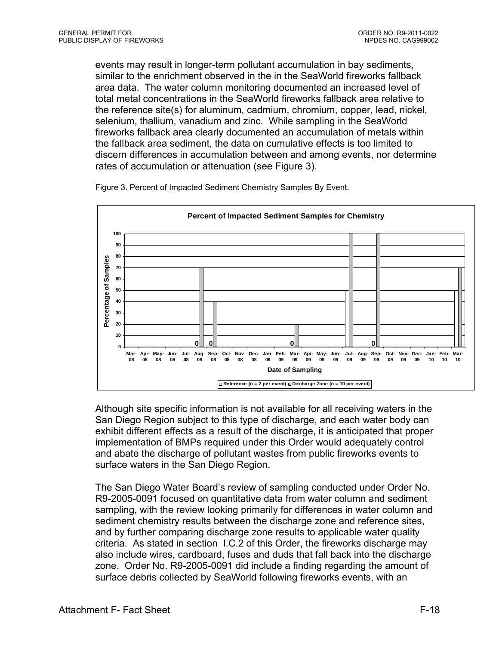events may result in longer-term pollutant accumulation in bay sediments, similar to the enrichment observed in the in the SeaWorld fireworks fallback area data. The water column monitoring documented an increased level of total metal concentrations in the SeaWorld fireworks fallback area relative to the reference site(s) for aluminum, cadmium, chromium, copper, lead, nickel, selenium, thallium, vanadium and zinc. While sampling in the SeaWorld fireworks fallback area clearly documented an accumulation of metals within the fallback area sediment, the data on cumulative effects is too limited to discern differences in accumulation between and among events, nor determine rates of accumulation or attenuation (see Figure 3).



Figure 3. Percent of Impacted Sediment Chemistry Samples By Event.

Although site specific information is not available for all receiving waters in the San Diego Region subject to this type of discharge, and each water body can exhibit different effects as a result of the discharge, it is anticipated that proper implementation of BMPs required under this Order would adequately control and abate the discharge of pollutant wastes from public fireworks events to surface waters in the San Diego Region.

The San Diego Water Board's review of sampling conducted under Order No. R9-2005-0091 focused on quantitative data from water column and sediment sampling, with the review looking primarily for differences in water column and sediment chemistry results between the discharge zone and reference sites, and by further comparing discharge zone results to applicable water quality criteria. As stated in section I.C.2 of this Order, the fireworks discharge may also include wires, cardboard, fuses and duds that fall back into the discharge zone. Order No. R9-2005-0091 did include a finding regarding the amount of surface debris collected by SeaWorld following fireworks events, with an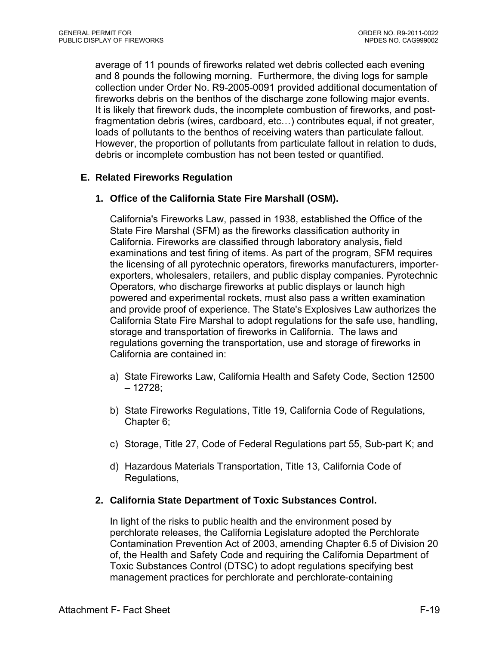average of 11 pounds of fireworks related wet debris collected each evening and 8 pounds the following morning. Furthermore, the diving logs for sample collection under Order No. R9-2005-0091 provided additional documentation of fireworks debris on the benthos of the discharge zone following major events. It is likely that firework duds, the incomplete combustion of fireworks, and postfragmentation debris (wires, cardboard, etc…) contributes equal, if not greater, loads of pollutants to the benthos of receiving waters than particulate fallout. However, the proportion of pollutants from particulate fallout in relation to duds, debris or incomplete combustion has not been tested or quantified.

## **E. Related Fireworks Regulation**

### **1. Office of the California State Fire Marshall (OSM).**

California's Fireworks Law, passed in 1938, established the Office of the State Fire Marshal (SFM) as the fireworks classification authority in California. Fireworks are classified through laboratory analysis, field examinations and test firing of items. As part of the program, SFM requires the licensing of all pyrotechnic operators, fireworks manufacturers, importerexporters, wholesalers, retailers, and public display companies. Pyrotechnic Operators, who discharge fireworks at public displays or launch high powered and experimental rockets, must also pass a written examination and provide proof of experience. The State's Explosives Law authorizes the California State Fire Marshal to adopt regulations for the safe use, handling, storage and transportation of fireworks in California. The laws and regulations governing the transportation, use and storage of fireworks in California are contained in:

- a) State Fireworks Law, California Health and Safety Code, Section 12500 – 12728;
- b) State Fireworks Regulations, Title 19, California Code of Regulations, Chapter 6;
- c) Storage, Title 27, Code of Federal Regulations part 55, Sub-part K; and
- d) Hazardous Materials Transportation, Title 13, California Code of Regulations,

#### **2. California State Department of Toxic Substances Control.**

In light of the risks to public health and the environment posed by perchlorate releases, the California Legislature adopted the Perchlorate Contamination Prevention Act of 2003, amending Chapter 6.5 of Division 20 of, the Health and Safety Code and requiring the California Department of Toxic Substances Control (DTSC) to adopt regulations specifying best management practices for perchlorate and perchlorate-containing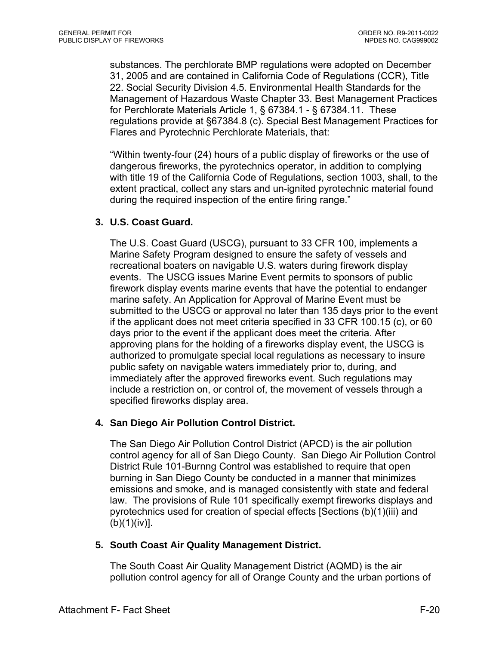substances. The perchlorate BMP regulations were adopted on December 31, 2005 and are contained in California Code of Regulations (CCR), Title 22. Social Security Division 4.5. Environmental Health Standards for the Management of Hazardous Waste Chapter 33. Best Management Practices for Perchlorate Materials Article 1, § 67384.1 - § 67384.11. These regulations provide at §67384.8 (c). Special Best Management Practices for Flares and Pyrotechnic Perchlorate Materials, that:

"Within twenty-four (24) hours of a public display of fireworks or the use of dangerous fireworks, the pyrotechnics operator, in addition to complying with title 19 of the California Code of Regulations, section 1003, shall, to the extent practical, collect any stars and un-ignited pyrotechnic material found during the required inspection of the entire firing range."

### **3. U.S. Coast Guard.**

The U.S. Coast Guard (USCG), pursuant to 33 CFR 100, implements a Marine Safety Program designed to ensure the safety of vessels and recreational boaters on navigable U.S. waters during firework display events. The USCG issues Marine Event permits to sponsors of public firework display events marine events that have the potential to endanger marine safety. An Application for Approval of Marine Event must be submitted to the USCG or approval no later than 135 days prior to the event if the applicant does not meet criteria specified in 33 CFR 100.15 (c), or 60 days prior to the event if the applicant does meet the criteria. After approving plans for the holding of a fireworks display event, the USCG is authorized to promulgate special local regulations as necessary to insure public safety on navigable waters immediately prior to, during, and immediately after the approved fireworks event. Such regulations may include a restriction on, or control of, the movement of vessels through a specified fireworks display area.

#### **4. San Diego Air Pollution Control District.**

The San Diego Air Pollution Control District (APCD) is the air pollution control agency for all of San Diego County. San Diego Air Pollution Control District Rule 101-Burnng Control was established to require that open burning in San Diego County be conducted in a manner that minimizes emissions and smoke, and is managed consistently with state and federal law. The provisions of Rule 101 specifically exempt fireworks displays and pyrotechnics used for creation of special effects [Sections (b)(1)(iii) and  $(b)(1)(iv)$ ].

#### **5. South Coast Air Quality Management District.**

The South Coast Air Quality Management District (AQMD) is the air pollution control agency for all of Orange County and the urban portions of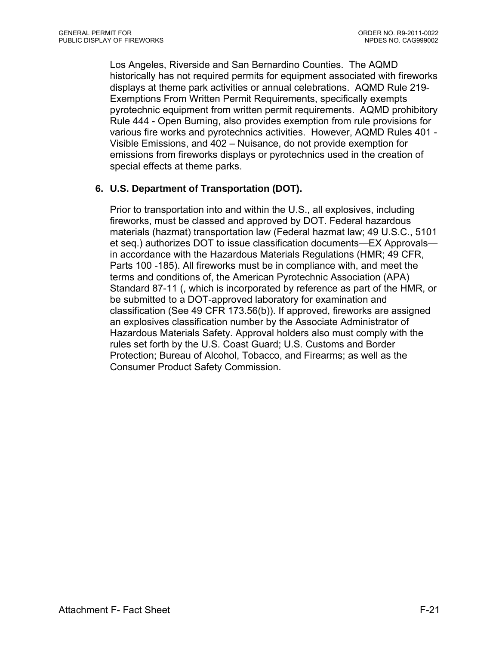Los Angeles, Riverside and San Bernardino Counties. The AQMD historically has not required permits for equipment associated with fireworks displays at theme park activities or annual celebrations. AQMD Rule 219- Exemptions From Written Permit Requirements, specifically exempts pyrotechnic equipment from written permit requirements. AQMD prohibitory Rule 444 - Open Burning, also provides exemption from rule provisions for various fire works and pyrotechnics activities. However, AQMD Rules 401 - Visible Emissions, and 402 – Nuisance, do not provide exemption for emissions from fireworks displays or pyrotechnics used in the creation of special effects at theme parks.

# **6. U.S. Department of Transportation (DOT).**

Prior to transportation into and within the U.S., all explosives, including fireworks, must be classed and approved by DOT. Federal hazardous materials (hazmat) transportation law (Federal hazmat law; 49 U.S.C., 5101 et seq.) authorizes DOT to issue classification documents—EX Approvals in accordance with the Hazardous Materials Regulations (HMR; 49 CFR, Parts 100 -185). All fireworks must be in compliance with, and meet the terms and conditions of, the American Pyrotechnic Association (APA) Standard 87-11 (, which is incorporated by reference as part of the HMR, or be submitted to a DOT-approved laboratory for examination and classification (See 49 CFR 173.56(b)). If approved, fireworks are assigned an explosives classification number by the Associate Administrator of Hazardous Materials Safety. Approval holders also must comply with the rules set forth by the U.S. Coast Guard; U.S. Customs and Border Protection; Bureau of Alcohol, Tobacco, and Firearms; as well as the Consumer Product Safety Commission.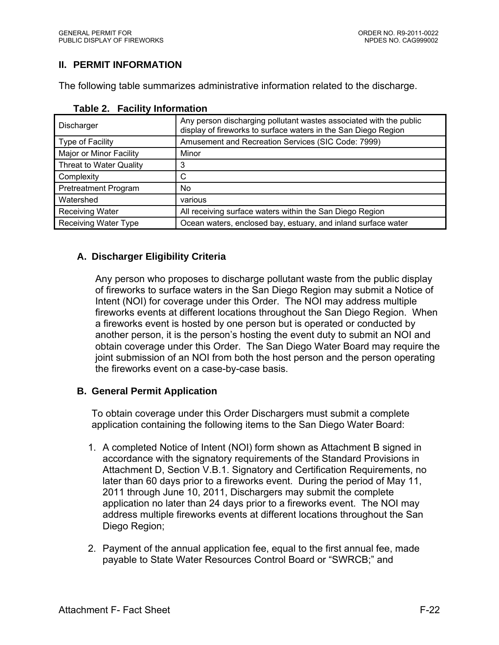# **II. PERMIT INFORMATION**

The following table summarizes administrative information related to the discharge.

| Discharger                  | Any person discharging pollutant wastes associated with the public<br>display of fireworks to surface waters in the San Diego Region |
|-----------------------------|--------------------------------------------------------------------------------------------------------------------------------------|
| Type of Facility            | Amusement and Recreation Services (SIC Code: 7999)                                                                                   |
| Major or Minor Facility     | Minor                                                                                                                                |
| Threat to Water Quality     | 3                                                                                                                                    |
| Complexity                  | С                                                                                                                                    |
| <b>Pretreatment Program</b> | N <sub>o</sub>                                                                                                                       |
| Watershed                   | various                                                                                                                              |
| <b>Receiving Water</b>      | All receiving surface waters within the San Diego Region                                                                             |
| <b>Receiving Water Type</b> | Ocean waters, enclosed bay, estuary, and inland surface water                                                                        |

#### **Table 2. Facility Information**

# **A. Discharger Eligibility Criteria**

Any person who proposes to discharge pollutant waste from the public display of fireworks to surface waters in the San Diego Region may submit a Notice of Intent (NOI) for coverage under this Order. The NOI may address multiple fireworks events at different locations throughout the San Diego Region. When a fireworks event is hosted by one person but is operated or conducted by another person, it is the person's hosting the event duty to submit an NOI and obtain coverage under this Order. The San Diego Water Board may require the joint submission of an NOI from both the host person and the person operating the fireworks event on a case-by-case basis.

#### **B. General Permit Application**

To obtain coverage under this Order Dischargers must submit a complete application containing the following items to the San Diego Water Board:

- 1. A completed Notice of Intent (NOI) form shown as Attachment B signed in accordance with the signatory requirements of the Standard Provisions in Attachment D, Section V.B.1. Signatory and Certification Requirements, no later than 60 days prior to a fireworks event. During the period of May 11, 2011 through June 10, 2011, Dischargers may submit the complete application no later than 24 days prior to a fireworks event. The NOI may address multiple fireworks events at different locations throughout the San Diego Region;
- 2. Payment of the annual application fee, equal to the first annual fee, made payable to State Water Resources Control Board or "SWRCB;" and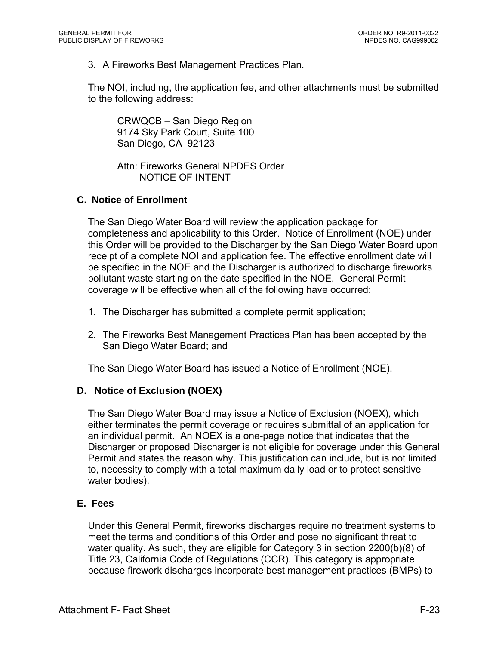3. A Fireworks Best Management Practices Plan.

The NOI, including, the application fee, and other attachments must be submitted to the following address:

CRWQCB – San Diego Region 9174 Sky Park Court, Suite 100 San Diego, CA 92123

Attn: Fireworks General NPDES Order NOTICE OF INTENT

### **C. Notice of Enrollment**

The San Diego Water Board will review the application package for completeness and applicability to this Order. Notice of Enrollment (NOE) under this Order will be provided to the Discharger by the San Diego Water Board upon receipt of a complete NOI and application fee. The effective enrollment date will be specified in the NOE and the Discharger is authorized to discharge fireworks pollutant waste starting on the date specified in the NOE. General Permit coverage will be effective when all of the following have occurred:

- 1. The Discharger has submitted a complete permit application;
- 2. The Fireworks Best Management Practices Plan has been accepted by the San Diego Water Board; and

The San Diego Water Board has issued a Notice of Enrollment (NOE).

## **D. Notice of Exclusion (NOEX)**

The San Diego Water Board may issue a Notice of Exclusion (NOEX), which either terminates the permit coverage or requires submittal of an application for an individual permit. An NOEX is a one-page notice that indicates that the Discharger or proposed Discharger is not eligible for coverage under this General Permit and states the reason why. This justification can include, but is not limited to, necessity to comply with a total maximum daily load or to protect sensitive water bodies).

#### **E. Fees**

Under this General Permit, fireworks discharges require no treatment systems to meet the terms and conditions of this Order and pose no significant threat to water quality. As such, they are eligible for Category 3 in section 2200(b)(8) of Title 23, California Code of Regulations (CCR). This category is appropriate because firework discharges incorporate best management practices (BMPs) to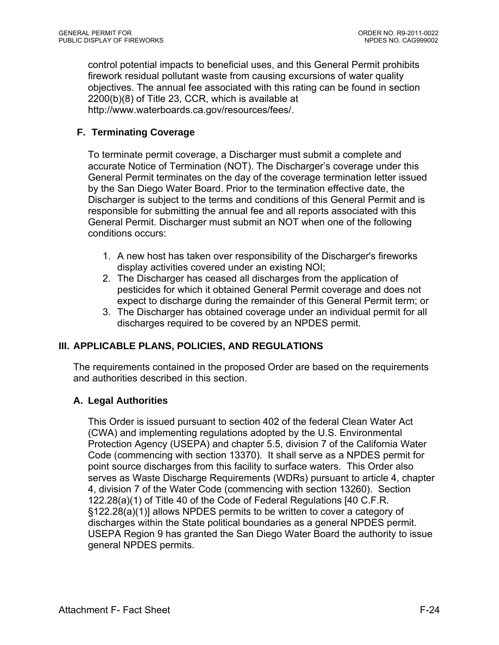control potential impacts to beneficial uses, and this General Permit prohibits firework residual pollutant waste from causing excursions of water quality objectives. The annual fee associated with this rating can be found in section 2200(b)(8) of Title 23, CCR, which is available at http://www.waterboards.ca.gov/resources/fees/.

## **F. Terminating Coverage**

To terminate permit coverage, a Discharger must submit a complete and accurate Notice of Termination (NOT). The Discharger's coverage under this General Permit terminates on the day of the coverage termination letter issued by the San Diego Water Board. Prior to the termination effective date, the Discharger is subject to the terms and conditions of this General Permit and is responsible for submitting the annual fee and all reports associated with this General Permit. Discharger must submit an NOT when one of the following conditions occurs:

- 1. A new host has taken over responsibility of the Discharger's fireworks display activities covered under an existing NOI;
- 2. The Discharger has ceased all discharges from the application of pesticides for which it obtained General Permit coverage and does not expect to discharge during the remainder of this General Permit term; or
- 3. The Discharger has obtained coverage under an individual permit for all discharges required to be covered by an NPDES permit.

## **III. APPLICABLE PLANS, POLICIES, AND REGULATIONS**

The requirements contained in the proposed Order are based on the requirements and authorities described in this section.

## **A. Legal Authorities**

This Order is issued pursuant to section 402 of the federal Clean Water Act (CWA) and implementing regulations adopted by the U.S. Environmental Protection Agency (USEPA) and chapter 5.5, division 7 of the California Water Code (commencing with section 13370). It shall serve as a NPDES permit for point source discharges from this facility to surface waters. This Order also serves as Waste Discharge Requirements (WDRs) pursuant to article 4, chapter 4, division 7 of the Water Code (commencing with section 13260). Section 122.28(a)(1) of Title 40 of the Code of Federal Regulations [40 C.F.R. §122.28(a)(1)] allows NPDES permits to be written to cover a category of discharges within the State political boundaries as a general NPDES permit. USEPA Region 9 has granted the San Diego Water Board the authority to issue general NPDES permits.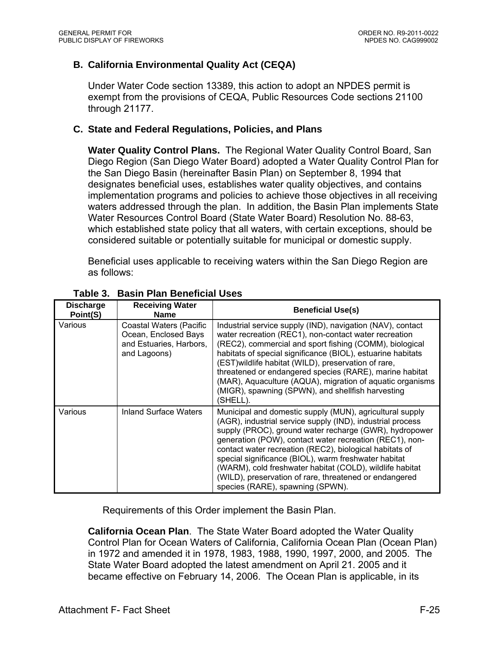## **B. California Environmental Quality Act (CEQA)**

Under Water Code section 13389, this action to adopt an NPDES permit is exempt from the provisions of CEQA, Public Resources Code sections 21100 through 21177.

### **C. State and Federal Regulations, Policies, and Plans**

**Water Quality Control Plans.** The Regional Water Quality Control Board, San Diego Region (San Diego Water Board) adopted a Water Quality Control Plan for the San Diego Basin (hereinafter Basin Plan) on September 8, 1994 that designates beneficial uses, establishes water quality objectives, and contains implementation programs and policies to achieve those objectives in all receiving waters addressed through the plan. In addition, the Basin Plan implements State Water Resources Control Board (State Water Board) Resolution No. 88-63, which established state policy that all waters, with certain exceptions, should be considered suitable or potentially suitable for municipal or domestic supply.

Beneficial uses applicable to receiving waters within the San Diego Region are as follows:

| <b>Discharge</b><br>Point(S) | <b>Receiving Water</b><br><b>Name</b>                                                      | <b>Beneficial Use(s)</b>                                                                                                                                                                                                                                                                                                                                                                                                                                                                                                 |
|------------------------------|--------------------------------------------------------------------------------------------|--------------------------------------------------------------------------------------------------------------------------------------------------------------------------------------------------------------------------------------------------------------------------------------------------------------------------------------------------------------------------------------------------------------------------------------------------------------------------------------------------------------------------|
| Various                      | Coastal Waters (Pacific<br>Ocean, Enclosed Bays<br>and Estuaries, Harbors,<br>and Lagoons) | Industrial service supply (IND), navigation (NAV), contact<br>water recreation (REC1), non-contact water recreation<br>(REC2), commercial and sport fishing (COMM), biological<br>habitats of special significance (BIOL), estuarine habitats<br>(EST) wildlife habitat (WILD), preservation of rare,<br>threatened or endangered species (RARE), marine habitat<br>(MAR), Aquaculture (AQUA), migration of aquatic organisms<br>(MIGR), spawning (SPWN), and shellfish harvesting<br>(SHELL).                           |
| Various                      | Inland Surface Waters                                                                      | Municipal and domestic supply (MUN), agricultural supply<br>(AGR), industrial service supply (IND), industrial process<br>supply (PROC), ground water recharge (GWR), hydropower<br>generation (POW), contact water recreation (REC1), non-<br>contact water recreation (REC2), biological habitats of<br>special significance (BIOL), warm freshwater habitat<br>(WARM), cold freshwater habitat (COLD), wildlife habitat<br>(WILD), preservation of rare, threatened or endangered<br>species (RARE), spawning (SPWN). |

#### **Table 3. Basin Plan Beneficial Uses**

Requirements of this Order implement the Basin Plan.

**California Ocean Plan**. The State Water Board adopted the Water Quality Control Plan for Ocean Waters of California, California Ocean Plan (Ocean Plan) in 1972 and amended it in 1978, 1983, 1988, 1990, 1997, 2000, and 2005. The State Water Board adopted the latest amendment on April 21. 2005 and it became effective on February 14, 2006. The Ocean Plan is applicable, in its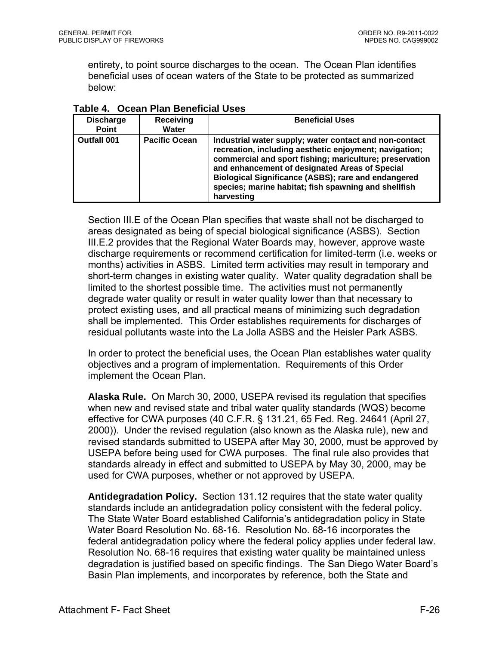entirety, to point source discharges to the ocean. The Ocean Plan identifies beneficial uses of ocean waters of the State to be protected as summarized below:

| <b>Discharge</b><br><b>Point</b> | <b>Receiving</b><br>Water | <b>Beneficial Uses</b>                                                                                                                                                                                                                                                                                                                                            |
|----------------------------------|---------------------------|-------------------------------------------------------------------------------------------------------------------------------------------------------------------------------------------------------------------------------------------------------------------------------------------------------------------------------------------------------------------|
| <b>Outfall 001</b>               | <b>Pacific Ocean</b>      | Industrial water supply; water contact and non-contact<br>recreation, including aesthetic enjoyment; navigation;<br>commercial and sport fishing; mariculture; preservation<br>and enhancement of designated Areas of Special<br><b>Biological Significance (ASBS); rare and endangered</b><br>species; marine habitat; fish spawning and shellfish<br>harvesting |

**Table 4. Ocean Plan Beneficial Uses** 

Section III.E of the Ocean Plan specifies that waste shall not be discharged to areas designated as being of special biological significance (ASBS). Section III.E.2 provides that the Regional Water Boards may, however, approve waste discharge requirements or recommend certification for limited-term (i.e. weeks or months) activities in ASBS. Limited term activities may result in temporary and short-term changes in existing water quality. Water quality degradation shall be limited to the shortest possible time. The activities must not permanently degrade water quality or result in water quality lower than that necessary to protect existing uses, and all practical means of minimizing such degradation shall be implemented. This Order establishes requirements for discharges of residual pollutants waste into the La Jolla ASBS and the Heisler Park ASBS.

In order to protect the beneficial uses, the Ocean Plan establishes water quality objectives and a program of implementation. Requirements of this Order implement the Ocean Plan.

**Alaska Rule.** On March 30, 2000, USEPA revised its regulation that specifies when new and revised state and tribal water quality standards (WQS) become effective for CWA purposes (40 C.F.R. § 131.21, 65 Fed. Reg. 24641 (April 27, 2000)). Under the revised regulation (also known as the Alaska rule), new and revised standards submitted to USEPA after May 30, 2000, must be approved by USEPA before being used for CWA purposes. The final rule also provides that standards already in effect and submitted to USEPA by May 30, 2000, may be used for CWA purposes, whether or not approved by USEPA.

**Antidegradation Policy.** Section 131.12 requires that the state water quality standards include an antidegradation policy consistent with the federal policy. The State Water Board established California's antidegradation policy in State Water Board Resolution No. 68-16. Resolution No. 68-16 incorporates the federal antidegradation policy where the federal policy applies under federal law. Resolution No. 68-16 requires that existing water quality be maintained unless degradation is justified based on specific findings. The San Diego Water Board's Basin Plan implements, and incorporates by reference, both the State and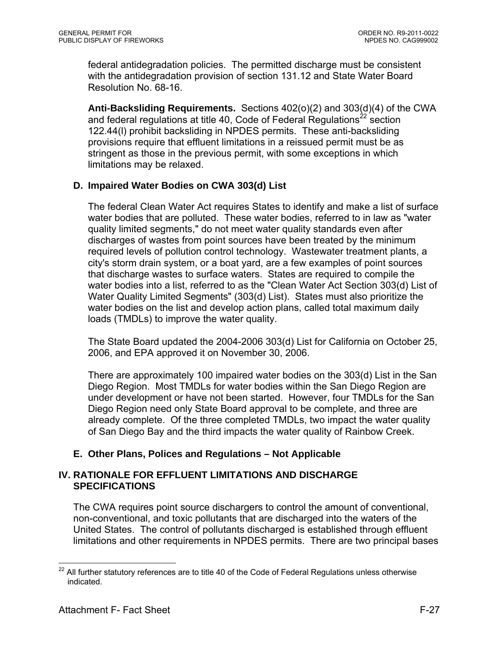federal antidegradation policies. The permitted discharge must be consistent with the antidegradation provision of section 131.12 and State Water Board Resolution No. 68-16.

**Anti-Backsliding Requirements.** Sections 402(o)(2) and 303(d)(4) of the CWA and federal regulations at title 40, Code of Federal Regulations<sup>22</sup> section 122.44(l) prohibit backsliding in NPDES permits. These anti-backsliding provisions require that effluent limitations in a reissued permit must be as stringent as those in the previous permit, with some exceptions in which limitations may be relaxed.

## **D. Impaired Water Bodies on CWA 303(d) List**

The federal Clean Water Act requires States to identify and make a list of surface water bodies that are polluted. These water bodies, referred to in law as "water quality limited segments," do not meet water quality standards even after discharges of wastes from point sources have been treated by the minimum required levels of pollution control technology. Wastewater treatment plants, a city's storm drain system, or a boat yard, are a few examples of point sources that discharge wastes to surface waters. States are required to compile the water bodies into a list, referred to as the "Clean Water Act Section 303(d) List of Water Quality Limited Segments" (303(d) List). States must also prioritize the water bodies on the list and develop action plans, called total maximum daily loads (TMDLs) to improve the water quality.

The State Board updated the 2004-2006 303(d) List for California on October 25, 2006, and EPA approved it on November 30, 2006.

There are approximately 100 impaired water bodies on the 303(d) List in the San Diego Region. Most TMDLs for water bodies within the San Diego Region are under development or have not been started. However, four TMDLs for the San Diego Region need only State Board approval to be complete, and three are already complete. Of the three completed TMDLs, two impact the water quality of San Diego Bay and the third impacts the water quality of Rainbow Creek.

## **E. Other Plans, Polices and Regulations – Not Applicable**

### **IV. RATIONALE FOR EFFLUENT LIMITATIONS AND DISCHARGE SPECIFICATIONS**

The CWA requires point source dischargers to control the amount of conventional, non-conventional, and toxic pollutants that are discharged into the waters of the United States. The control of pollutants discharged is established through effluent limitations and other requirements in NPDES permits. There are two principal bases

 $22$ All further statutory references are to title 40 of the Code of Federal Regulations unless otherwise indicated.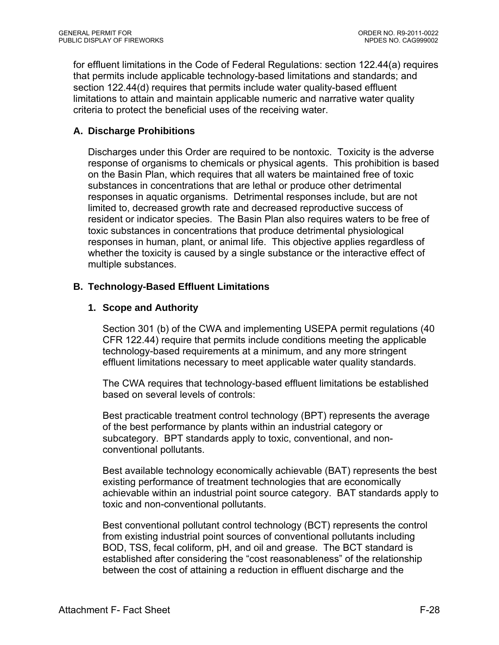for effluent limitations in the Code of Federal Regulations: section 122.44(a) requires that permits include applicable technology-based limitations and standards; and section 122.44(d) requires that permits include water quality-based effluent limitations to attain and maintain applicable numeric and narrative water quality criteria to protect the beneficial uses of the receiving water.

## **A. Discharge Prohibitions**

Discharges under this Order are required to be nontoxic. Toxicity is the adverse response of organisms to chemicals or physical agents. This prohibition is based on the Basin Plan, which requires that all waters be maintained free of toxic substances in concentrations that are lethal or produce other detrimental responses in aquatic organisms. Detrimental responses include, but are not limited to, decreased growth rate and decreased reproductive success of resident or indicator species. The Basin Plan also requires waters to be free of toxic substances in concentrations that produce detrimental physiological responses in human, plant, or animal life. This objective applies regardless of whether the toxicity is caused by a single substance or the interactive effect of multiple substances.

## **B. Technology-Based Effluent Limitations**

# **1. Scope and Authority**

Section 301 (b) of the CWA and implementing USEPA permit regulations (40 CFR 122.44) require that permits include conditions meeting the applicable technology-based requirements at a minimum, and any more stringent effluent limitations necessary to meet applicable water quality standards.

The CWA requires that technology-based effluent limitations be established based on several levels of controls:

Best practicable treatment control technology (BPT) represents the average of the best performance by plants within an industrial category or subcategory. BPT standards apply to toxic, conventional, and nonconventional pollutants.

Best available technology economically achievable (BAT) represents the best existing performance of treatment technologies that are economically achievable within an industrial point source category. BAT standards apply to toxic and non-conventional pollutants.

Best conventional pollutant control technology (BCT) represents the control from existing industrial point sources of conventional pollutants including BOD, TSS, fecal coliform, pH, and oil and grease. The BCT standard is established after considering the "cost reasonableness" of the relationship between the cost of attaining a reduction in effluent discharge and the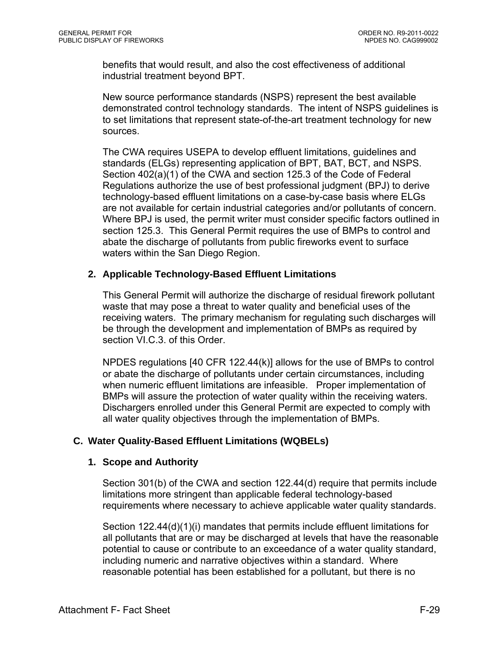benefits that would result, and also the cost effectiveness of additional industrial treatment beyond BPT.

New source performance standards (NSPS) represent the best available demonstrated control technology standards. The intent of NSPS guidelines is to set limitations that represent state-of-the-art treatment technology for new sources.

The CWA requires USEPA to develop effluent limitations, guidelines and standards (ELGs) representing application of BPT, BAT, BCT, and NSPS. Section 402(a)(1) of the CWA and section 125.3 of the Code of Federal Regulations authorize the use of best professional judgment (BPJ) to derive technology-based effluent limitations on a case-by-case basis where ELGs are not available for certain industrial categories and/or pollutants of concern. Where BPJ is used, the permit writer must consider specific factors outlined in section 125.3. This General Permit requires the use of BMPs to control and abate the discharge of pollutants from public fireworks event to surface waters within the San Diego Region.

### **2. Applicable Technology-Based Effluent Limitations**

This General Permit will authorize the discharge of residual firework pollutant waste that may pose a threat to water quality and beneficial uses of the receiving waters. The primary mechanism for regulating such discharges will be through the development and implementation of BMPs as required by section VI.C.3. of this Order.

NPDES regulations [40 CFR 122.44(k)] allows for the use of BMPs to control or abate the discharge of pollutants under certain circumstances, including when numeric effluent limitations are infeasible. Proper implementation of BMPs will assure the protection of water quality within the receiving waters. Dischargers enrolled under this General Permit are expected to comply with all water quality objectives through the implementation of BMPs.

## **C. Water Quality-Based Effluent Limitations (WQBELs)**

#### **1. Scope and Authority**

Section 301(b) of the CWA and section 122.44(d) require that permits include limitations more stringent than applicable federal technology-based requirements where necessary to achieve applicable water quality standards.

Section 122.44(d)(1)(i) mandates that permits include effluent limitations for all pollutants that are or may be discharged at levels that have the reasonable potential to cause or contribute to an exceedance of a water quality standard, including numeric and narrative objectives within a standard. Where reasonable potential has been established for a pollutant, but there is no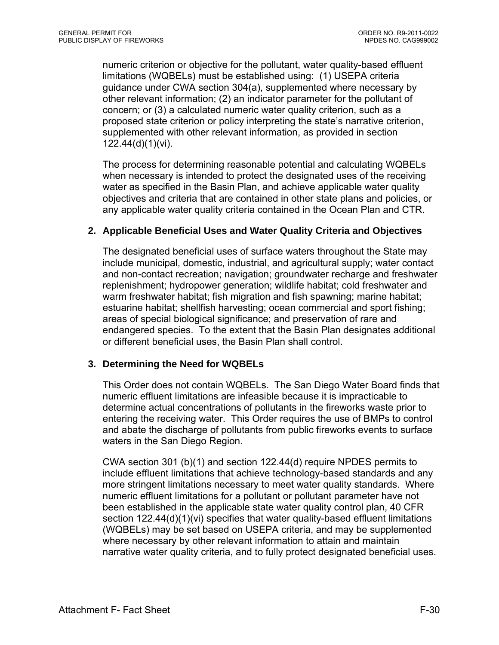numeric criterion or objective for the pollutant, water quality-based effluent limitations (WQBELs) must be established using: (1) USEPA criteria guidance under CWA section 304(a), supplemented where necessary by other relevant information; (2) an indicator parameter for the pollutant of concern; or (3) a calculated numeric water quality criterion, such as a proposed state criterion or policy interpreting the state's narrative criterion, supplemented with other relevant information, as provided in section 122.44(d)(1)(vi).

The process for determining reasonable potential and calculating WQBELs when necessary is intended to protect the designated uses of the receiving water as specified in the Basin Plan, and achieve applicable water quality objectives and criteria that are contained in other state plans and policies, or any applicable water quality criteria contained in the Ocean Plan and CTR.

### **2. Applicable Beneficial Uses and Water Quality Criteria and Objectives**

The designated beneficial uses of surface waters throughout the State may include municipal, domestic, industrial, and agricultural supply; water contact and non-contact recreation; navigation; groundwater recharge and freshwater replenishment; hydropower generation; wildlife habitat; cold freshwater and warm freshwater habitat; fish migration and fish spawning; marine habitat; estuarine habitat; shellfish harvesting; ocean commercial and sport fishing; areas of special biological significance; and preservation of rare and endangered species. To the extent that the Basin Plan designates additional or different beneficial uses, the Basin Plan shall control.

#### **3. Determining the Need for WQBELs**

This Order does not contain WQBELs. The San Diego Water Board finds that numeric effluent limitations are infeasible because it is impracticable to determine actual concentrations of pollutants in the fireworks waste prior to entering the receiving water. This Order requires the use of BMPs to control and abate the discharge of pollutants from public fireworks events to surface waters in the San Diego Region.

CWA section 301 (b)(1) and section 122.44(d) require NPDES permits to include effluent limitations that achieve technology-based standards and any more stringent limitations necessary to meet water quality standards. Where numeric effluent limitations for a pollutant or pollutant parameter have not been established in the applicable state water quality control plan, 40 CFR section 122.44(d)(1)(vi) specifies that water quality-based effluent limitations (WQBELs) may be set based on USEPA criteria, and may be supplemented where necessary by other relevant information to attain and maintain narrative water quality criteria, and to fully protect designated beneficial uses.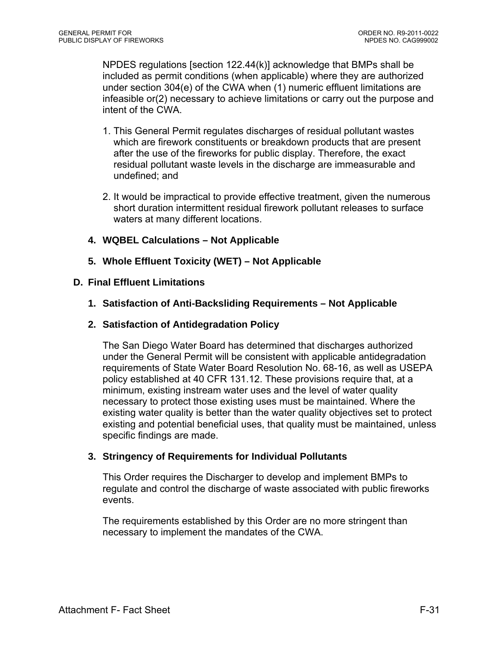NPDES regulations [section 122.44(k)] acknowledge that BMPs shall be included as permit conditions (when applicable) where they are authorized under section 304(e) of the CWA when (1) numeric effluent limitations are infeasible or(2) necessary to achieve limitations or carry out the purpose and intent of the CWA.

- 1. This General Permit regulates discharges of residual pollutant wastes which are firework constituents or breakdown products that are present after the use of the fireworks for public display. Therefore, the exact residual pollutant waste levels in the discharge are immeasurable and undefined; and
- 2. It would be impractical to provide effective treatment, given the numerous short duration intermittent residual firework pollutant releases to surface waters at many different locations.
- **4. WQBEL Calculations Not Applicable**
- **5. Whole Effluent Toxicity (WET) Not Applicable**

#### **D. Final Effluent Limitations**

- **1. Satisfaction of Anti-Backsliding Requirements Not Applicable**
- **2. Satisfaction of Antidegradation Policy**

The San Diego Water Board has determined that discharges authorized under the General Permit will be consistent with applicable antidegradation requirements of State Water Board Resolution No. 68-16, as well as USEPA policy established at 40 CFR 131.12. These provisions require that, at a minimum, existing instream water uses and the level of water quality necessary to protect those existing uses must be maintained. Where the existing water quality is better than the water quality objectives set to protect existing and potential beneficial uses, that quality must be maintained, unless specific findings are made.

#### **3. Stringency of Requirements for Individual Pollutants**

This Order requires the Discharger to develop and implement BMPs to regulate and control the discharge of waste associated with public fireworks events.

The requirements established by this Order are no more stringent than necessary to implement the mandates of the CWA.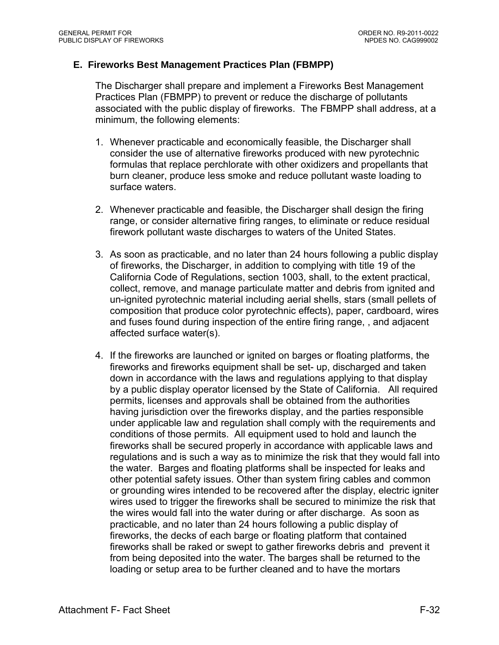### **E. Fireworks Best Management Practices Plan (FBMPP)**

The Discharger shall prepare and implement a Fireworks Best Management Practices Plan (FBMPP) to prevent or reduce the discharge of pollutants associated with the public display of fireworks. The FBMPP shall address, at a minimum, the following elements:

- 1. Whenever practicable and economically feasible, the Discharger shall consider the use of alternative fireworks produced with new pyrotechnic formulas that replace perchlorate with other oxidizers and propellants that burn cleaner, produce less smoke and reduce pollutant waste loading to surface waters.
- 2. Whenever practicable and feasible, the Discharger shall design the firing range, or consider alternative firing ranges, to eliminate or reduce residual firework pollutant waste discharges to waters of the United States.
- 3. As soon as practicable, and no later than 24 hours following a public display of fireworks, the Discharger, in addition to complying with title 19 of the California Code of Regulations, section 1003, shall, to the extent practical, collect, remove, and manage particulate matter and debris from ignited and un-ignited pyrotechnic material including aerial shells, stars (small pellets of composition that produce color pyrotechnic effects), paper, cardboard, wires and fuses found during inspection of the entire firing range, , and adjacent affected surface water(s).
- 4. If the fireworks are launched or ignited on barges or floating platforms, the fireworks and fireworks equipment shall be set- up, discharged and taken down in accordance with the laws and regulations applying to that display by a public display operator licensed by the State of California. All required permits, licenses and approvals shall be obtained from the authorities having jurisdiction over the fireworks display, and the parties responsible under applicable law and regulation shall comply with the requirements and conditions of those permits. All equipment used to hold and launch the fireworks shall be secured properly in accordance with applicable laws and regulations and is such a way as to minimize the risk that they would fall into the water. Barges and floating platforms shall be inspected for leaks and other potential safety issues. Other than system firing cables and common or grounding wires intended to be recovered after the display, electric igniter wires used to trigger the fireworks shall be secured to minimize the risk that the wires would fall into the water during or after discharge. As soon as practicable, and no later than 24 hours following a public display of fireworks, the decks of each barge or floating platform that contained fireworks shall be raked or swept to gather fireworks debris and prevent it from being deposited into the water. The barges shall be returned to the loading or setup area to be further cleaned and to have the mortars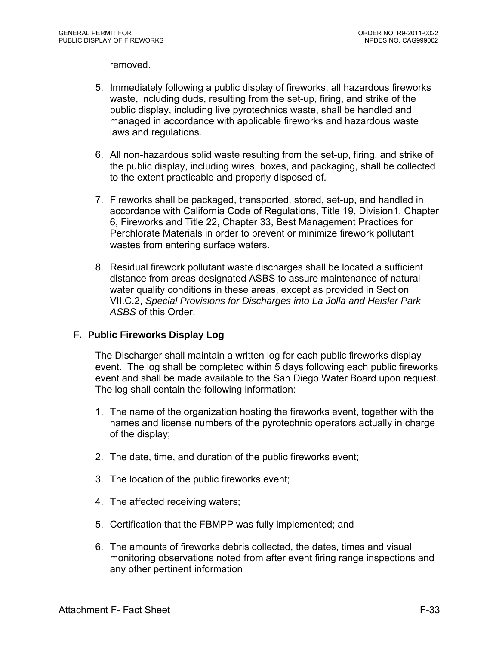removed.

- 5. Immediately following a public display of fireworks, all hazardous fireworks waste, including duds, resulting from the set-up, firing, and strike of the public display, including live pyrotechnics waste, shall be handled and managed in accordance with applicable fireworks and hazardous waste laws and regulations.
- 6. All non-hazardous solid waste resulting from the set-up, firing, and strike of the public display, including wires, boxes, and packaging, shall be collected to the extent practicable and properly disposed of.
- 7. Fireworks shall be packaged, transported, stored, set-up, and handled in accordance with California Code of Regulations, Title 19, Division1, Chapter 6, Fireworks and Title 22, Chapter 33, Best Management Practices for Perchlorate Materials in order to prevent or minimize firework pollutant wastes from entering surface waters.
- 8. Residual firework pollutant waste discharges shall be located a sufficient distance from areas designated ASBS to assure maintenance of natural water quality conditions in these areas, except as provided in Section VII.C.2, *Special Provisions for Discharges into La Jolla and Heisler Park ASBS* of this Order.

## **F. Public Fireworks Display Log**

The Discharger shall maintain a written log for each public fireworks display event. The log shall be completed within 5 days following each public fireworks event and shall be made available to the San Diego Water Board upon request. The log shall contain the following information:

- 1. The name of the organization hosting the fireworks event, together with the names and license numbers of the pyrotechnic operators actually in charge of the display;
- 2. The date, time, and duration of the public fireworks event;
- 3. The location of the public fireworks event;
- 4. The affected receiving waters;
- 5. Certification that the FBMPP was fully implemented; and
- 6. The amounts of fireworks debris collected, the dates, times and visual monitoring observations noted from after event firing range inspections and any other pertinent information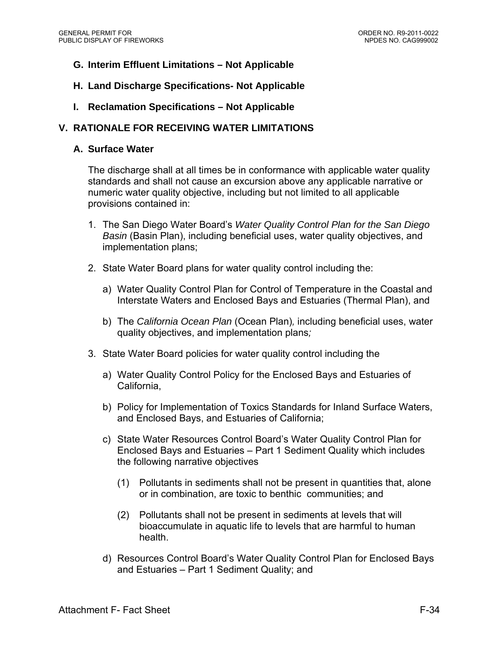- **G. Interim Effluent Limitations Not Applicable**
- **H. Land Discharge Specifications- Not Applicable**
- **I. Reclamation Specifications Not Applicable**

### **V. RATIONALE FOR RECEIVING WATER LIMITATIONS**

#### **A. Surface Water**

The discharge shall at all times be in conformance with applicable water quality standards and shall not cause an excursion above any applicable narrative or numeric water quality objective, including but not limited to all applicable provisions contained in:

- 1. The San Diego Water Board's *Water Quality Control Plan for the San Diego Basin* (Basin Plan), including beneficial uses, water quality objectives, and implementation plans;
- 2. State Water Board plans for water quality control including the:
	- a) Water Quality Control Plan for Control of Temperature in the Coastal and Interstate Waters and Enclosed Bays and Estuaries (Thermal Plan), and
	- b) The *California Ocean Plan* (Ocean Plan)*,* including beneficial uses, water quality objectives, and implementation plans*;*
- 3. State Water Board policies for water quality control including the
	- a) Water Quality Control Policy for the Enclosed Bays and Estuaries of California,
	- b) Policy for Implementation of Toxics Standards for Inland Surface Waters, and Enclosed Bays, and Estuaries of California;
	- c) State Water Resources Control Board's Water Quality Control Plan for Enclosed Bays and Estuaries – Part 1 Sediment Quality which includes the following narrative objectives
		- (1) Pollutants in sediments shall not be present in quantities that, alone or in combination, are toxic to benthic communities; and
		- (2) Pollutants shall not be present in sediments at levels that will bioaccumulate in aquatic life to levels that are harmful to human health.
	- d) Resources Control Board's Water Quality Control Plan for Enclosed Bays and Estuaries – Part 1 Sediment Quality; and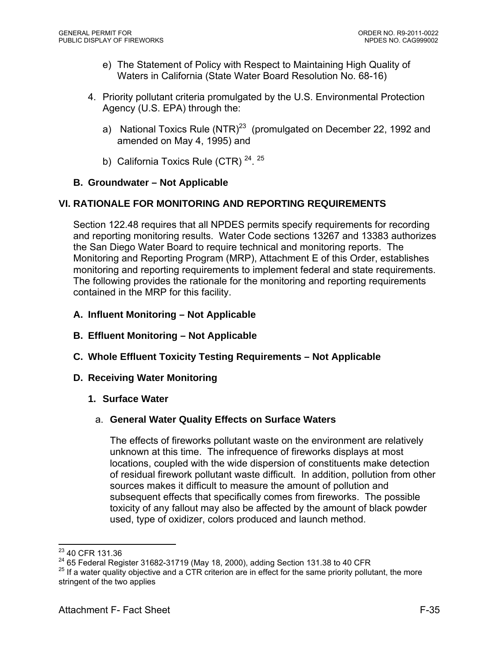- e) The Statement of Policy with Respect to Maintaining High Quality of Waters in California (State Water Board Resolution No. 68-16)
- 4. Priority pollutant criteria promulgated by the U.S. Environmental Protection Agency (U.S. EPA) through the:
	- a) National Toxics Rule  $(NTR)^{23}$  (promulgated on December 22, 1992 and amended on May 4, 1995) and
	- b) California Toxics Rule (CTR)  $24.25$

## **B. Groundwater – Not Applicable**

# **VI. RATIONALE FOR MONITORING AND REPORTING REQUIREMENTS**

Section 122.48 requires that all NPDES permits specify requirements for recording and reporting monitoring results. Water Code sections 13267 and 13383 authorizes the San Diego Water Board to require technical and monitoring reports. The Monitoring and Reporting Program (MRP), Attachment E of this Order, establishes monitoring and reporting requirements to implement federal and state requirements. The following provides the rationale for the monitoring and reporting requirements contained in the MRP for this facility.

- **A. Influent Monitoring Not Applicable**
- **B. Effluent Monitoring Not Applicable**
- **C. Whole Effluent Toxicity Testing Requirements Not Applicable**

## **D. Receiving Water Monitoring**

**1. Surface Water** 

## a. **General Water Quality Effects on Surface Waters**

The effects of fireworks pollutant waste on the environment are relatively unknown at this time. The infrequence of fireworks displays at most locations, coupled with the wide dispersion of constituents make detection of residual firework pollutant waste difficult. In addition, pollution from other sources makes it difficult to measure the amount of pollution and subsequent effects that specifically comes from fireworks. The possible toxicity of any fallout may also be affected by the amount of black powder used, type of oxidizer, colors produced and launch method.

<sup>1</sup> <sup>23</sup> 40 CFR 131.36

<sup>&</sup>lt;sup>24</sup> 65 Federal Register 31682-31719 (May 18, 2000), adding Section 131.38 to 40 CFR<br><sup>25</sup> If a water quality objective and a CTR criterion are in effect for the same priority pollutant, the more stringent of the two applies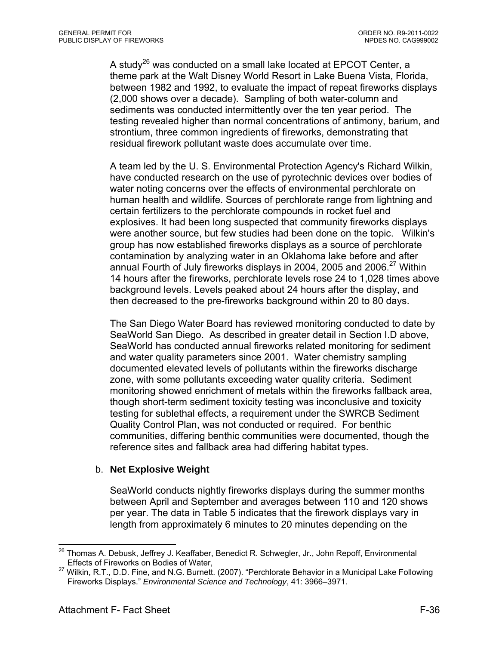A study<sup>26</sup> was conducted on a small lake located at EPCOT Center, a theme park at the Walt Disney World Resort in Lake Buena Vista, Florida, between 1982 and 1992, to evaluate the impact of repeat fireworks displays (2,000 shows over a decade). Sampling of both water-column and sediments was conducted intermittently over the ten year period. The testing revealed higher than normal concentrations of antimony, barium, and strontium, three common ingredients of fireworks, demonstrating that residual firework pollutant waste does accumulate over time.

A team led by the U. S. Environmental Protection Agency's Richard Wilkin, have conducted research on the use of pyrotechnic devices over bodies of water noting concerns over the effects of environmental perchlorate on human health and wildlife. Sources of perchlorate range from lightning and certain fertilizers to the perchlorate compounds in rocket fuel and explosives. It had been long suspected that community fireworks displays were another source, but few studies had been done on the topic. Wilkin's group has now established fireworks displays as a source of perchlorate contamination by analyzing water in an Oklahoma lake before and after annual Fourth of July fireworks displays in 2004, 2005 and 2006. $27$  Within 14 hours after the fireworks, perchlorate levels rose 24 to 1,028 times above background levels. Levels peaked about 24 hours after the display, and then decreased to the pre-fireworks background within 20 to 80 days.

The San Diego Water Board has reviewed monitoring conducted to date by SeaWorld San Diego. As described in greater detail in Section I.D above, SeaWorld has conducted annual fireworks related monitoring for sediment and water quality parameters since 2001. Water chemistry sampling documented elevated levels of pollutants within the fireworks discharge zone, with some pollutants exceeding water quality criteria. Sediment monitoring showed enrichment of metals within the fireworks fallback area, though short-term sediment toxicity testing was inconclusive and toxicity testing for sublethal effects, a requirement under the SWRCB Sediment Quality Control Plan, was not conducted or required. For benthic communities, differing benthic communities were documented, though the reference sites and fallback area had differing habitat types.

#### b. **Net Explosive Weight**

SeaWorld conducts nightly fireworks displays during the summer months between April and September and averages between 110 and 120 shows per year. The data in Table 5 indicates that the firework displays vary in length from approximately 6 minutes to 20 minutes depending on the

1

 $^{26}$  Thomas A. Debusk, Jeffrey J. Keaffaber, Benedict R. Schwegler, Jr., John Repoff, Environmental Effects of Fireworks on Bodies of Water,

<sup>&</sup>lt;sup>27</sup> Wilkin, R.T., D.D. Fine, and N.G. Burnett. (2007). "Perchlorate Behavior in a Municipal Lake Following Fireworks Displays." *Environmental Science and Technology*, 41: 3966–3971.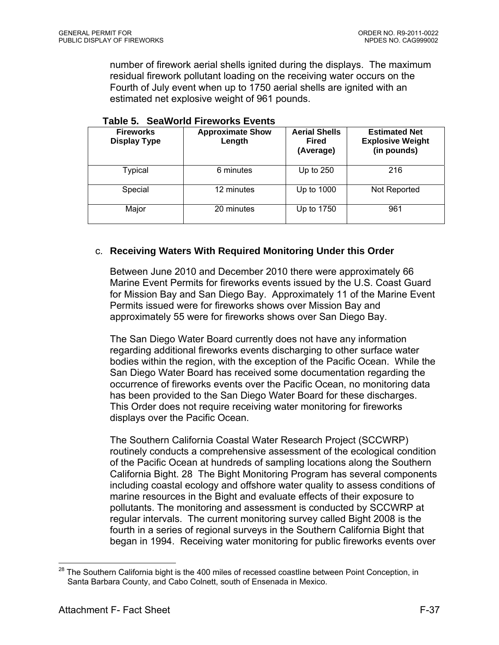number of firework aerial shells ignited during the displays. The maximum residual firework pollutant loading on the receiving water occurs on the Fourth of July event when up to 1750 aerial shells are ignited with an estimated net explosive weight of 961 pounds.

| <b>Fireworks</b><br><b>Display Type</b> | <b>Approximate Show</b><br>Length | <b>Aerial Shells</b><br><b>Fired</b><br>(Average) | <b>Estimated Net</b><br><b>Explosive Weight</b><br>(in pounds) |
|-----------------------------------------|-----------------------------------|---------------------------------------------------|----------------------------------------------------------------|
| Typical                                 | 6 minutes                         | Up to $250$                                       | 216                                                            |
| Special                                 | 12 minutes                        | Up to 1000                                        | Not Reported                                                   |
| Major                                   | 20 minutes                        | Up to 1750                                        | 961                                                            |

#### **Table 5. SeaWorld Fireworks Events**

#### c. **Receiving Waters With Required Monitoring Under this Order**

Between June 2010 and December 2010 there were approximately 66 Marine Event Permits for fireworks events issued by the U.S. Coast Guard for Mission Bay and San Diego Bay. Approximately 11 of the Marine Event Permits issued were for fireworks shows over Mission Bay and approximately 55 were for fireworks shows over San Diego Bay.

The San Diego Water Board currently does not have any information regarding additional fireworks events discharging to other surface water bodies within the region, with the exception of the Pacific Ocean. While the San Diego Water Board has received some documentation regarding the occurrence of fireworks events over the Pacific Ocean, no monitoring data has been provided to the San Diego Water Board for these discharges. This Order does not require receiving water monitoring for fireworks displays over the Pacific Ocean.

The Southern California Coastal Water Research Project (SCCWRP) routinely conducts a comprehensive assessment of the ecological condition of the Pacific Ocean at hundreds of sampling locations along the Southern California Bight. 28 The Bight Monitoring Program has several components including coastal ecology and offshore water quality to assess conditions of marine resources in the Bight and evaluate effects of their exposure to pollutants. The monitoring and assessment is conducted by SCCWRP at regular intervals. The current monitoring survey called Bight 2008 is the fourth in a series of regional surveys in the Southern California Bight that began in 1994. Receiving water monitoring for public fireworks events over

 $\overline{a}$ The Southern California bight is the 400 miles of recessed coastline between Point Conception, in Santa Barbara County, and Cabo Colnett, south of Ensenada in Mexico.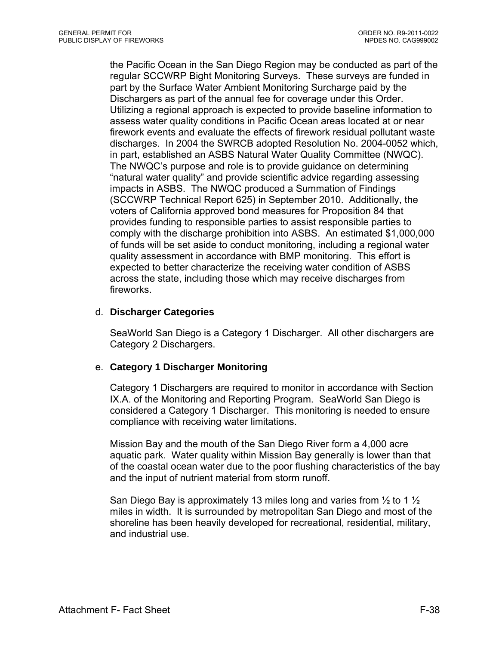the Pacific Ocean in the San Diego Region may be conducted as part of the regular SCCWRP Bight Monitoring Surveys. These surveys are funded in part by the Surface Water Ambient Monitoring Surcharge paid by the Dischargers as part of the annual fee for coverage under this Order. Utilizing a regional approach is expected to provide baseline information to assess water quality conditions in Pacific Ocean areas located at or near firework events and evaluate the effects of firework residual pollutant waste discharges. In 2004 the SWRCB adopted Resolution No. 2004-0052 which, in part, established an ASBS Natural Water Quality Committee (NWQC). The NWQC's purpose and role is to provide guidance on determining "natural water quality" and provide scientific advice regarding assessing impacts in ASBS. The NWQC produced a Summation of Findings (SCCWRP Technical Report 625) in September 2010. Additionally, the voters of California approved bond measures for Proposition 84 that provides funding to responsible parties to assist responsible parties to comply with the discharge prohibition into ASBS. An estimated \$1,000,000 of funds will be set aside to conduct monitoring, including a regional water quality assessment in accordance with BMP monitoring. This effort is expected to better characterize the receiving water condition of ASBS across the state, including those which may receive discharges from fireworks.

#### d. **Discharger Categories**

SeaWorld San Diego is a Category 1 Discharger. All other dischargers are Category 2 Dischargers.

## e. **Category 1 Discharger Monitoring**

Category 1 Dischargers are required to monitor in accordance with Section IX.A. of the Monitoring and Reporting Program. SeaWorld San Diego is considered a Category 1 Discharger. This monitoring is needed to ensure compliance with receiving water limitations.

Mission Bay and the mouth of the San Diego River form a 4,000 acre aquatic park. Water quality within Mission Bay generally is lower than that of the coastal ocean water due to the poor flushing characteristics of the bay and the input of nutrient material from storm runoff.

San Diego Bay is approximately 13 miles long and varies from  $\frac{1}{2}$  to 1  $\frac{1}{2}$ miles in width. It is surrounded by metropolitan San Diego and most of the shoreline has been heavily developed for recreational, residential, military, and industrial use.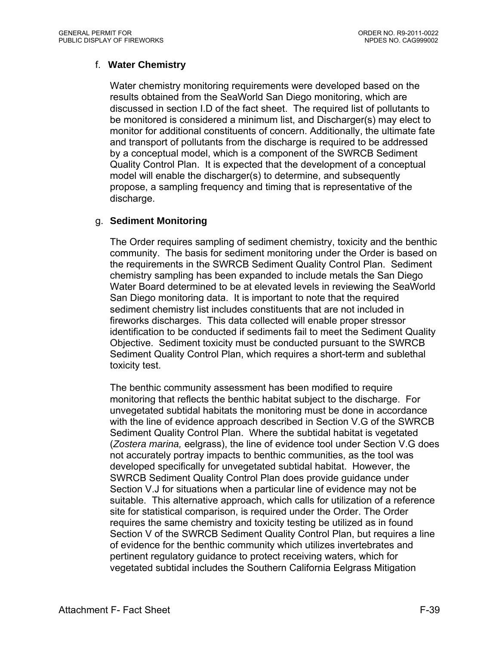## f. **Water Chemistry**

Water chemistry monitoring requirements were developed based on the results obtained from the SeaWorld San Diego monitoring, which are discussed in section I.D of the fact sheet. The required list of pollutants to be monitored is considered a minimum list, and Discharger(s) may elect to monitor for additional constituents of concern. Additionally, the ultimate fate and transport of pollutants from the discharge is required to be addressed by a conceptual model, which is a component of the SWRCB Sediment Quality Control Plan. It is expected that the development of a conceptual model will enable the discharger(s) to determine, and subsequently propose, a sampling frequency and timing that is representative of the discharge.

## g. **Sediment Monitoring**

The Order requires sampling of sediment chemistry, toxicity and the benthic community. The basis for sediment monitoring under the Order is based on the requirements in the SWRCB Sediment Quality Control Plan. Sediment chemistry sampling has been expanded to include metals the San Diego Water Board determined to be at elevated levels in reviewing the SeaWorld San Diego monitoring data. It is important to note that the required sediment chemistry list includes constituents that are not included in fireworks discharges. This data collected will enable proper stressor identification to be conducted if sediments fail to meet the Sediment Quality Objective. Sediment toxicity must be conducted pursuant to the SWRCB Sediment Quality Control Plan, which requires a short-term and sublethal toxicity test.

The benthic community assessment has been modified to require monitoring that reflects the benthic habitat subject to the discharge. For unvegetated subtidal habitats the monitoring must be done in accordance with the line of evidence approach described in Section V.G of the SWRCB Sediment Quality Control Plan. Where the subtidal habitat is vegetated (*Zostera marina,* eelgrass), the line of evidence tool under Section V.G does not accurately portray impacts to benthic communities, as the tool was developed specifically for unvegetated subtidal habitat. However, the SWRCB Sediment Quality Control Plan does provide guidance under Section V.J for situations when a particular line of evidence may not be suitable. This alternative approach, which calls for utilization of a reference site for statistical comparison, is required under the Order. The Order requires the same chemistry and toxicity testing be utilized as in found Section V of the SWRCB Sediment Quality Control Plan, but requires a line of evidence for the benthic community which utilizes invertebrates and pertinent regulatory guidance to protect receiving waters, which for vegetated subtidal includes the Southern California Eelgrass Mitigation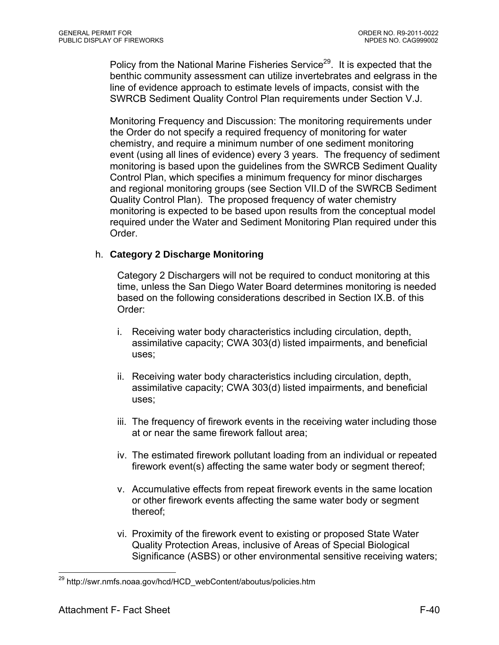Policy from the National Marine Fisheries Service<sup>29</sup>. It is expected that the benthic community assessment can utilize invertebrates and eelgrass in the line of evidence approach to estimate levels of impacts, consist with the SWRCB Sediment Quality Control Plan requirements under Section V.J.

Monitoring Frequency and Discussion: The monitoring requirements under the Order do not specify a required frequency of monitoring for water chemistry, and require a minimum number of one sediment monitoring event (using all lines of evidence) every 3 years. The frequency of sediment monitoring is based upon the guidelines from the SWRCB Sediment Quality Control Plan, which specifies a minimum frequency for minor discharges and regional monitoring groups (see Section VII.D of the SWRCB Sediment Quality Control Plan). The proposed frequency of water chemistry monitoring is expected to be based upon results from the conceptual model required under the Water and Sediment Monitoring Plan required under this Order.

## h. **Category 2 Discharge Monitoring**

Category 2 Dischargers will not be required to conduct monitoring at this time, unless the San Diego Water Board determines monitoring is needed based on the following considerations described in Section IX.B. of this Order:

- i. Receiving water body characteristics including circulation, depth, assimilative capacity; CWA 303(d) listed impairments, and beneficial uses;
- ii. Receiving water body characteristics including circulation, depth, assimilative capacity; CWA 303(d) listed impairments, and beneficial uses;
- iii. The frequency of firework events in the receiving water including those at or near the same firework fallout area;
- iv. The estimated firework pollutant loading from an individual or repeated firework event(s) affecting the same water body or segment thereof;
- v. Accumulative effects from repeat firework events in the same location or other firework events affecting the same water body or segment thereof;
- vi. Proximity of the firework event to existing or proposed State Water Quality Protection Areas, inclusive of Areas of Special Biological Significance (ASBS) or other environmental sensitive receiving waters;

 $\overline{a}$ 

<sup>&</sup>lt;sup>29</sup> http://swr.nmfs.noaa.gov/hcd/HCD\_webContent/aboutus/policies.htm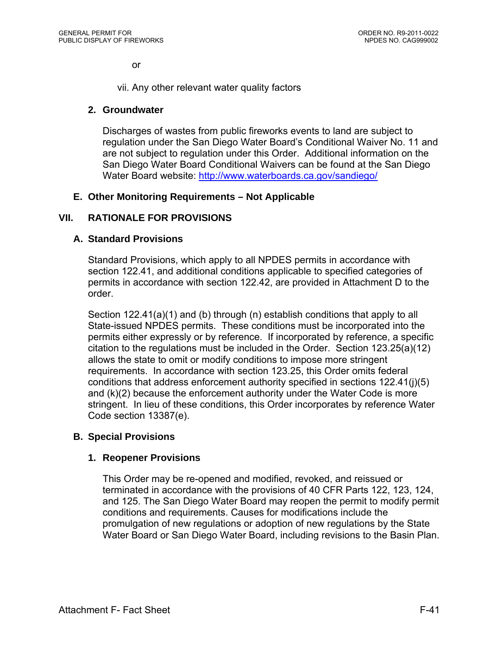or

vii. Any other relevant water quality factors

### **2. Groundwater**

Discharges of wastes from public fireworks events to land are subject to regulation under the San Diego Water Board's Conditional Waiver No. 11 and are not subject to regulation under this Order. Additional information on the San Diego Water Board Conditional Waivers can be found at the San Diego Water Board website: http://www.waterboards.ca.gov/sandiego/

### **E. Other Monitoring Requirements – Not Applicable**

### **VII. RATIONALE FOR PROVISIONS**

#### **A. Standard Provisions**

Standard Provisions, which apply to all NPDES permits in accordance with section 122.41, and additional conditions applicable to specified categories of permits in accordance with section 122.42, are provided in Attachment D to the order.

Section 122.41(a)(1) and (b) through (n) establish conditions that apply to all State-issued NPDES permits. These conditions must be incorporated into the permits either expressly or by reference. If incorporated by reference, a specific citation to the regulations must be included in the Order. Section 123.25(a)(12) allows the state to omit or modify conditions to impose more stringent requirements. In accordance with section 123.25, this Order omits federal conditions that address enforcement authority specified in sections 122.41(j)(5) and (k)(2) because the enforcement authority under the Water Code is more stringent. In lieu of these conditions, this Order incorporates by reference Water Code section 13387(e).

#### **B. Special Provisions**

#### **1. Reopener Provisions**

This Order may be re-opened and modified, revoked, and reissued or terminated in accordance with the provisions of 40 CFR Parts 122, 123, 124, and 125. The San Diego Water Board may reopen the permit to modify permit conditions and requirements. Causes for modifications include the promulgation of new regulations or adoption of new regulations by the State Water Board or San Diego Water Board, including revisions to the Basin Plan.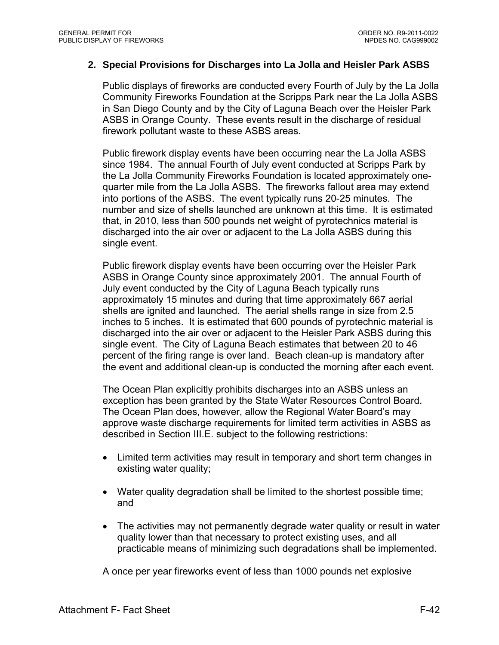#### **2. Special Provisions for Discharges into La Jolla and Heisler Park ASBS**

Public displays of fireworks are conducted every Fourth of July by the La Jolla Community Fireworks Foundation at the Scripps Park near the La Jolla ASBS in San Diego County and by the City of Laguna Beach over the Heisler Park ASBS in Orange County. These events result in the discharge of residual firework pollutant waste to these ASBS areas.

Public firework display events have been occurring near the La Jolla ASBS since 1984. The annual Fourth of July event conducted at Scripps Park by the La Jolla Community Fireworks Foundation is located approximately onequarter mile from the La Jolla ASBS. The fireworks fallout area may extend into portions of the ASBS. The event typically runs 20-25 minutes. The number and size of shells launched are unknown at this time. It is estimated that, in 2010, less than 500 pounds net weight of pyrotechnics material is discharged into the air over or adjacent to the La Jolla ASBS during this single event.

Public firework display events have been occurring over the Heisler Park ASBS in Orange County since approximately 2001. The annual Fourth of July event conducted by the City of Laguna Beach typically runs approximately 15 minutes and during that time approximately 667 aerial shells are ignited and launched. The aerial shells range in size from 2.5 inches to 5 inches. It is estimated that 600 pounds of pyrotechnic material is discharged into the air over or adjacent to the Heisler Park ASBS during this single event. The City of Laguna Beach estimates that between 20 to 46 percent of the firing range is over land. Beach clean-up is mandatory after the event and additional clean-up is conducted the morning after each event.

The Ocean Plan explicitly prohibits discharges into an ASBS unless an exception has been granted by the State Water Resources Control Board. The Ocean Plan does, however, allow the Regional Water Board's may approve waste discharge requirements for limited term activities in ASBS as described in Section III.E. subject to the following restrictions:

- Limited term activities may result in temporary and short term changes in existing water quality;
- Water quality degradation shall be limited to the shortest possible time; and
- The activities may not permanently degrade water quality or result in water quality lower than that necessary to protect existing uses, and all practicable means of minimizing such degradations shall be implemented.

A once per year fireworks event of less than 1000 pounds net explosive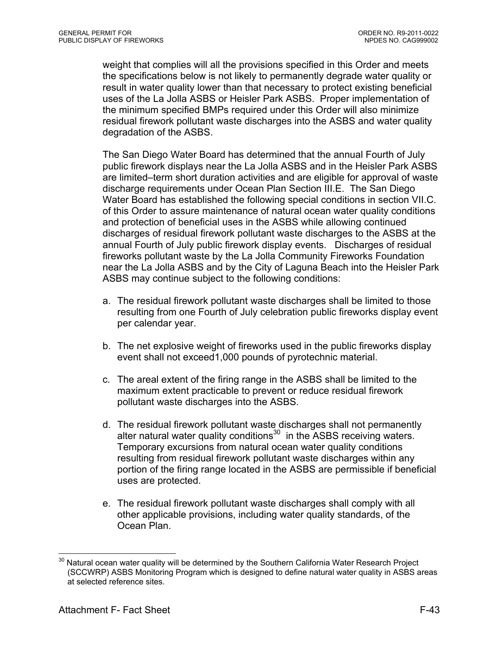weight that complies will all the provisions specified in this Order and meets the specifications below is not likely to permanently degrade water quality or result in water quality lower than that necessary to protect existing beneficial uses of the La Jolla ASBS or Heisler Park ASBS. Proper implementation of the minimum specified BMPs required under this Order will also minimize residual firework pollutant waste discharges into the ASBS and water quality degradation of the ASBS.

The San Diego Water Board has determined that the annual Fourth of July public firework displays near the La Jolla ASBS and in the Heisler Park ASBS are limited–term short duration activities and are eligible for approval of waste discharge requirements under Ocean Plan Section III.E. The San Diego Water Board has established the following special conditions in section VII.C. of this Order to assure maintenance of natural ocean water quality conditions and protection of beneficial uses in the ASBS while allowing continued discharges of residual firework pollutant waste discharges to the ASBS at the annual Fourth of July public firework display events. Discharges of residual fireworks pollutant waste by the La Jolla Community Fireworks Foundation near the La Jolla ASBS and by the City of Laguna Beach into the Heisler Park ASBS may continue subject to the following conditions:

- a. The residual firework pollutant waste discharges shall be limited to those resulting from one Fourth of July celebration public fireworks display event per calendar year.
- b. The net explosive weight of fireworks used in the public fireworks display event shall not exceed1,000 pounds of pyrotechnic material.
- c. The areal extent of the firing range in the ASBS shall be limited to the maximum extent practicable to prevent or reduce residual firework pollutant waste discharges into the ASBS.
- d. The residual firework pollutant waste discharges shall not permanently alter natural water quality conditions $30$  in the ASBS receiving waters. Temporary excursions from natural ocean water quality conditions resulting from residual firework pollutant waste discharges within any portion of the firing range located in the ASBS are permissible if beneficial uses are protected.
- e. The residual firework pollutant waste discharges shall comply with all other applicable provisions, including water quality standards, of the Ocean Plan.

 $\overline{a}$  $30$  Natural ocean water quality will be determined by the Southern California Water Research Project (SCCWRP) ASBS Monitoring Program which is designed to define natural water quality in ASBS areas at selected reference sites.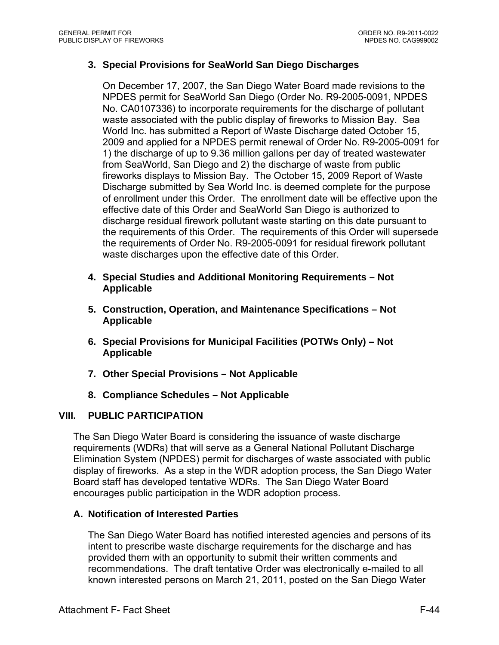### **3. Special Provisions for SeaWorld San Diego Discharges**

On December 17, 2007, the San Diego Water Board made revisions to the NPDES permit for SeaWorld San Diego (Order No. R9-2005-0091, NPDES No. CA0107336) to incorporate requirements for the discharge of pollutant waste associated with the public display of fireworks to Mission Bay. Sea World Inc. has submitted a Report of Waste Discharge dated October 15, 2009 and applied for a NPDES permit renewal of Order No. R9-2005-0091 for 1) the discharge of up to 9.36 million gallons per day of treated wastewater from SeaWorld, San Diego and 2) the discharge of waste from public fireworks displays to Mission Bay. The October 15, 2009 Report of Waste Discharge submitted by Sea World Inc. is deemed complete for the purpose of enrollment under this Order. The enrollment date will be effective upon the effective date of this Order and SeaWorld San Diego is authorized to discharge residual firework pollutant waste starting on this date pursuant to the requirements of this Order. The requirements of this Order will supersede the requirements of Order No. R9-2005-0091 for residual firework pollutant waste discharges upon the effective date of this Order.

- **4. Special Studies and Additional Monitoring Requirements Not Applicable**
- **5. Construction, Operation, and Maintenance Specifications Not Applicable**
- **6. Special Provisions for Municipal Facilities (POTWs Only) Not Applicable**
- **7. Other Special Provisions Not Applicable**
- **8. Compliance Schedules Not Applicable**

### **VIII. PUBLIC PARTICIPATION**

The San Diego Water Board is considering the issuance of waste discharge requirements (WDRs) that will serve as a General National Pollutant Discharge Elimination System (NPDES) permit for discharges of waste associated with public display of fireworks. As a step in the WDR adoption process, the San Diego Water Board staff has developed tentative WDRs. The San Diego Water Board encourages public participation in the WDR adoption process.

### **A. Notification of Interested Parties**

The San Diego Water Board has notified interested agencies and persons of its intent to prescribe waste discharge requirements for the discharge and has provided them with an opportunity to submit their written comments and recommendations. The draft tentative Order was electronically e-mailed to all known interested persons on March 21, 2011, posted on the San Diego Water